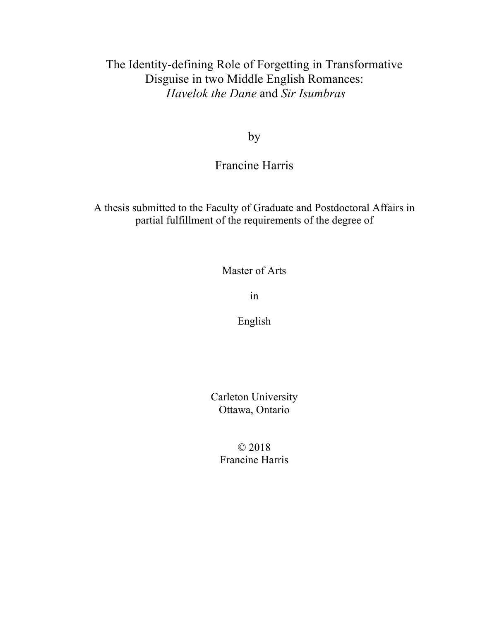## The Identity-defining Role of Forgetting in Transformative Disguise in two Middle English Romances: *Havelok the Dane* and *Sir Isumbras*

by

## Francine Harris

A thesis submitted to the Faculty of Graduate and Postdoctoral Affairs in partial fulfillment of the requirements of the degree of

Master of Arts

in

English

Carleton University Ottawa, Ontario

© 2018 Francine Harris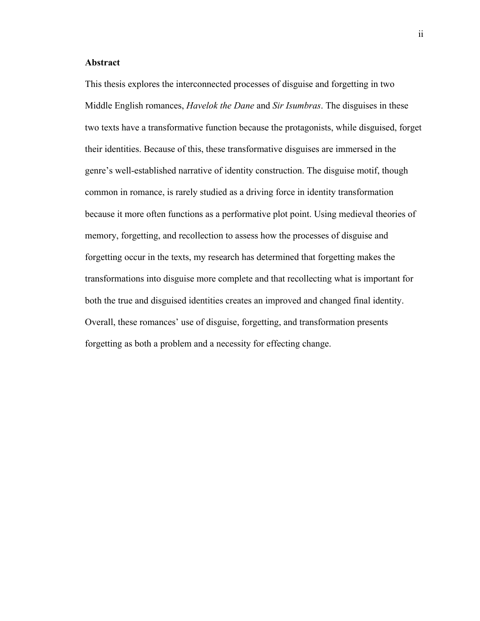### **Abstract**

This thesis explores the interconnected processes of disguise and forgetting in two Middle English romances, *Havelok the Dane* and *Sir Isumbras*. The disguises in these two texts have a transformative function because the protagonists, while disguised, forget their identities. Because of this, these transformative disguises are immersed in the genre's well-established narrative of identity construction. The disguise motif, though common in romance, is rarely studied as a driving force in identity transformation because it more often functions as a performative plot point. Using medieval theories of memory, forgetting, and recollection to assess how the processes of disguise and forgetting occur in the texts, my research has determined that forgetting makes the transformations into disguise more complete and that recollecting what is important for both the true and disguised identities creates an improved and changed final identity. Overall, these romances' use of disguise, forgetting, and transformation presents forgetting as both a problem and a necessity for effecting change.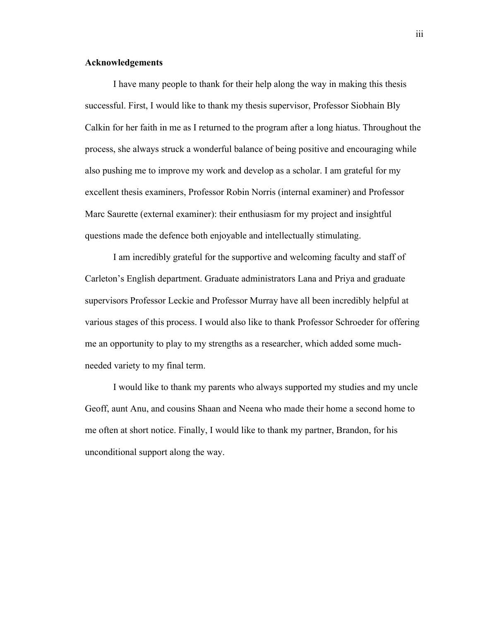#### **Acknowledgements**

I have many people to thank for their help along the way in making this thesis successful. First, I would like to thank my thesis supervisor, Professor Siobhain Bly Calkin for her faith in me as I returned to the program after a long hiatus. Throughout the process, she always struck a wonderful balance of being positive and encouraging while also pushing me to improve my work and develop as a scholar. I am grateful for my excellent thesis examiners, Professor Robin Norris (internal examiner) and Professor Marc Saurette (external examiner): their enthusiasm for my project and insightful questions made the defence both enjoyable and intellectually stimulating.

I am incredibly grateful for the supportive and welcoming faculty and staff of Carleton's English department. Graduate administrators Lana and Priya and graduate supervisors Professor Leckie and Professor Murray have all been incredibly helpful at various stages of this process. I would also like to thank Professor Schroeder for offering me an opportunity to play to my strengths as a researcher, which added some muchneeded variety to my final term.

I would like to thank my parents who always supported my studies and my uncle Geoff, aunt Anu, and cousins Shaan and Neena who made their home a second home to me often at short notice. Finally, I would like to thank my partner, Brandon, for his unconditional support along the way.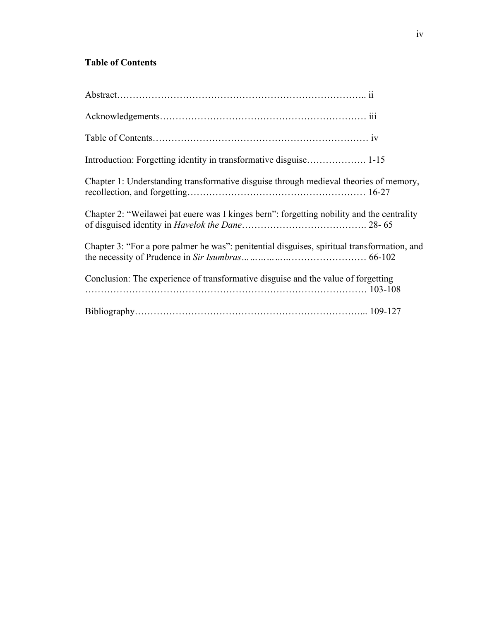### **Table of Contents**

| Chapter 1: Understanding transformative disguise through medieval theories of memory,       |
|---------------------------------------------------------------------------------------------|
| Chapter 2: "Weilawei bat euere was I kinges bern": forgetting nobility and the centrality   |
| Chapter 3: "For a pore palmer he was": penitential disguises, spiritual transformation, and |
| Conclusion: The experience of transformative disguise and the value of forgetting           |
|                                                                                             |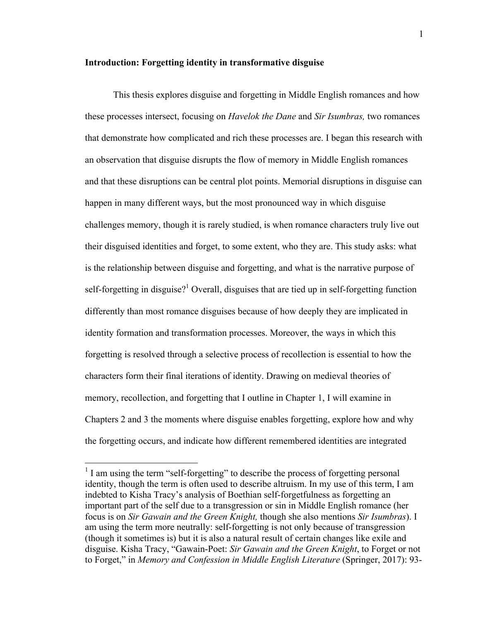### **Introduction: Forgetting identity in transformative disguise**

This thesis explores disguise and forgetting in Middle English romances and how these processes intersect, focusing on *Havelok the Dane* and *Sir Isumbras,* two romances that demonstrate how complicated and rich these processes are. I began this research with an observation that disguise disrupts the flow of memory in Middle English romances and that these disruptions can be central plot points. Memorial disruptions in disguise can happen in many different ways, but the most pronounced way in which disguise challenges memory, though it is rarely studied, is when romance characters truly live out their disguised identities and forget, to some extent, who they are. This study asks: what is the relationship between disguise and forgetting, and what is the narrative purpose of self-forgetting in disguise?<sup>1</sup> Overall, disguises that are tied up in self-forgetting function differently than most romance disguises because of how deeply they are implicated in identity formation and transformation processes. Moreover, the ways in which this forgetting is resolved through a selective process of recollection is essential to how the characters form their final iterations of identity. Drawing on medieval theories of memory, recollection, and forgetting that I outline in Chapter 1, I will examine in Chapters 2 and 3 the moments where disguise enables forgetting, explore how and why the forgetting occurs, and indicate how different remembered identities are integrated

 $1$  I am using the term "self-forgetting" to describe the process of forgetting personal identity, though the term is often used to describe altruism. In my use of this term, I am indebted to Kisha Tracy's analysis of Boethian self-forgetfulness as forgetting an important part of the self due to a transgression or sin in Middle English romance (her focus is on *Sir Gawain and the Green Knight,* though she also mentions *Sir Isumbras*). I am using the term more neutrally: self-forgetting is not only because of transgression (though it sometimes is) but it is also a natural result of certain changes like exile and disguise. Kisha Tracy, "Gawain-Poet: *Sir Gawain and the Green Knight*, to Forget or not to Forget," in *Memory and Confession in Middle English Literature* (Springer, 2017): 93-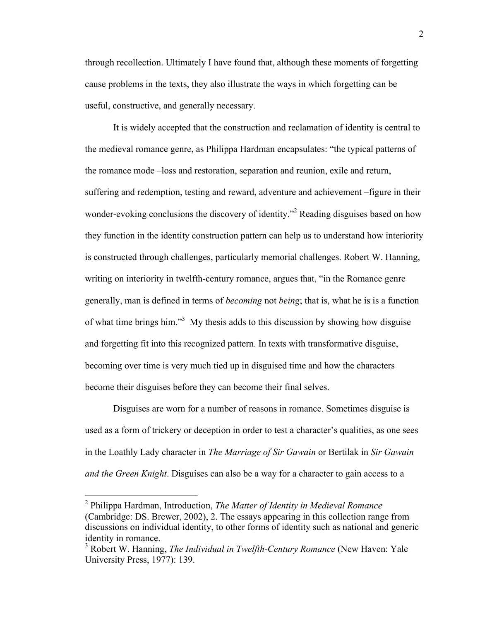through recollection. Ultimately I have found that, although these moments of forgetting cause problems in the texts, they also illustrate the ways in which forgetting can be useful, constructive, and generally necessary.

It is widely accepted that the construction and reclamation of identity is central to the medieval romance genre, as Philippa Hardman encapsulates: "the typical patterns of the romance mode –loss and restoration, separation and reunion, exile and return, suffering and redemption, testing and reward, adventure and achievement –figure in their wonder-evoking conclusions the discovery of identity."<sup>2</sup> Reading disguises based on how they function in the identity construction pattern can help us to understand how interiority is constructed through challenges, particularly memorial challenges. Robert W. Hanning, writing on interiority in twelfth-century romance, argues that, "in the Romance genre generally, man is defined in terms of *becoming* not *being*; that is, what he is is a function of what time brings him."<sup>3</sup> My thesis adds to this discussion by showing how disguise and forgetting fit into this recognized pattern. In texts with transformative disguise, becoming over time is very much tied up in disguised time and how the characters become their disguises before they can become their final selves.

Disguises are worn for a number of reasons in romance. Sometimes disguise is used as a form of trickery or deception in order to test a character's qualities, as one sees in the Loathly Lady character in *The Marriage of Sir Gawain* or Bertilak in *Sir Gawain and the Green Knight*. Disguises can also be a way for a character to gain access to a

 <sup>2</sup> Philippa Hardman, Introduction, *The Matter of Identity in Medieval Romance*  (Cambridge: DS. Brewer, 2002), 2. The essays appearing in this collection range from discussions on individual identity, to other forms of identity such as national and generic identity in romance.

<sup>3</sup> Robert W. Hanning, *The Individual in Twelfth-Century Romance* (New Haven: Yale University Press, 1977): 139.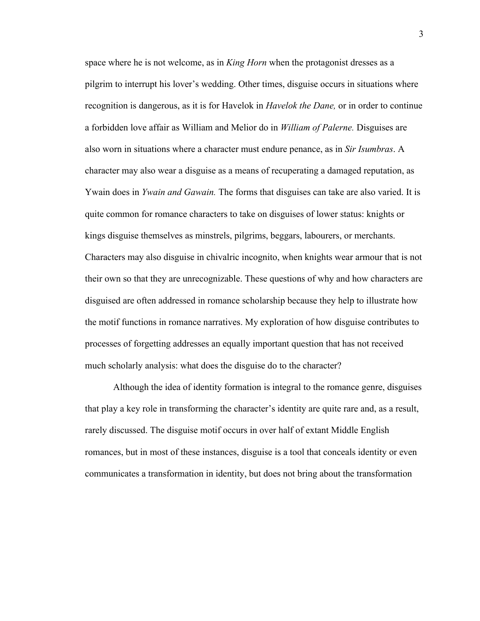space where he is not welcome, as in *King Horn* when the protagonist dresses as a pilgrim to interrupt his lover's wedding. Other times, disguise occurs in situations where recognition is dangerous, as it is for Havelok in *Havelok the Dane,* or in order to continue a forbidden love affair as William and Melior do in *William of Palerne.* Disguises are also worn in situations where a character must endure penance, as in *Sir Isumbras*. A character may also wear a disguise as a means of recuperating a damaged reputation, as Ywain does in *Ywain and Gawain.* The forms that disguises can take are also varied. It is quite common for romance characters to take on disguises of lower status: knights or kings disguise themselves as minstrels, pilgrims, beggars, labourers, or merchants. Characters may also disguise in chivalric incognito, when knights wear armour that is not their own so that they are unrecognizable. These questions of why and how characters are disguised are often addressed in romance scholarship because they help to illustrate how the motif functions in romance narratives. My exploration of how disguise contributes to processes of forgetting addresses an equally important question that has not received much scholarly analysis: what does the disguise do to the character?

Although the idea of identity formation is integral to the romance genre, disguises that play a key role in transforming the character's identity are quite rare and, as a result, rarely discussed. The disguise motif occurs in over half of extant Middle English romances, but in most of these instances, disguise is a tool that conceals identity or even communicates a transformation in identity, but does not bring about the transformation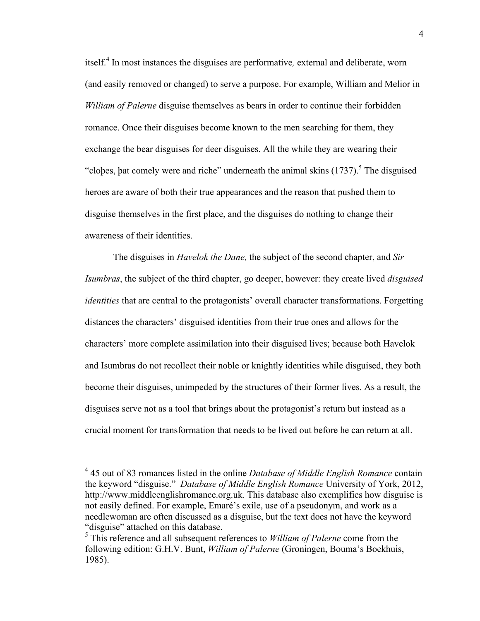itself. <sup>4</sup> In most instances the disguises are performative*,* external and deliberate, worn (and easily removed or changed) to serve a purpose. For example, William and Melior in *William of Palerne* disguise themselves as bears in order to continue their forbidden romance. Once their disguises become known to the men searching for them, they exchange the bear disguises for deer disguises. All the while they are wearing their "clobes, bat comely were and riche" underneath the animal skins  $(1737)$ .<sup>5</sup> The disguised heroes are aware of both their true appearances and the reason that pushed them to disguise themselves in the first place, and the disguises do nothing to change their awareness of their identities.

The disguises in *Havelok the Dane,* the subject of the second chapter, and *Sir Isumbras*, the subject of the third chapter, go deeper, however: they create lived *disguised identities* that are central to the protagonists' overall character transformations. Forgetting distances the characters' disguised identities from their true ones and allows for the characters' more complete assimilation into their disguised lives; because both Havelok and Isumbras do not recollect their noble or knightly identities while disguised, they both become their disguises, unimpeded by the structures of their former lives. As a result, the disguises serve not as a tool that brings about the protagonist's return but instead as a crucial moment for transformation that needs to be lived out before he can return at all.

 <sup>4</sup> 45 out of 83 romances listed in the online *Database of Middle English Romance* contain the keyword "disguise." *Database of Middle English Romance* University of York, 2012, http://www.middleenglishromance.org.uk. This database also exemplifies how disguise is not easily defined. For example, Emaré's exile, use of a pseudonym, and work as a needlewoman are often discussed as a disguise, but the text does not have the keyword "disguise" attached on this database.

<sup>5</sup> This reference and all subsequent references to *William of Palerne* come from the following edition: G.H.V. Bunt, *William of Palerne* (Groningen, Bouma's Boekhuis, 1985).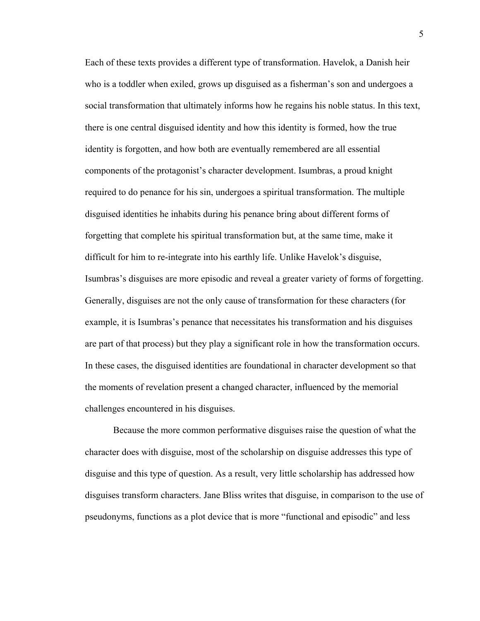Each of these texts provides a different type of transformation. Havelok, a Danish heir who is a toddler when exiled, grows up disguised as a fisherman's son and undergoes a social transformation that ultimately informs how he regains his noble status. In this text, there is one central disguised identity and how this identity is formed, how the true identity is forgotten, and how both are eventually remembered are all essential components of the protagonist's character development. Isumbras, a proud knight required to do penance for his sin, undergoes a spiritual transformation. The multiple disguised identities he inhabits during his penance bring about different forms of forgetting that complete his spiritual transformation but, at the same time, make it difficult for him to re-integrate into his earthly life. Unlike Havelok's disguise, Isumbras's disguises are more episodic and reveal a greater variety of forms of forgetting. Generally, disguises are not the only cause of transformation for these characters (for example, it is Isumbras's penance that necessitates his transformation and his disguises are part of that process) but they play a significant role in how the transformation occurs. In these cases, the disguised identities are foundational in character development so that the moments of revelation present a changed character, influenced by the memorial challenges encountered in his disguises.

Because the more common performative disguises raise the question of what the character does with disguise, most of the scholarship on disguise addresses this type of disguise and this type of question. As a result, very little scholarship has addressed how disguises transform characters. Jane Bliss writes that disguise, in comparison to the use of pseudonyms, functions as a plot device that is more "functional and episodic" and less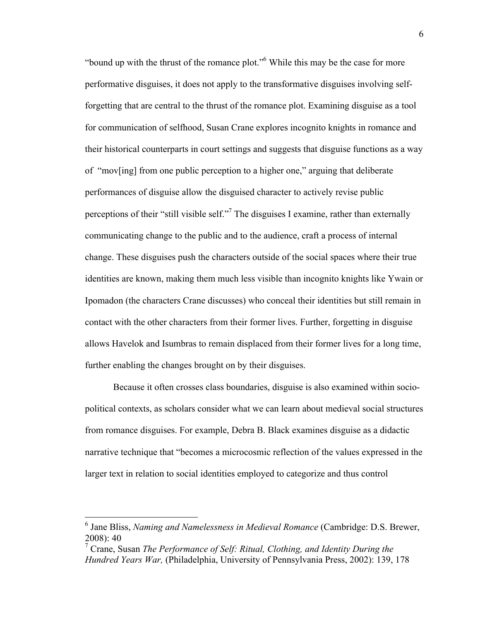"bound up with the thrust of the romance plot."6 While this may be the case for more performative disguises, it does not apply to the transformative disguises involving selfforgetting that are central to the thrust of the romance plot. Examining disguise as a tool for communication of selfhood, Susan Crane explores incognito knights in romance and their historical counterparts in court settings and suggests that disguise functions as a way of "mov[ing] from one public perception to a higher one," arguing that deliberate performances of disguise allow the disguised character to actively revise public perceptions of their "still visible self."<sup>7</sup> The disguises I examine, rather than externally communicating change to the public and to the audience, craft a process of internal change. These disguises push the characters outside of the social spaces where their true identities are known, making them much less visible than incognito knights like Ywain or Ipomadon (the characters Crane discusses) who conceal their identities but still remain in contact with the other characters from their former lives. Further, forgetting in disguise allows Havelok and Isumbras to remain displaced from their former lives for a long time, further enabling the changes brought on by their disguises.

Because it often crosses class boundaries, disguise is also examined within sociopolitical contexts, as scholars consider what we can learn about medieval social structures from romance disguises. For example, Debra B. Black examines disguise as a didactic narrative technique that "becomes a microcosmic reflection of the values expressed in the larger text in relation to social identities employed to categorize and thus control

 <sup>6</sup> Jane Bliss, *Naming and Namelessness in Medieval Romance* (Cambridge: D.S. Brewer, 2008): 40

<sup>7</sup> Crane, Susan *The Performance of Self: Ritual, Clothing, and Identity During the Hundred Years War,* (Philadelphia, University of Pennsylvania Press, 2002): 139, 178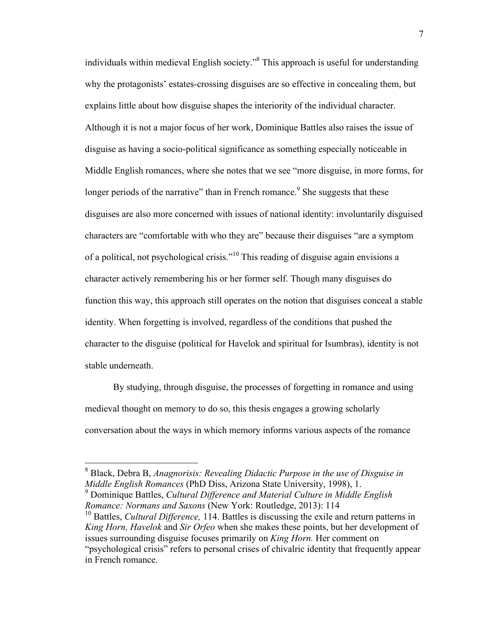individuals within medieval English society."8 This approach is useful for understanding why the protagonists' estates-crossing disguises are so effective in concealing them, but explains little about how disguise shapes the interiority of the individual character. Although it is not a major focus of her work, Dominique Battles also raises the issue of disguise as having a socio-political significance as something especially noticeable in Middle English romances, where she notes that we see "more disguise, in more forms, for longer periods of the narrative" than in French romance.<sup>9</sup> She suggests that these disguises are also more concerned with issues of national identity: involuntarily disguised characters are "comfortable with who they are" because their disguises "are a symptom of a political, not psychological crisis."<sup>10</sup> This reading of disguise again envisions a character actively remembering his or her former self. Though many disguises do function this way, this approach still operates on the notion that disguises conceal a stable identity. When forgetting is involved, regardless of the conditions that pushed the character to the disguise (political for Havelok and spiritual for Isumbras), identity is not stable underneath.

By studying, through disguise, the processes of forgetting in romance and using medieval thought on memory to do so, this thesis engages a growing scholarly conversation about the ways in which memory informs various aspects of the romance

<sup>9</sup> Dominique Battles, *Cultural Difference and Material Culture in Middle English Romance: Normans and Saxons* (New York: Routledge, 2013): 114

 <sup>8</sup> Black, Debra B, *Anagnorisis: Revealing Didactic Purpose in the use of Disguise in Middle English Romances* (PhD Diss, Arizona State University, 1998), 1.

<sup>&</sup>lt;sup>10</sup> Battles, *Cultural Difference*, 114. Battles is discussing the exile and return patterns in *King Horn, Havelok* and *Sir Orfeo* when she makes these points, but her development of issues surrounding disguise focuses primarily on *King Horn.* Her comment on "psychological crisis" refers to personal crises of chivalric identity that frequently appear in French romance.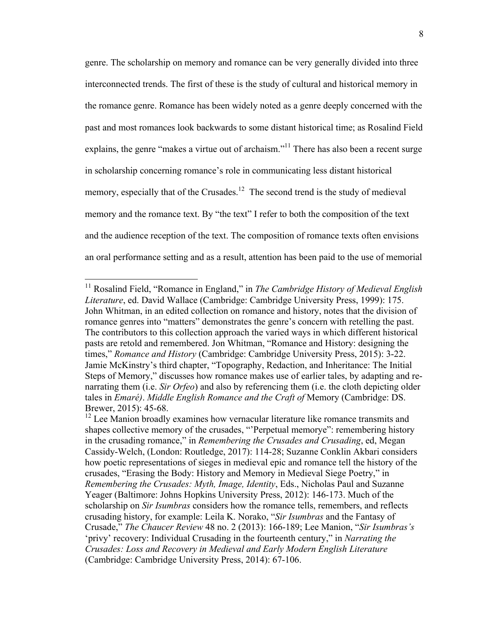genre. The scholarship on memory and romance can be very generally divided into three interconnected trends. The first of these is the study of cultural and historical memory in the romance genre. Romance has been widely noted as a genre deeply concerned with the past and most romances look backwards to some distant historical time; as Rosalind Field explains, the genre "makes a virtue out of archaism."<sup>11</sup> There has also been a recent surge in scholarship concerning romance's role in communicating less distant historical memory, especially that of the Crusades.<sup>12</sup> The second trend is the study of medieval memory and the romance text. By "the text" I refer to both the composition of the text and the audience reception of the text. The composition of romance texts often envisions an oral performance setting and as a result, attention has been paid to the use of memorial

<sup>&</sup>lt;sup>11</sup> Rosalind Field, "Romance in England," in *The Cambridge History of Medieval English Literature*, ed. David Wallace (Cambridge: Cambridge University Press, 1999): 175. John Whitman, in an edited collection on romance and history, notes that the division of romance genres into "matters" demonstrates the genre's concern with retelling the past. The contributors to this collection approach the varied ways in which different historical pasts are retold and remembered. Jon Whitman, "Romance and History: designing the times," *Romance and History* (Cambridge: Cambridge University Press, 2015): 3-22. Jamie McKinstry's third chapter, "Topography, Redaction, and Inheritance: The Initial Steps of Memory," discusses how romance makes use of earlier tales, by adapting and renarrating them (i.e. *Sir Orfeo*) and also by referencing them (i.e. the cloth depicting older tales in *Emaré)*. *Middle English Romance and the Craft of* Memory (Cambridge: DS. Brewer, 2015): 45-68.

<sup>&</sup>lt;sup>12</sup> Lee Manion broadly examines how vernacular literature like romance transmits and shapes collective memory of the crusades, "'Perpetual memorye": remembering history in the crusading romance," in *Remembering the Crusades and Crusading*, ed, Megan Cassidy-Welch, (London: Routledge, 2017): 114-28; Suzanne Conklin Akbari considers how poetic representations of sieges in medieval epic and romance tell the history of the crusades, "Erasing the Body: History and Memory in Medieval Siege Poetry," in *Remembering the Crusades: Myth, Image, Identity*, Eds., Nicholas Paul and Suzanne Yeager (Baltimore: Johns Hopkins University Press, 2012): 146-173. Much of the scholarship on *Sir Isumbras* considers how the romance tells, remembers, and reflects crusading history, for example: Leila K. Norako, "*Sir Isumbras* and the Fantasy of Crusade," *The Chaucer Review* 48 no. 2 (2013): 166-189; Lee Manion, "*Sir Isumbras's*  'privy' recovery: Individual Crusading in the fourteenth century," in *Narrating the Crusades: Loss and Recovery in Medieval and Early Modern English Literature* (Cambridge: Cambridge University Press, 2014): 67-106.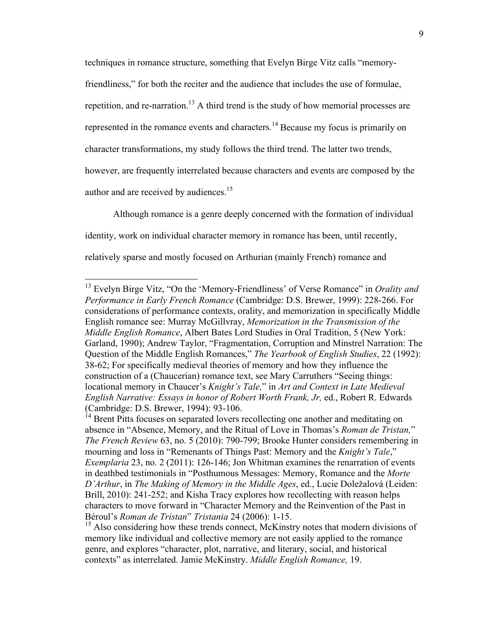techniques in romance structure, something that Evelyn Birge Vitz calls "memory-

friendliness," for both the reciter and the audience that includes the use of formulae,

repetition, and re-narration.<sup>13</sup> A third trend is the study of how memorial processes are

represented in the romance events and characters.<sup>14</sup> Because my focus is primarily on

character transformations, my study follows the third trend. The latter two trends,

however, are frequently interrelated because characters and events are composed by the

author and are received by audiences.<sup>15</sup>

Although romance is a genre deeply concerned with the formation of individual identity, work on individual character memory in romance has been, until recently, relatively sparse and mostly focused on Arthurian (mainly French) romance and

 <sup>13</sup> Evelyn Birge Vitz, "On the 'Memory-Friendliness' of Verse Romance" in *Orality and Performance in Early French Romance* (Cambridge: D.S. Brewer, 1999): 228-266. For considerations of performance contexts, orality, and memorization in specifically Middle English romance see: Murray McGillvray, *Memorization in the Transmission of the Middle English Romance*, Albert Bates Lord Studies in Oral Tradition, 5 (New York: Garland, 1990); Andrew Taylor, "Fragmentation, Corruption and Minstrel Narration: The Question of the Middle English Romances," *The Yearbook of English Studies*, 22 (1992): 38-62; For specifically medieval theories of memory and how they influence the construction of a (Chaucerian) romance text, see Mary Carruthers "Seeing things: locational memory in Chaucer's *Knight's Tale,*" in *Art and Context in Late Medieval English Narrative: Essays in honor of Robert Worth Frank, Jr,* ed., Robert R. Edwards (Cambridge: D.S. Brewer, 1994): 93-106.

Brent Pitts focuses on separated lovers recollecting one another and meditating on absence in "Absence, Memory, and the Ritual of Love in Thomas's *Roman de Tristan,*" *The French Review* 63, no. 5 (2010): 790-799; Brooke Hunter considers remembering in mourning and loss in "Remenants of Things Past: Memory and the *Knight's Tale*," *Exemplaria* 23, no. 2 (2011): 126-146; Jon Whitman examines the renarration of events in deathbed testimonials in "Posthumous Messages: Memory, Romance and the *Morte D'Arthur*, in *The Making of Memory in the Middle Ages*, ed., Lucie Doležalová (Leiden: Brill, 2010): 241-252; and Kisha Tracy explores how recollecting with reason helps characters to move forward in "Character Memory and the Reinvention of the Past in Béroul's *Roman de Tristan*" *Tristania* 24 (2006): 1-15.

<sup>&</sup>lt;sup>15</sup> Also considering how these trends connect, McKinstry notes that modern divisions of memory like individual and collective memory are not easily applied to the romance genre, and explores "character, plot, narrative, and literary, social, and historical contexts" as interrelated. Jamie McKinstry. *Middle English Romance,* 19.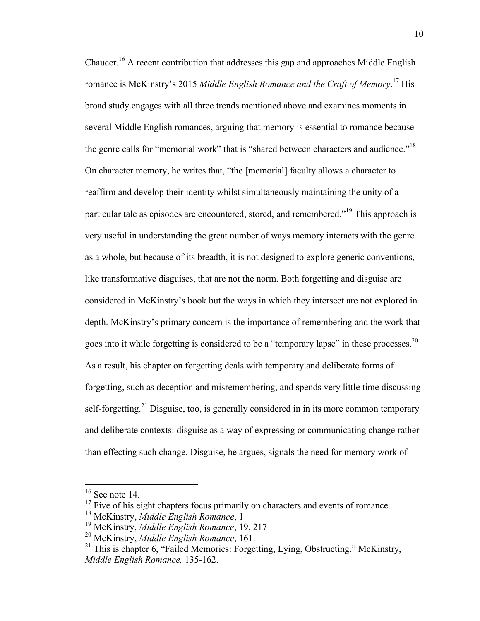Chaucer.16 A recent contribution that addresses this gap and approaches Middle English romance is McKinstry's 2015 *Middle English Romance and the Craft of Memory*. <sup>17</sup> His broad study engages with all three trends mentioned above and examines moments in several Middle English romances, arguing that memory is essential to romance because the genre calls for "memorial work" that is "shared between characters and audience."<sup>18</sup> On character memory, he writes that, "the [memorial] faculty allows a character to reaffirm and develop their identity whilst simultaneously maintaining the unity of a particular tale as episodes are encountered, stored, and remembered."<sup>19</sup> This approach is very useful in understanding the great number of ways memory interacts with the genre as a whole, but because of its breadth, it is not designed to explore generic conventions, like transformative disguises, that are not the norm. Both forgetting and disguise are considered in McKinstry's book but the ways in which they intersect are not explored in depth. McKinstry's primary concern is the importance of remembering and the work that goes into it while forgetting is considered to be a "temporary lapse" in these processes.<sup>20</sup> As a result, his chapter on forgetting deals with temporary and deliberate forms of forgetting, such as deception and misremembering, and spends very little time discussing self-forgetting.<sup>21</sup> Disguise, too, is generally considered in in its more common temporary and deliberate contexts: disguise as a way of expressing or communicating change rather than effecting such change. Disguise, he argues, signals the need for memory work of

 $16$  See note 14.

 $17$  Five of his eight chapters focus primarily on characters and events of romance.

<sup>18</sup> McKinstry, *Middle English Romance*, 1

<sup>19</sup> McKinstry, *Middle English Romance*, 19, 217

<sup>20</sup> McKinstry, *Middle English Romance*, 161.

 $21$  This is chapter 6, "Failed Memories: Forgetting, Lying, Obstructing." McKinstry, *Middle English Romance,* 135-162.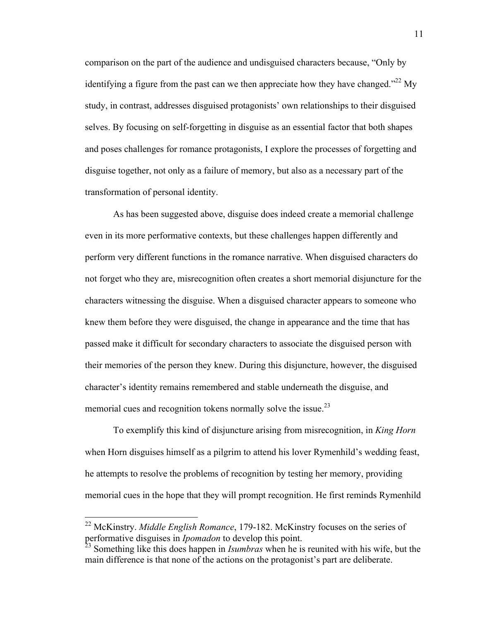comparison on the part of the audience and undisguised characters because, "Only by identifying a figure from the past can we then appreciate how they have changed."<sup>22</sup> My study, in contrast, addresses disguised protagonists' own relationships to their disguised selves. By focusing on self-forgetting in disguise as an essential factor that both shapes and poses challenges for romance protagonists, I explore the processes of forgetting and disguise together, not only as a failure of memory, but also as a necessary part of the transformation of personal identity.

As has been suggested above, disguise does indeed create a memorial challenge even in its more performative contexts, but these challenges happen differently and perform very different functions in the romance narrative. When disguised characters do not forget who they are, misrecognition often creates a short memorial disjuncture for the characters witnessing the disguise. When a disguised character appears to someone who knew them before they were disguised, the change in appearance and the time that has passed make it difficult for secondary characters to associate the disguised person with their memories of the person they knew. During this disjuncture, however, the disguised character's identity remains remembered and stable underneath the disguise, and memorial cues and recognition tokens normally solve the issue.<sup>23</sup>

To exemplify this kind of disjuncture arising from misrecognition, in *King Horn* when Horn disguises himself as a pilgrim to attend his lover Rymenhild's wedding feast, he attempts to resolve the problems of recognition by testing her memory, providing memorial cues in the hope that they will prompt recognition. He first reminds Rymenhild

 <sup>22</sup> McKinstry. *Middle English Romance*, 179-182. McKinstry focuses on the series of performative disguises in *Ipomadon* to develop this point.

<sup>23</sup> Something like this does happen in *Isumbras* when he is reunited with his wife, but the main difference is that none of the actions on the protagonist's part are deliberate.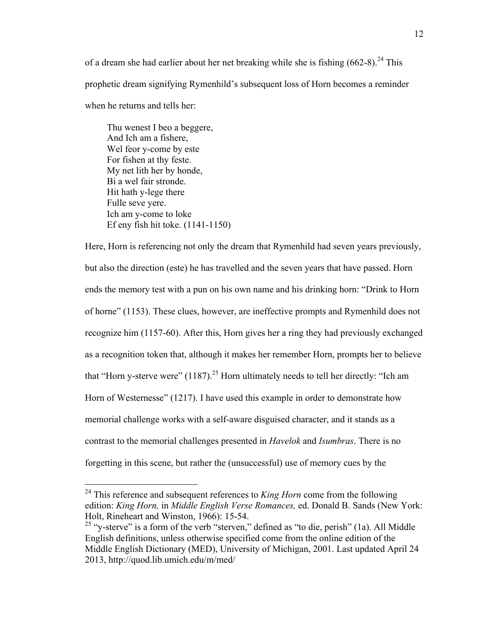of a dream she had earlier about her net breaking while she is fishing  $(662-8)^{24}$  This prophetic dream signifying Rymenhild's subsequent loss of Horn becomes a reminder when he returns and tells her:

Thu wenest I beo a beggere, And Ich am a fishere, Wel feor y-come by este For fishen at thy feste. My net lith her by honde, Bi a wel fair stronde. Hit hath y-lege there Fulle seve yere. Ich am y-come to loke Ef eny fish hit toke. (1141-1150)

Here, Horn is referencing not only the dream that Rymenhild had seven years previously, but also the direction (este) he has travelled and the seven years that have passed. Horn ends the memory test with a pun on his own name and his drinking horn: "Drink to Horn of horne" (1153). These clues, however, are ineffective prompts and Rymenhild does not recognize him (1157-60). After this, Horn gives her a ring they had previously exchanged as a recognition token that, although it makes her remember Horn, prompts her to believe that "Horn y-sterve were"  $(1187)^{25}$  Horn ultimately needs to tell her directly: "Ich am Horn of Westernesse" (1217). I have used this example in order to demonstrate how memorial challenge works with a self-aware disguised character, and it stands as a contrast to the memorial challenges presented in *Havelok* and *Isumbras*. There is no forgetting in this scene, but rather the (unsuccessful) use of memory cues by the

<sup>&</sup>lt;sup>24</sup> This reference and subsequent references to *King Horn* come from the following edition: *King Horn,* in *Middle English Verse Romances,* ed. Donald B. Sands (New York: Holt, Rineheart and Winston, 1966): 15-54.

<sup>&</sup>lt;sup>25</sup> "y-sterve" is a form of the verb "sterven," defined as "to die, perish" (1a). All Middle English definitions, unless otherwise specified come from the online edition of the Middle English Dictionary (MED), University of Michigan, 2001. Last updated April 24 2013, http://quod.lib.umich.edu/m/med/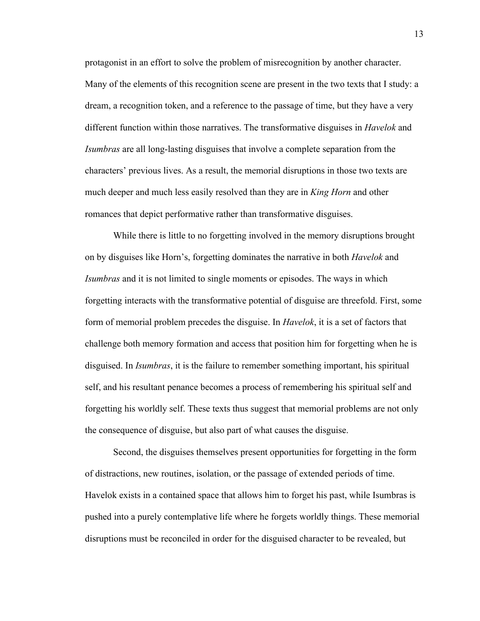protagonist in an effort to solve the problem of misrecognition by another character. Many of the elements of this recognition scene are present in the two texts that I study: a dream, a recognition token, and a reference to the passage of time, but they have a very different function within those narratives. The transformative disguises in *Havelok* and *Isumbras* are all long-lasting disguises that involve a complete separation from the characters' previous lives. As a result, the memorial disruptions in those two texts are much deeper and much less easily resolved than they are in *King Horn* and other romances that depict performative rather than transformative disguises.

While there is little to no forgetting involved in the memory disruptions brought on by disguises like Horn's, forgetting dominates the narrative in both *Havelok* and *Isumbras* and it is not limited to single moments or episodes. The ways in which forgetting interacts with the transformative potential of disguise are threefold. First, some form of memorial problem precedes the disguise. In *Havelok*, it is a set of factors that challenge both memory formation and access that position him for forgetting when he is disguised. In *Isumbras*, it is the failure to remember something important, his spiritual self, and his resultant penance becomes a process of remembering his spiritual self and forgetting his worldly self. These texts thus suggest that memorial problems are not only the consequence of disguise, but also part of what causes the disguise.

Second, the disguises themselves present opportunities for forgetting in the form of distractions, new routines, isolation, or the passage of extended periods of time. Havelok exists in a contained space that allows him to forget his past, while Isumbras is pushed into a purely contemplative life where he forgets worldly things. These memorial disruptions must be reconciled in order for the disguised character to be revealed, but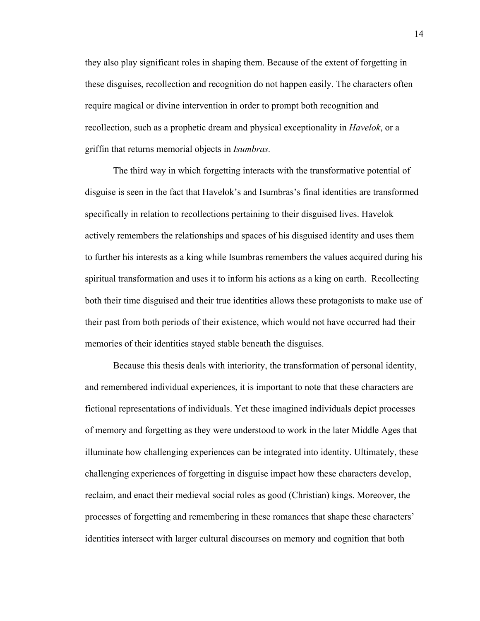they also play significant roles in shaping them. Because of the extent of forgetting in these disguises, recollection and recognition do not happen easily. The characters often require magical or divine intervention in order to prompt both recognition and recollection, such as a prophetic dream and physical exceptionality in *Havelok*, or a griffin that returns memorial objects in *Isumbras.*

The third way in which forgetting interacts with the transformative potential of disguise is seen in the fact that Havelok's and Isumbras's final identities are transformed specifically in relation to recollections pertaining to their disguised lives. Havelok actively remembers the relationships and spaces of his disguised identity and uses them to further his interests as a king while Isumbras remembers the values acquired during his spiritual transformation and uses it to inform his actions as a king on earth. Recollecting both their time disguised and their true identities allows these protagonists to make use of their past from both periods of their existence, which would not have occurred had their memories of their identities stayed stable beneath the disguises.

Because this thesis deals with interiority, the transformation of personal identity, and remembered individual experiences, it is important to note that these characters are fictional representations of individuals. Yet these imagined individuals depict processes of memory and forgetting as they were understood to work in the later Middle Ages that illuminate how challenging experiences can be integrated into identity. Ultimately, these challenging experiences of forgetting in disguise impact how these characters develop, reclaim, and enact their medieval social roles as good (Christian) kings. Moreover, the processes of forgetting and remembering in these romances that shape these characters' identities intersect with larger cultural discourses on memory and cognition that both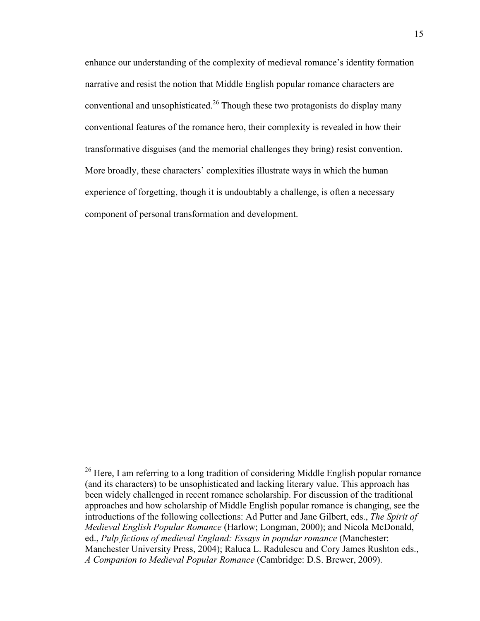enhance our understanding of the complexity of medieval romance's identity formation narrative and resist the notion that Middle English popular romance characters are conventional and unsophisticated.<sup>26</sup> Though these two protagonists do display many conventional features of the romance hero, their complexity is revealed in how their transformative disguises (and the memorial challenges they bring) resist convention. More broadly, these characters' complexities illustrate ways in which the human experience of forgetting, though it is undoubtably a challenge, is often a necessary component of personal transformation and development.

 $^{26}$  Here, I am referring to a long tradition of considering Middle English popular romance (and its characters) to be unsophisticated and lacking literary value. This approach has been widely challenged in recent romance scholarship. For discussion of the traditional approaches and how scholarship of Middle English popular romance is changing, see the introductions of the following collections: Ad Putter and Jane Gilbert, eds., *The Spirit of Medieval English Popular Romance* (Harlow; Longman, 2000); and Nicola McDonald, ed., *Pulp fictions of medieval England: Essays in popular romance* (Manchester: Manchester University Press, 2004); Raluca L. Radulescu and Cory James Rushton eds., *A Companion to Medieval Popular Romance* (Cambridge: D.S. Brewer, 2009).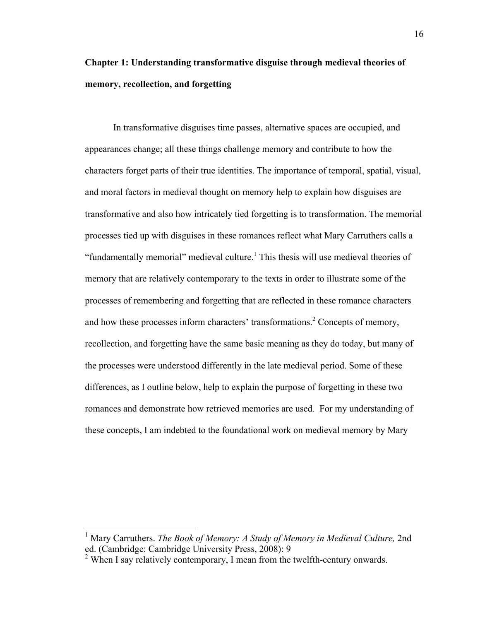# **Chapter 1: Understanding transformative disguise through medieval theories of memory, recollection, and forgetting**

In transformative disguises time passes, alternative spaces are occupied, and appearances change; all these things challenge memory and contribute to how the characters forget parts of their true identities. The importance of temporal, spatial, visual, and moral factors in medieval thought on memory help to explain how disguises are transformative and also how intricately tied forgetting is to transformation. The memorial processes tied up with disguises in these romances reflect what Mary Carruthers calls a "fundamentally memorial" medieval culture.<sup>1</sup> This thesis will use medieval theories of memory that are relatively contemporary to the texts in order to illustrate some of the processes of remembering and forgetting that are reflected in these romance characters and how these processes inform characters' transformations.<sup>2</sup> Concepts of memory, recollection, and forgetting have the same basic meaning as they do today, but many of the processes were understood differently in the late medieval period. Some of these differences, as I outline below, help to explain the purpose of forgetting in these two romances and demonstrate how retrieved memories are used. For my understanding of these concepts, I am indebted to the foundational work on medieval memory by Mary

<sup>&</sup>lt;sup>1</sup> Mary Carruthers. *The Book of Memory: A Study of Memory in Medieval Culture*, 2nd ed. (Cambridge: Cambridge University Press, 2008): 9

<sup>&</sup>lt;sup>2</sup> When I say relatively contemporary, I mean from the twelfth-century onwards.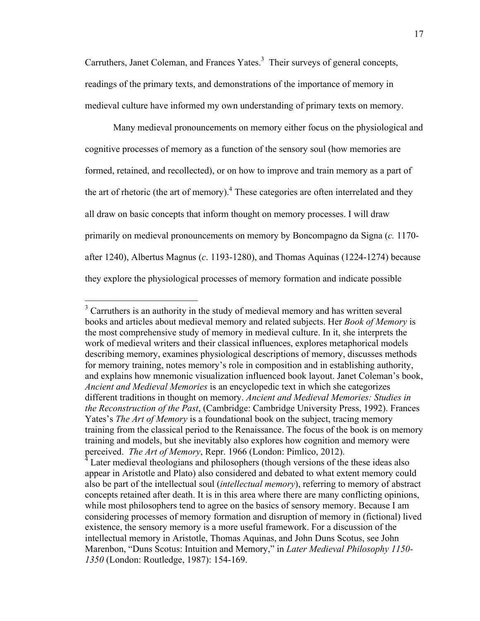Carruthers, Janet Coleman, and Frances Yates.<sup>3</sup> Their surveys of general concepts, readings of the primary texts, and demonstrations of the importance of memory in medieval culture have informed my own understanding of primary texts on memory.

Many medieval pronouncements on memory either focus on the physiological and cognitive processes of memory as a function of the sensory soul (how memories are formed, retained, and recollected), or on how to improve and train memory as a part of the art of rhetoric (the art of memory).<sup>4</sup> These categories are often interrelated and they all draw on basic concepts that inform thought on memory processes. I will draw primarily on medieval pronouncements on memory by Boncompagno da Signa (*c.* 1170 after 1240), Albertus Magnus (*c*. 1193-1280), and Thomas Aquinas (1224-1274) because they explore the physiological processes of memory formation and indicate possible

<sup>&</sup>lt;sup>3</sup> Carruthers is an authority in the study of medieval memory and has written several books and articles about medieval memory and related subjects. Her *Book of Memory* is the most comprehensive study of memory in medieval culture. In it, she interprets the work of medieval writers and their classical influences, explores metaphorical models describing memory, examines physiological descriptions of memory, discusses methods for memory training, notes memory's role in composition and in establishing authority, and explains how mnemonic visualization influenced book layout. Janet Coleman's book, *Ancient and Medieval Memories* is an encyclopedic text in which she categorizes different traditions in thought on memory. *Ancient and Medieval Memories: Studies in the Reconstruction of the Past*, (Cambridge: Cambridge University Press, 1992). Frances Yates's *The Art of Memory* is a foundational book on the subject, tracing memory training from the classical period to the Renaissance. The focus of the book is on memory training and models, but she inevitably also explores how cognition and memory were perceived. *The Art of Memory*, Repr. 1966 (London: Pimlico, 2012).

Later medieval theologians and philosophers (though versions of the these ideas also appear in Aristotle and Plato) also considered and debated to what extent memory could also be part of the intellectual soul (*intellectual memory*), referring to memory of abstract concepts retained after death. It is in this area where there are many conflicting opinions, while most philosophers tend to agree on the basics of sensory memory. Because I am considering processes of memory formation and disruption of memory in (fictional) lived existence, the sensory memory is a more useful framework. For a discussion of the intellectual memory in Aristotle, Thomas Aquinas, and John Duns Scotus, see John Marenbon, "Duns Scotus: Intuition and Memory," in *Later Medieval Philosophy 1150- 1350* (London: Routledge, 1987): 154-169.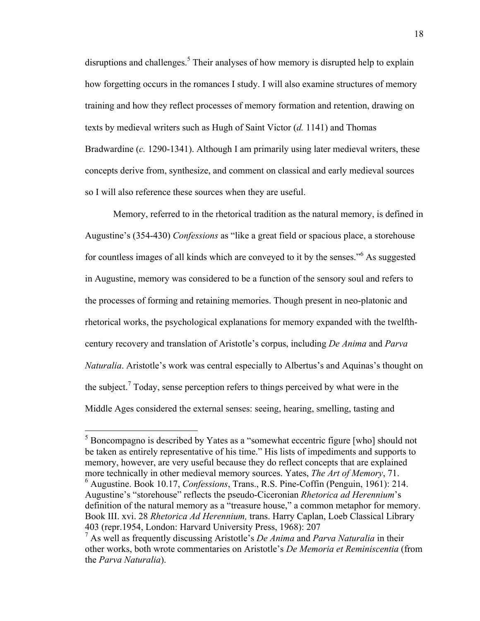disruptions and challenges.<sup>5</sup> Their analyses of how memory is disrupted help to explain how forgetting occurs in the romances I study. I will also examine structures of memory training and how they reflect processes of memory formation and retention, drawing on texts by medieval writers such as Hugh of Saint Victor (*d.* 1141) and Thomas Bradwardine (*c.* 1290-1341). Although I am primarily using later medieval writers, these concepts derive from, synthesize, and comment on classical and early medieval sources so I will also reference these sources when they are useful.

Memory, referred to in the rhetorical tradition as the natural memory, is defined in Augustine's (354-430) *Confessions* as "like a great field or spacious place, a storehouse for countless images of all kinds which are conveyed to it by the senses."<sup>6</sup> As suggested in Augustine, memory was considered to be a function of the sensory soul and refers to the processes of forming and retaining memories. Though present in neo-platonic and rhetorical works, the psychological explanations for memory expanded with the twelfthcentury recovery and translation of Aristotle's corpus, including *De Anima* and *Parva Naturalia*. Aristotle's work was central especially to Albertus's and Aquinas's thought on the subject.<sup>7</sup> Today, sense perception refers to things perceived by what were in the Middle Ages considered the external senses: seeing, hearing, smelling, tasting and

<sup>&</sup>lt;sup>5</sup> Boncompagno is described by Yates as a "somewhat eccentric figure [who] should not be taken as entirely representative of his time." His lists of impediments and supports to memory, however, are very useful because they do reflect concepts that are explained more technically in other medieval memory sources. Yates, *The Art of Memory*, 71. <sup>6</sup> Augustine. Book 10.17, *Confessions*, Trans., R.S. Pine-Coffin (Penguin, 1961): 214. Augustine's "storehouse" reflects the pseudo-Ciceronian *Rhetorica ad Herennium*'s definition of the natural memory as a "treasure house," a common metaphor for memory. Book III. xvi. 28 *Rhetorica Ad Herennium,* trans. Harry Caplan, Loeb Classical Library 403 (repr.1954, London: Harvard University Press, 1968): 207

<sup>7</sup> As well as frequently discussing Aristotle's *De Anima* and *Parva Naturalia* in their other works, both wrote commentaries on Aristotle's *De Memoria et Reminiscentia* (from the *Parva Naturalia*).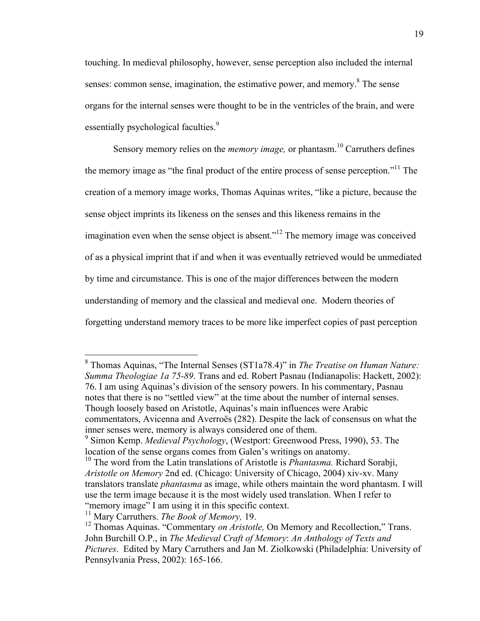touching. In medieval philosophy, however, sense perception also included the internal senses: common sense, imagination, the estimative power, and memory.<sup>8</sup> The sense organs for the internal senses were thought to be in the ventricles of the brain, and were essentially psychological faculties.<sup>9</sup>

Sensory memory relies on the *memory image,* or phantasm. <sup>10</sup> Carruthers defines the memory image as "the final product of the entire process of sense perception."11 The creation of a memory image works, Thomas Aquinas writes, "like a picture, because the sense object imprints its likeness on the senses and this likeness remains in the imagination even when the sense object is absent."<sup>12</sup> The memory image was conceived of as a physical imprint that if and when it was eventually retrieved would be unmediated by time and circumstance. This is one of the major differences between the modern understanding of memory and the classical and medieval one. Modern theories of forgetting understand memory traces to be more like imperfect copies of past perception

 <sup>8</sup> Thomas Aquinas, "The Internal Senses (ST1a78.4)" in *The Treatise on Human Nature: Summa Theologiae 1a 75-89*. Trans and ed. Robert Pasnau (Indianapolis: Hackett, 2002): 76. I am using Aquinas's division of the sensory powers. In his commentary, Pasnau notes that there is no "settled view" at the time about the number of internal senses. Though loosely based on Aristotle, Aquinas's main influences were Arabic commentators, Avicenna and Averroës (282). Despite the lack of consensus on what the inner senses were, memory is always considered one of them. 9 Simon Kemp. *Medieval Psychology*, (Westport: Greenwood Press, 1990), 53. The

location of the sense organs comes from Galen's writings on anatomy.

<sup>&</sup>lt;sup>10</sup> The word from the Latin translations of Aristotle is *Phantasma*. Richard Sorabji, *Aristotle on Memory* 2nd ed. (Chicago: University of Chicago, 2004) xiv-xv. Many translators translate *phantasma* as image, while others maintain the word phantasm. I will use the term image because it is the most widely used translation. When I refer to "memory image" I am using it in this specific context.

<sup>11</sup> Mary Carruthers. *The Book of Memory,* 19.

<sup>&</sup>lt;sup>12</sup> Thomas Aquinas. "Commentary *on Aristotle*, On Memory and Recollection," Trans. John Burchill O.P., in *The Medieval Craft of Memory*: *An Anthology of Texts and Pictures*. Edited by Mary Carruthers and Jan M. Ziolkowski (Philadelphia: University of Pennsylvania Press, 2002): 165-166.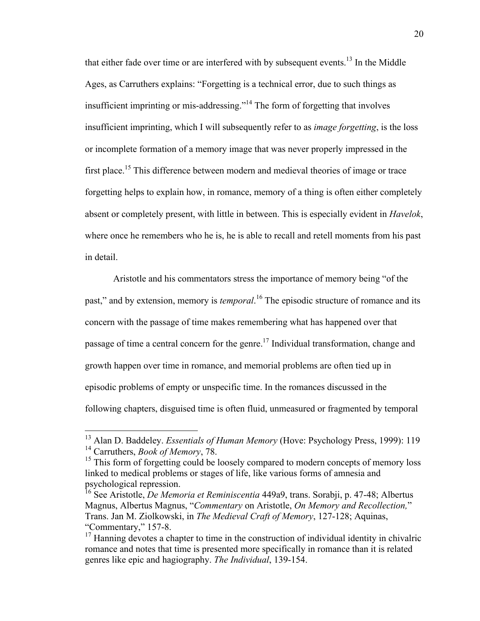that either fade over time or are interfered with by subsequent events.<sup>13</sup> In the Middle Ages, as Carruthers explains: "Forgetting is a technical error, due to such things as insufficient imprinting or mis-addressing."14 The form of forgetting that involves insufficient imprinting, which I will subsequently refer to as *image forgetting*, is the loss or incomplete formation of a memory image that was never properly impressed in the first place.<sup>15</sup> This difference between modern and medieval theories of image or trace forgetting helps to explain how, in romance, memory of a thing is often either completely absent or completely present, with little in between. This is especially evident in *Havelok*, where once he remembers who he is, he is able to recall and retell moments from his past in detail.

Aristotle and his commentators stress the importance of memory being "of the past," and by extension, memory is *temporal*. <sup>16</sup> The episodic structure of romance and its concern with the passage of time makes remembering what has happened over that passage of time a central concern for the genre.<sup>17</sup> Individual transformation, change and growth happen over time in romance, and memorial problems are often tied up in episodic problems of empty or unspecific time. In the romances discussed in the following chapters, disguised time is often fluid, unmeasured or fragmented by temporal

<sup>&</sup>lt;sup>13</sup> Alan D. Baddeley. *Essentials of Human Memory* (Hove: Psychology Press, 1999): 119 <sup>14</sup> Carruthers, *Book of Memory*, 78.

<sup>&</sup>lt;sup>15</sup> This form of forgetting could be loosely compared to modern concepts of memory loss linked to medical problems or stages of life, like various forms of amnesia and psychological repression.

<sup>16</sup> See Aristotle, *De Memoria et Reminiscentia* 449a9, trans. Sorabji, p. 47-48; Albertus Magnus, Albertus Magnus, "*Commentary* on Aristotle, *On Memory and Recollection,*" Trans. Jan M. Ziolkowski, in *The Medieval Craft of Memory*, 127-128; Aquinas, "Commentary," 157-8.

 $17$  Hanning devotes a chapter to time in the construction of individual identity in chivalric romance and notes that time is presented more specifically in romance than it is related genres like epic and hagiography. *The Individual*, 139-154.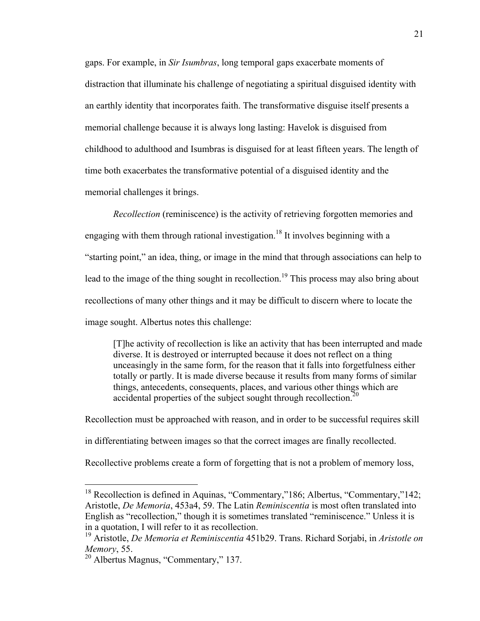gaps. For example, in *Sir Isumbras*, long temporal gaps exacerbate moments of distraction that illuminate his challenge of negotiating a spiritual disguised identity with an earthly identity that incorporates faith. The transformative disguise itself presents a memorial challenge because it is always long lasting: Havelok is disguised from childhood to adulthood and Isumbras is disguised for at least fifteen years. The length of time both exacerbates the transformative potential of a disguised identity and the memorial challenges it brings.

*Recollection* (reminiscence) is the activity of retrieving forgotten memories and engaging with them through rational investigation.<sup>18</sup> It involves beginning with a "starting point," an idea, thing, or image in the mind that through associations can help to lead to the image of the thing sought in recollection.<sup>19</sup> This process may also bring about recollections of many other things and it may be difficult to discern where to locate the image sought. Albertus notes this challenge:

[T]he activity of recollection is like an activity that has been interrupted and made diverse. It is destroyed or interrupted because it does not reflect on a thing unceasingly in the same form, for the reason that it falls into forgetfulness either totally or partly. It is made diverse because it results from many forms of similar things, antecedents, consequents, places, and various other things which are accidental properties of the subject sought through recollection.<sup>20</sup>

Recollection must be approached with reason, and in order to be successful requires skill in differentiating between images so that the correct images are finally recollected. Recollective problems create a form of forgetting that is not a problem of memory loss,

<sup>&</sup>lt;sup>18</sup> Recollection is defined in Aquinas, "Commentary,"186; Albertus, "Commentary,"142; Aristotle, *De Memoria*, 453a4, 59. The Latin *Reminiscentia* is most often translated into English as "recollection," though it is sometimes translated "reminiscence." Unless it is in a quotation, I will refer to it as recollection.

<sup>19</sup> Aristotle, *De Memoria et Reminiscentia* 451b29. Trans. Richard Sorjabi, in *Aristotle on Memory*, 55.

<sup>20</sup> Albertus Magnus, "Commentary," 137.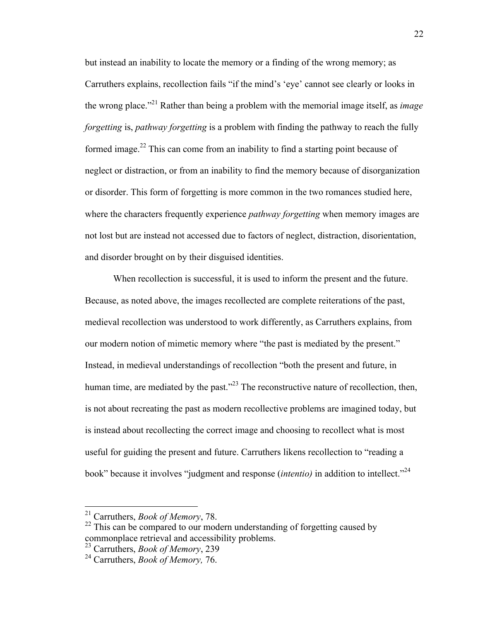but instead an inability to locate the memory or a finding of the wrong memory; as Carruthers explains, recollection fails "if the mind's 'eye' cannot see clearly or looks in the wrong place."21 Rather than being a problem with the memorial image itself, as *image forgetting* is, *pathway forgetting* is a problem with finding the pathway to reach the fully formed image.<sup>22</sup> This can come from an inability to find a starting point because of neglect or distraction, or from an inability to find the memory because of disorganization or disorder. This form of forgetting is more common in the two romances studied here, where the characters frequently experience *pathway forgetting* when memory images are not lost but are instead not accessed due to factors of neglect, distraction, disorientation, and disorder brought on by their disguised identities.

When recollection is successful, it is used to inform the present and the future. Because, as noted above, the images recollected are complete reiterations of the past, medieval recollection was understood to work differently, as Carruthers explains, from our modern notion of mimetic memory where "the past is mediated by the present." Instead, in medieval understandings of recollection "both the present and future, in human time, are mediated by the past."<sup> $23$ </sup> The reconstructive nature of recollection, then, is not about recreating the past as modern recollective problems are imagined today, but is instead about recollecting the correct image and choosing to recollect what is most useful for guiding the present and future. Carruthers likens recollection to "reading a book" because it involves "judgment and response *(intentio)* in addition to intellect."<sup>24</sup>

 <sup>21</sup> Carruthers, *Book of Memory*, 78.

 $22$  This can be compared to our modern understanding of forgetting caused by commonplace retrieval and accessibility problems.

<sup>23</sup> Carruthers, *Book of Memory*, 239

<sup>24</sup> Carruthers, *Book of Memory,* 76.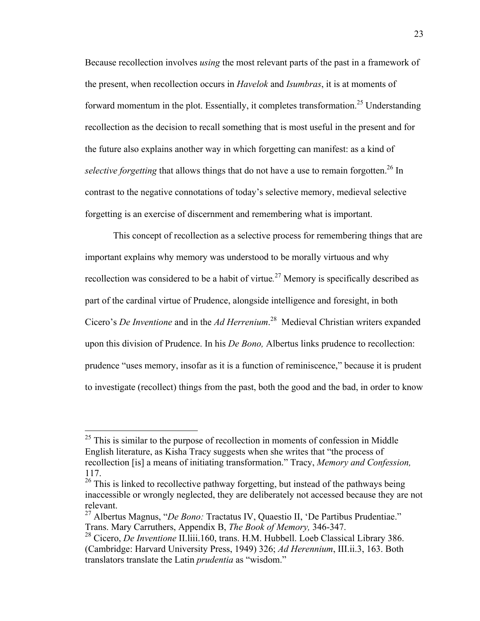Because recollection involves *using* the most relevant parts of the past in a framework of the present, when recollection occurs in *Havelok* and *Isumbras*, it is at moments of forward momentum in the plot. Essentially, it completes transformation.<sup>25</sup> Understanding recollection as the decision to recall something that is most useful in the present and for the future also explains another way in which forgetting can manifest: as a kind of *selective forgetting* that allows things that do not have a use to remain forgotten.<sup>26</sup> In contrast to the negative connotations of today's selective memory, medieval selective forgetting is an exercise of discernment and remembering what is important.

This concept of recollection as a selective process for remembering things that are important explains why memory was understood to be morally virtuous and why recollection was considered to be a habit of virtue*.* <sup>27</sup> Memory is specifically described as part of the cardinal virtue of Prudence, alongside intelligence and foresight, in both Cicero's *De Inventione* and in the *Ad Herrenium*. <sup>28</sup> Medieval Christian writers expanded upon this division of Prudence. In his *De Bono,* Albertus links prudence to recollection: prudence "uses memory, insofar as it is a function of reminiscence," because it is prudent to investigate (recollect) things from the past, both the good and the bad, in order to know

 $25$  This is similar to the purpose of recollection in moments of confession in Middle English literature, as Kisha Tracy suggests when she writes that "the process of recollection [is] a means of initiating transformation." Tracy, *Memory and Confession,*  117.

 $26$  This is linked to recollective pathway forgetting, but instead of the pathways being inaccessible or wrongly neglected, they are deliberately not accessed because they are not relevant.

<sup>27</sup> Albertus Magnus, "*De Bono:* Tractatus IV, Quaestio II, 'De Partibus Prudentiae." Trans. Mary Carruthers, Appendix B, *The Book of Memory,* 346-347.

<sup>28</sup> Cicero, *De Inventione* II.liii.160, trans. H.M. Hubbell. Loeb Classical Library 386. (Cambridge: Harvard University Press, 1949) 326; *Ad Herennium*, III.ii.3, 163. Both translators translate the Latin *prudentia* as "wisdom."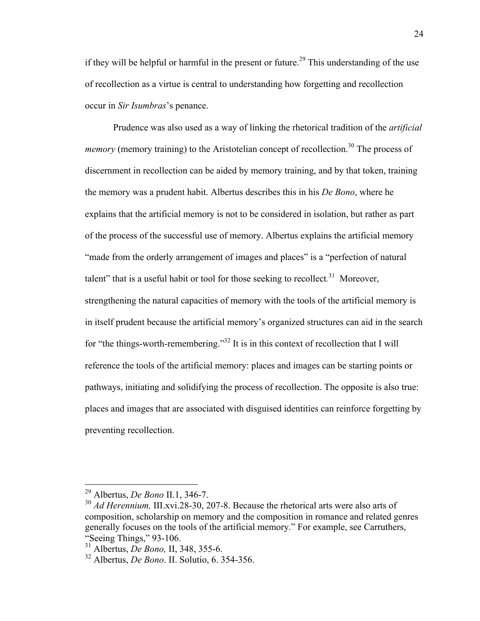if they will be helpful or harmful in the present or future.<sup>29</sup> This understanding of the use of recollection as a virtue is central to understanding how forgetting and recollection occur in *Sir Isumbras*'s penance.

Prudence was also used as a way of linking the rhetorical tradition of the *artificial memory* (memory training) to the Aristotelian concept of recollection.<sup>30</sup> The process of discernment in recollection can be aided by memory training, and by that token, training the memory was a prudent habit. Albertus describes this in his *De Bono*, where he explains that the artificial memory is not to be considered in isolation, but rather as part of the process of the successful use of memory. Albertus explains the artificial memory "made from the orderly arrangement of images and places" is a "perfection of natural talent" that is a useful habit or tool for those seeking to recollect*.* 31 Moreover, strengthening the natural capacities of memory with the tools of the artificial memory is in itself prudent because the artificial memory's organized structures can aid in the search for "the things-worth-remembering."<sup>32</sup> It is in this context of recollection that I will reference the tools of the artificial memory: places and images can be starting points or pathways, initiating and solidifying the process of recollection. The opposite is also true: places and images that are associated with disguised identities can reinforce forgetting by preventing recollection.

 <sup>29</sup> Albertus, *De Bono* II.1, 346-7.

<sup>&</sup>lt;sup>30</sup> *Ad Herennium*, III.xvi.28-30, 207-8. Because the rhetorical arts were also arts of composition, scholarship on memory and the composition in romance and related genres generally focuses on the tools of the artificial memory." For example, see Carruthers,

<sup>&</sup>lt;sup>31</sup> Albertus, *De Bono*, II, 348, 355-6.

<sup>32</sup> Albertus, *De Bono*. II. Solutio, 6. 354-356.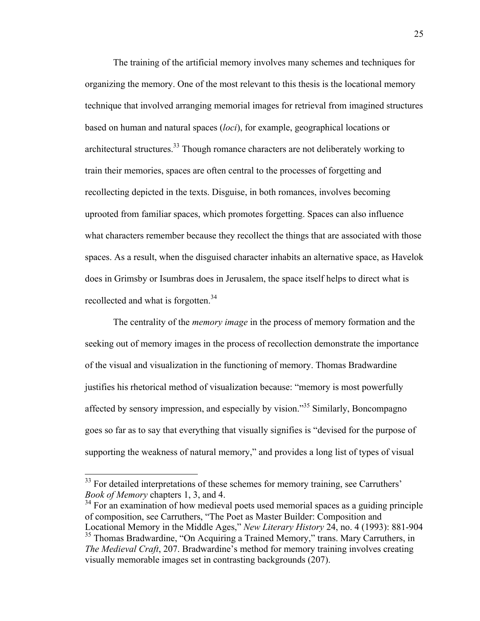The training of the artificial memory involves many schemes and techniques for organizing the memory. One of the most relevant to this thesis is the locational memory technique that involved arranging memorial images for retrieval from imagined structures based on human and natural spaces (*loci*), for example, geographical locations or architectural structures.<sup>33</sup> Though romance characters are not deliberately working to train their memories, spaces are often central to the processes of forgetting and recollecting depicted in the texts. Disguise, in both romances, involves becoming uprooted from familiar spaces, which promotes forgetting. Spaces can also influence what characters remember because they recollect the things that are associated with those spaces. As a result, when the disguised character inhabits an alternative space, as Havelok does in Grimsby or Isumbras does in Jerusalem, the space itself helps to direct what is recollected and what is forgotten.<sup>34</sup>

The centrality of the *memory image* in the process of memory formation and the seeking out of memory images in the process of recollection demonstrate the importance of the visual and visualization in the functioning of memory. Thomas Bradwardine justifies his rhetorical method of visualization because: "memory is most powerfully affected by sensory impression, and especially by vision."35 Similarly, Boncompagno goes so far as to say that everything that visually signifies is "devised for the purpose of supporting the weakness of natural memory," and provides a long list of types of visual

<sup>34</sup> For an examination of how medieval poets used memorial spaces as a guiding principle of composition, see Carruthers, "The Poet as Master Builder: Composition and Locational Memory in the Middle Ages," *New Literary History* 24, no. 4 (1993): 881-904 <sup>35</sup> Thomas Bradwardine, "On Acquiring a Trained Memory," trans. Mary Carruthers, in

<sup>&</sup>lt;sup>33</sup> For detailed interpretations of these schemes for memory training, see Carruthers' *Book of Memory* chapters 1, 3, and 4.

*The Medieval Craft*, 207. Bradwardine's method for memory training involves creating visually memorable images set in contrasting backgrounds (207).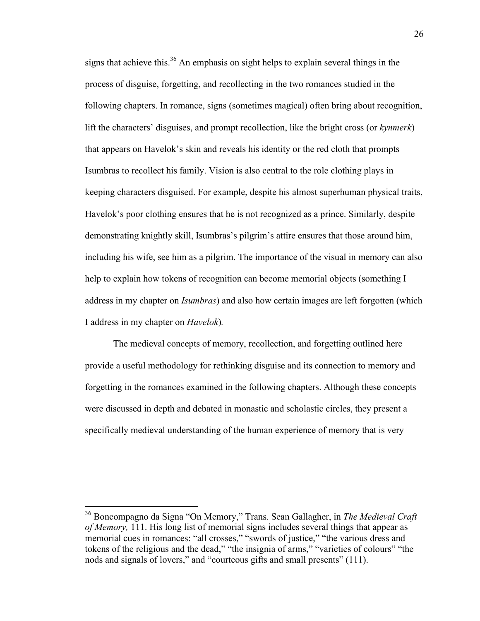signs that achieve this.<sup>36</sup> An emphasis on sight helps to explain several things in the process of disguise, forgetting, and recollecting in the two romances studied in the following chapters. In romance, signs (sometimes magical) often bring about recognition, lift the characters' disguises, and prompt recollection, like the bright cross (or *kynmerk*) that appears on Havelok's skin and reveals his identity or the red cloth that prompts Isumbras to recollect his family. Vision is also central to the role clothing plays in keeping characters disguised. For example, despite his almost superhuman physical traits, Havelok's poor clothing ensures that he is not recognized as a prince. Similarly, despite demonstrating knightly skill, Isumbras's pilgrim's attire ensures that those around him, including his wife, see him as a pilgrim. The importance of the visual in memory can also help to explain how tokens of recognition can become memorial objects (something I address in my chapter on *Isumbras*) and also how certain images are left forgotten (which I address in my chapter on *Havelok*)*.* 

The medieval concepts of memory, recollection, and forgetting outlined here provide a useful methodology for rethinking disguise and its connection to memory and forgetting in the romances examined in the following chapters. Although these concepts were discussed in depth and debated in monastic and scholastic circles, they present a specifically medieval understanding of the human experience of memory that is very

 <sup>36</sup> Boncompagno da Signa "On Memory," Trans. Sean Gallagher, in *The Medieval Craft of Memory,* 111. His long list of memorial signs includes several things that appear as memorial cues in romances: "all crosses," "swords of justice," "the various dress and tokens of the religious and the dead," "the insignia of arms," "varieties of colours" "the nods and signals of lovers," and "courteous gifts and small presents" (111).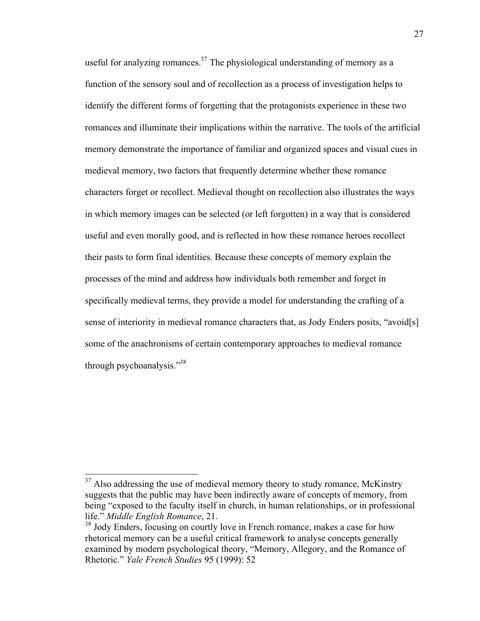useful for analyzing romances. $37$  The physiological understanding of memory as a function of the sensory soul and of recollection as a process of investigation helps to identify the different forms of forgetting that the protagonists experience in these two romances and illuminate their implications within the narrative. The tools of the artificial memory demonstrate the importance of familiar and organized spaces and visual cues in medieval memory, two factors that frequently determine whether these romance characters forget or recollect. Medieval thought on recollection also illustrates the ways in which memory images can be selected (or left forgotten) in a way that is considered useful and even morally good, and is reflected in how these romance heroes recollect their pasts to form final identities. Because these concepts of memory explain the processes of the mind and address how individuals both remember and forget in specifically medieval terms, they provide a model for understanding the crafting of a sense of interiority in medieval romance characters that, as Jody Enders posits, "avoid[s] some of the anachronisms of certain contemporary approaches to medieval romance through psychoanalysis."38

 $37$  Also addressing the use of medieval memory theory to study romance, McKinstry suggests that the public may have been indirectly aware of concepts of memory, from being "exposed to the faculty itself in church, in human relationships, or in professional life." *Middle English Romance*, 21.

<sup>&</sup>lt;sup>38</sup> Jody Enders, focusing on courtly love in French romance, makes a case for how rhetorical memory can be a useful critical framework to analyse concepts generally examined by modern psychological theory, "Memory, Allegory, and the Romance of Rhetoric." *Yale French Studies* 95 (1999): 52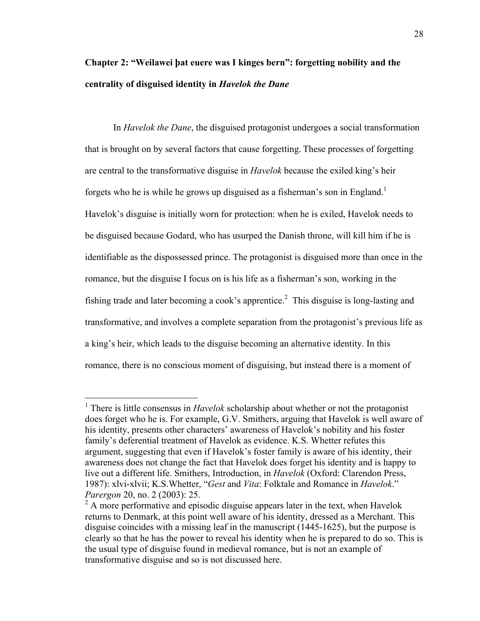# **Chapter 2: "Weilawei þat euere was I kinges bern": forgetting nobility and the centrality of disguised identity in** *Havelok the Dane*

In *Havelok the Dane*, the disguised protagonist undergoes a social transformation that is brought on by several factors that cause forgetting. These processes of forgetting are central to the transformative disguise in *Havelok* because the exiled king's heir forgets who he is while he grows up disguised as a fisherman's son in England.<sup>1</sup> Havelok's disguise is initially worn for protection: when he is exiled, Havelok needs to be disguised because Godard, who has usurped the Danish throne, will kill him if he is identifiable as the dispossessed prince. The protagonist is disguised more than once in the romance, but the disguise I focus on is his life as a fisherman's son, working in the fishing trade and later becoming a cook's apprentice.<sup>2</sup> This disguise is long-lasting and transformative, and involves a complete separation from the protagonist's previous life as a king's heir, which leads to the disguise becoming an alternative identity. In this romance, there is no conscious moment of disguising, but instead there is a moment of

 <sup>1</sup> There is little consensus in *Havelok* scholarship about whether or not the protagonist does forget who he is. For example, G.V. Smithers, arguing that Havelok is well aware of his identity, presents other characters' awareness of Havelok's nobility and his foster family's deferential treatment of Havelok as evidence. K.S. Whetter refutes this argument, suggesting that even if Havelok's foster family is aware of his identity, their awareness does not change the fact that Havelok does forget his identity and is happy to live out a different life. Smithers, Introduction, in *Havelok* (Oxford: Clarendon Press, 1987): xlvi-xlvii; K.S.Whetter, "*Gest* and *Vita*: Folktale and Romance in *Havelok*." *Parergon* 20, no. 2 (2003): 25.

 $2<sup>2</sup>$  A more performative and episodic disguise appears later in the text, when Havelok returns to Denmark, at this point well aware of his identity, dressed as a Merchant. This disguise coincides with a missing leaf in the manuscript (1445-1625), but the purpose is clearly so that he has the power to reveal his identity when he is prepared to do so. This is the usual type of disguise found in medieval romance, but is not an example of transformative disguise and so is not discussed here.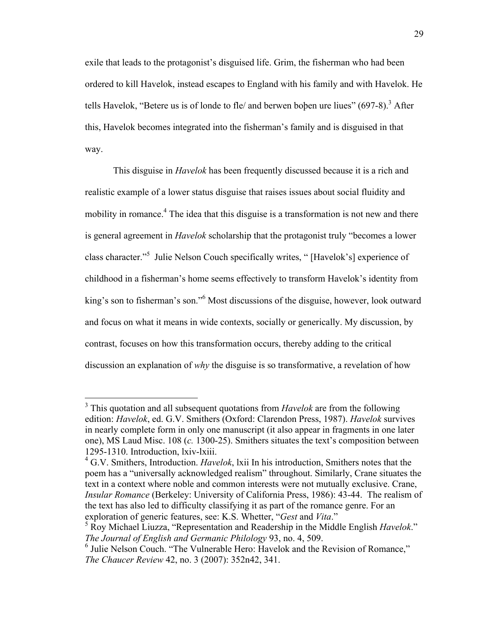exile that leads to the protagonist's disguised life. Grim, the fisherman who had been ordered to kill Havelok, instead escapes to England with his family and with Havelok. He tells Havelok, "Betere us is of londe to fle/ and berwen boben ure liues"  $(697-8)$ . After this, Havelok becomes integrated into the fisherman's family and is disguised in that way.

This disguise in *Havelok* has been frequently discussed because it is a rich and realistic example of a lower status disguise that raises issues about social fluidity and mobility in romance.<sup>4</sup> The idea that this disguise is a transformation is not new and there is general agreement in *Havelok* scholarship that the protagonist truly "becomes a lower class character."<sup>5</sup> Julie Nelson Couch specifically writes, " [Havelok's] experience of childhood in a fisherman's home seems effectively to transform Havelok's identity from king's son to fisherman's son." <sup>6</sup> Most discussions of the disguise, however, look outward and focus on what it means in wide contexts, socially or generically. My discussion, by contrast, focuses on how this transformation occurs, thereby adding to the critical discussion an explanation of *why* the disguise is so transformative, a revelation of how

 <sup>3</sup> This quotation and all subsequent quotations from *Havelok* are from the following edition: *Havelok*, ed. G.V. Smithers (Oxford: Clarendon Press, 1987). *Havelok* survives in nearly complete form in only one manuscript (it also appear in fragments in one later one), MS Laud Misc. 108 (*c.* 1300-25). Smithers situates the text's composition between 1295-1310. Introduction, lxiv-lxiii.

<sup>4</sup> G.V. Smithers, Introduction. *Havelok*, lxii In his introduction, Smithers notes that the poem has a "universally acknowledged realism" throughout. Similarly, Crane situates the text in a context where noble and common interests were not mutually exclusive. Crane, *Insular Romance* (Berkeley: University of California Press, 1986): 43-44. The realism of the text has also led to difficulty classifying it as part of the romance genre. For an exploration of generic features, see: K.S. Whetter, "*Gest* and *Vita*."

<sup>5</sup> Roy Michael Liuzza, "Representation and Readership in the Middle English *Havelok*." *The Journal of English and Germanic Philology* 93, no. 4, 509.

<sup>&</sup>lt;sup>6</sup> Julie Nelson Couch. "The Vulnerable Hero: Havelok and the Revision of Romance," *The Chaucer Review* 42, no. 3 (2007): 352n42, 341.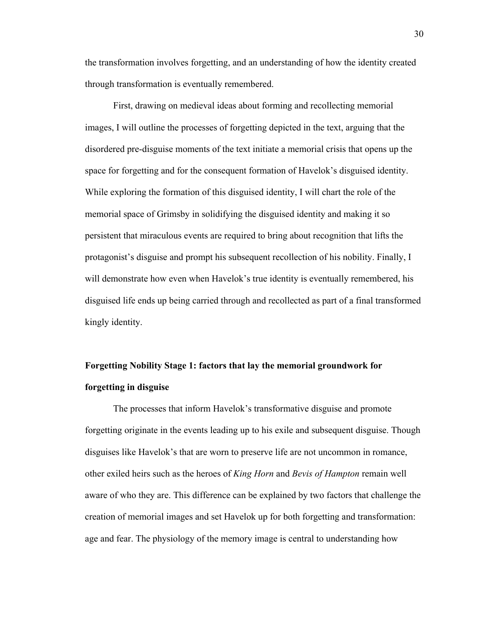the transformation involves forgetting, and an understanding of how the identity created through transformation is eventually remembered.

First, drawing on medieval ideas about forming and recollecting memorial images, I will outline the processes of forgetting depicted in the text, arguing that the disordered pre-disguise moments of the text initiate a memorial crisis that opens up the space for forgetting and for the consequent formation of Havelok's disguised identity. While exploring the formation of this disguised identity, I will chart the role of the memorial space of Grimsby in solidifying the disguised identity and making it so persistent that miraculous events are required to bring about recognition that lifts the protagonist's disguise and prompt his subsequent recollection of his nobility. Finally, I will demonstrate how even when Havelok's true identity is eventually remembered, his disguised life ends up being carried through and recollected as part of a final transformed kingly identity.

# **Forgetting Nobility Stage 1: factors that lay the memorial groundwork for forgetting in disguise**

The processes that inform Havelok's transformative disguise and promote forgetting originate in the events leading up to his exile and subsequent disguise. Though disguises like Havelok's that are worn to preserve life are not uncommon in romance, other exiled heirs such as the heroes of *King Horn* and *Bevis of Hampton* remain well aware of who they are. This difference can be explained by two factors that challenge the creation of memorial images and set Havelok up for both forgetting and transformation: age and fear. The physiology of the memory image is central to understanding how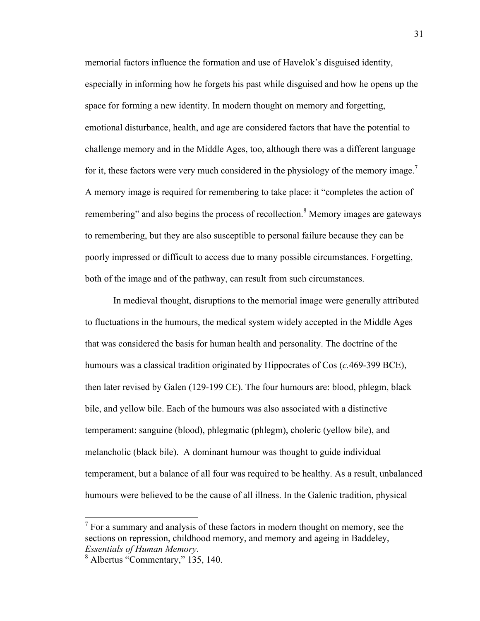memorial factors influence the formation and use of Havelok's disguised identity, especially in informing how he forgets his past while disguised and how he opens up the space for forming a new identity. In modern thought on memory and forgetting, emotional disturbance, health, and age are considered factors that have the potential to challenge memory and in the Middle Ages, too, although there was a different language for it, these factors were very much considered in the physiology of the memory image.<sup>7</sup> A memory image is required for remembering to take place: it "completes the action of remembering" and also begins the process of recollection.<sup>8</sup> Memory images are gateways to remembering, but they are also susceptible to personal failure because they can be poorly impressed or difficult to access due to many possible circumstances. Forgetting, both of the image and of the pathway, can result from such circumstances.

In medieval thought, disruptions to the memorial image were generally attributed to fluctuations in the humours, the medical system widely accepted in the Middle Ages that was considered the basis for human health and personality. The doctrine of the humours was a classical tradition originated by Hippocrates of Cos (*c.*469-399 BCE), then later revised by Galen (129-199 CE). The four humours are: blood, phlegm, black bile, and yellow bile. Each of the humours was also associated with a distinctive temperament: sanguine (blood), phlegmatic (phlegm), choleric (yellow bile), and melancholic (black bile). A dominant humour was thought to guide individual temperament, but a balance of all four was required to be healthy. As a result, unbalanced humours were believed to be the cause of all illness. In the Galenic tradition, physical

 $<sup>7</sup>$  For a summary and analysis of these factors in modern thought on memory, see the</sup> sections on repression, childhood memory, and memory and ageing in Baddeley, *Essentials of Human Memory.*<br><sup>8</sup> Albertus "Commentary," 135, 140.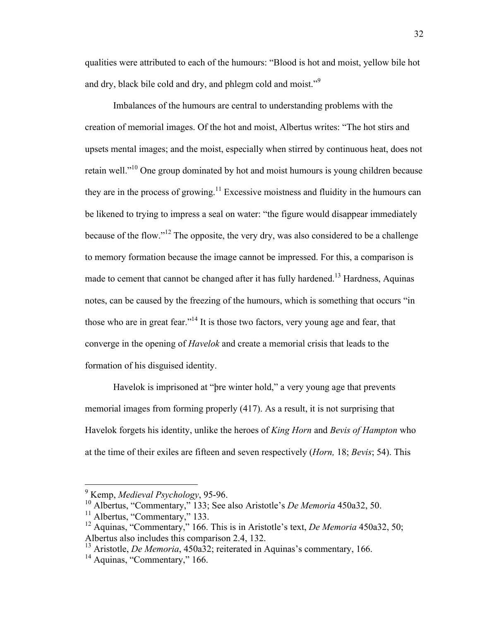qualities were attributed to each of the humours: "Blood is hot and moist, yellow bile hot and dry, black bile cold and dry, and phlegm cold and moist."<sup>9</sup>

Imbalances of the humours are central to understanding problems with the creation of memorial images. Of the hot and moist, Albertus writes: "The hot stirs and upsets mental images; and the moist, especially when stirred by continuous heat, does not retain well."10 One group dominated by hot and moist humours is young children because they are in the process of growing.<sup>11</sup> Excessive moistness and fluidity in the humours can be likened to trying to impress a seal on water: "the figure would disappear immediately because of the flow."<sup>12</sup> The opposite, the very dry, was also considered to be a challenge to memory formation because the image cannot be impressed. For this, a comparison is made to cement that cannot be changed after it has fully hardened.<sup>13</sup> Hardness, Aquinas notes, can be caused by the freezing of the humours, which is something that occurs "in those who are in great fear."<sup>14</sup> It is those two factors, very young age and fear, that converge in the opening of *Havelok* and create a memorial crisis that leads to the formation of his disguised identity.

Havelok is imprisoned at "þre winter hold," a very young age that prevents memorial images from forming properly (417). As a result, it is not surprising that Havelok forgets his identity, unlike the heroes of *King Horn* and *Bevis of Hampton* who at the time of their exiles are fifteen and seven respectively (*Horn,* 18; *Bevis*; 54). This

 <sup>9</sup> Kemp, *Medieval Psychology*, 95-96.

<sup>&</sup>lt;sup>10</sup> Albertus, "Commentary," 133; See also Aristotle's *De Memoria* 450a32, 50.

 $11$  Albertus, "Commentary," 133.

<sup>&</sup>lt;sup>12</sup> Aquinas, "Commentary," 166. This is in Aristotle's text, *De Memoria* 450a32, 50; Albertus also includes this comparison 2.4, 132.

<sup>&</sup>lt;sup>13</sup> Aristotle, *De Memoria*, 450a32; reiterated in Aquinas's commentary, 166.

<sup>&</sup>lt;sup>14</sup> Aquinas, "Commentary," 166.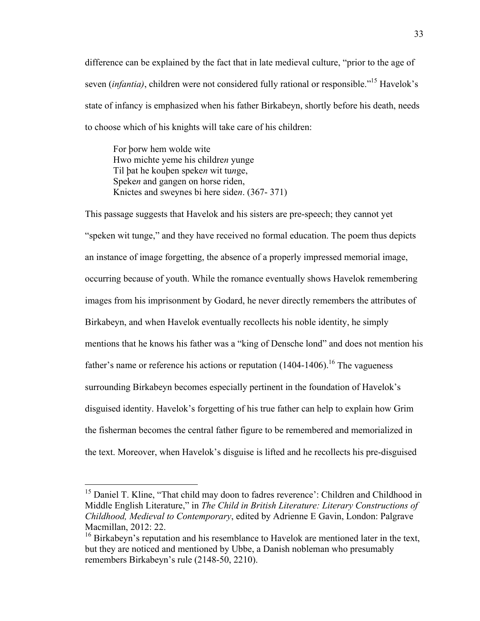difference can be explained by the fact that in late medieval culture, "prior to the age of seven (*infantia)*, children were not considered fully rational or responsible."15 Havelok's state of infancy is emphasized when his father Birkabeyn, shortly before his death, needs to choose which of his knights will take care of his children:

For þorw hem wolde wite Hwo michte yeme his childre*n* yunge Til þat he kouþen speke*n* wit tu*n*ge, Speke*n* and gangen on horse riden, Knictes and sweynes bi here side*n*. (367- 371)

This passage suggests that Havelok and his sisters are pre-speech; they cannot yet "speken wit tunge," and they have received no formal education. The poem thus depicts an instance of image forgetting, the absence of a properly impressed memorial image, occurring because of youth. While the romance eventually shows Havelok remembering images from his imprisonment by Godard, he never directly remembers the attributes of Birkabeyn, and when Havelok eventually recollects his noble identity, he simply mentions that he knows his father was a "king of Densche lond" and does not mention his father's name or reference his actions or reputation  $(1404-1406)$ .<sup>16</sup> The vagueness surrounding Birkabeyn becomes especially pertinent in the foundation of Havelok's disguised identity. Havelok's forgetting of his true father can help to explain how Grim the fisherman becomes the central father figure to be remembered and memorialized in the text. Moreover, when Havelok's disguise is lifted and he recollects his pre-disguised

<sup>&</sup>lt;sup>15</sup> Daniel T. Kline, "That child may doon to fadres reverence': Children and Childhood in Middle English Literature," in *The Child in British Literature: Literary Constructions of Childhood, Medieval to Contemporary*, edited by Adrienne E Gavin, London: Palgrave Macmillan, 2012: 22.

 $16$  Birkabeyn's reputation and his resemblance to Havelok are mentioned later in the text, but they are noticed and mentioned by Ubbe, a Danish nobleman who presumably remembers Birkabeyn's rule (2148-50, 2210).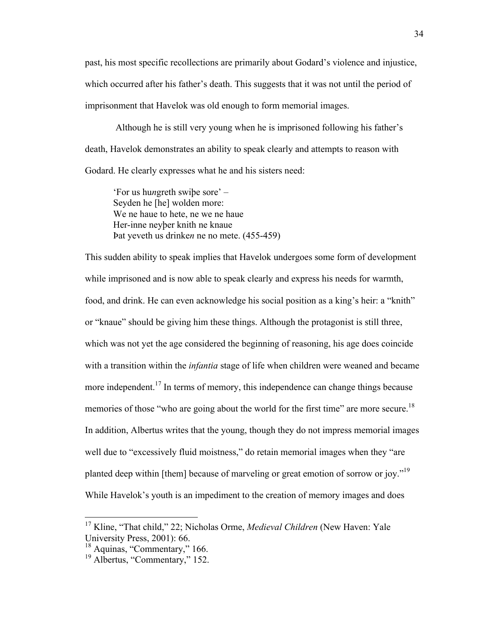past, his most specific recollections are primarily about Godard's violence and injustice, which occurred after his father's death. This suggests that it was not until the period of imprisonment that Havelok was old enough to form memorial images.

Although he is still very young when he is imprisoned following his father's death, Havelok demonstrates an ability to speak clearly and attempts to reason with Godard. He clearly expresses what he and his sisters need:

'For us hu*n*greth swiþe sore' – Seyden he [he] wolden more: We ne haue to hete, ne we ne haue Her-inne neyþer knith ne knaue Þat yeveth us drinke*n* ne no mete. (455-459)

This sudden ability to speak implies that Havelok undergoes some form of development while imprisoned and is now able to speak clearly and express his needs for warmth, food, and drink. He can even acknowledge his social position as a king's heir: a "knith" or "knaue" should be giving him these things. Although the protagonist is still three, which was not yet the age considered the beginning of reasoning, his age does coincide with a transition within the *infantia* stage of life when children were weaned and became more independent.<sup>17</sup> In terms of memory, this independence can change things because memories of those "who are going about the world for the first time" are more secure.<sup>18</sup> In addition, Albertus writes that the young, though they do not impress memorial images well due to "excessively fluid moistness," do retain memorial images when they "are planted deep within [them] because of marveling or great emotion of sorrow or joy."<sup>19</sup> While Havelok's youth is an impediment to the creation of memory images and does

 <sup>17</sup> Kline, "That child," 22; Nicholas Orme, *Medieval Children* (New Haven: Yale University Press, 2001): 66.<br><sup>18</sup> Aquinas, "Commentary," 166.

<sup>&</sup>lt;sup>19</sup> Albertus, "Commentary," 152.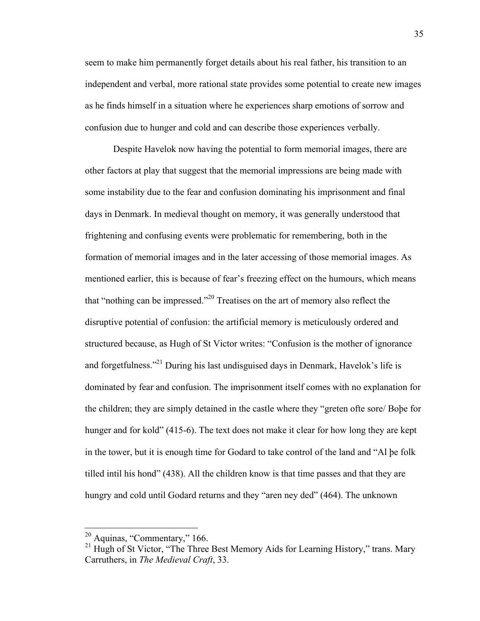seem to make him permanently forget details about his real father, his transition to an independent and verbal, more rational state provides some potential to create new images as he finds himself in a situation where he experiences sharp emotions of sorrow and confusion due to hunger and cold and can describe those experiences verbally.

Despite Havelok now having the potential to form memorial images, there are other factors at play that suggest that the memorial impressions are being made with some instability due to the fear and confusion dominating his imprisonment and final days in Denmark. In medieval thought on memory, it was generally understood that frightening and confusing events were problematic for remembering, both in the formation of memorial images and in the later accessing of those memorial images. As mentioned earlier, this is because of fear's freezing effect on the humours, which means that "nothing can be impressed."20 Treatises on the art of memory also reflect the disruptive potential of confusion: the artificial memory is meticulously ordered and structured because, as Hugh of St Victor writes: "Confusion is the mother of ignorance and forgetfulness."21 During his last undisguised days in Denmark, Havelok's life is dominated by fear and confusion. The imprisonment itself comes with no explanation for the children; they are simply detained in the castle where they "greten ofte sore/ Boþe for hunger and for kold" (415-6). The text does not make it clear for how long they are kept in the tower, but it is enough time for Godard to take control of the land and "Al þe folk tilled intil his hond" (438). All the children know is that time passes and that they are hungry and cold until Godard returns and they "aren ney ded" (464). The unknown

<sup>&</sup>lt;sup>20</sup> Aquinas, "Commentary," 166.<br><sup>21</sup> Hugh of St Victor, "The Three Best Memory Aids for Learning History," trans. Mary Carruthers, in *The Medieval Craft*, 33.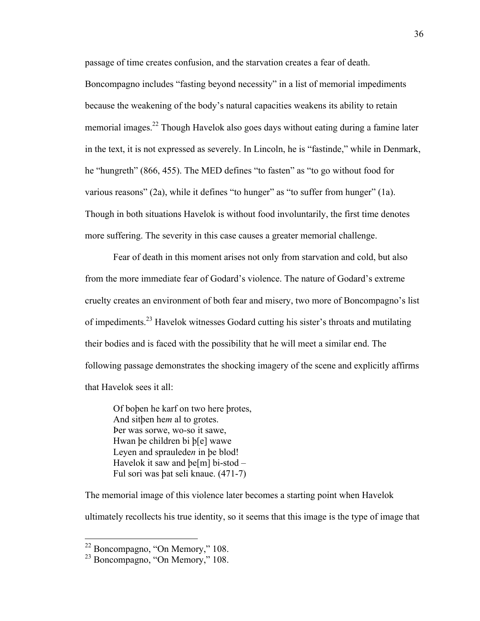passage of time creates confusion, and the starvation creates a fear of death.

Boncompagno includes "fasting beyond necessity" in a list of memorial impediments because the weakening of the body's natural capacities weakens its ability to retain memorial images.<sup>22</sup> Though Havelok also goes days without eating during a famine later in the text, it is not expressed as severely. In Lincoln, he is "fastinde," while in Denmark, he "hungreth" (866, 455). The MED defines "to fasten" as "to go without food for various reasons" (2a), while it defines "to hunger" as "to suffer from hunger" (1a). Though in both situations Havelok is without food involuntarily, the first time denotes more suffering. The severity in this case causes a greater memorial challenge.

Fear of death in this moment arises not only from starvation and cold, but also from the more immediate fear of Godard's violence. The nature of Godard's extreme cruelty creates an environment of both fear and misery, two more of Boncompagno's list of impediments.<sup>23</sup> Havelok witnesses Godard cutting his sister's throats and mutilating their bodies and is faced with the possibility that he will meet a similar end. The following passage demonstrates the shocking imagery of the scene and explicitly affirms that Havelok sees it all:

Of boþen he karf on two here þrotes, And sitþen he*m* al to grotes. Þer was sorwe, wo-so it sawe, Hwan þe children bi þ[e] wawe Leyen and spraulede*n* in þe blod! Havelok it saw and þe[m] bi-stod – Ful sori was þat seli knaue. (471-7)

The memorial image of this violence later becomes a starting point when Havelok ultimately recollects his true identity, so it seems that this image is the type of image that

 $22$  Boncompagno, "On Memory," 108.<br> $23$  Boncompagno, "On Memory," 108.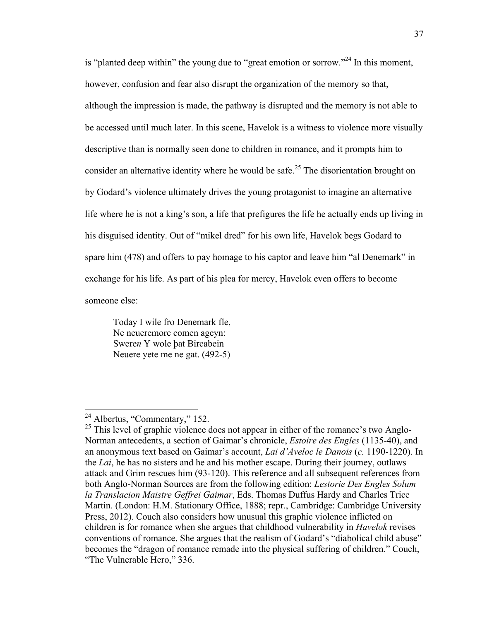is "planted deep within" the young due to "great emotion or sorrow."<sup>24</sup> In this moment, however, confusion and fear also disrupt the organization of the memory so that, although the impression is made, the pathway is disrupted and the memory is not able to be accessed until much later. In this scene, Havelok is a witness to violence more visually descriptive than is normally seen done to children in romance, and it prompts him to consider an alternative identity where he would be safe.<sup>25</sup> The disorientation brought on by Godard's violence ultimately drives the young protagonist to imagine an alternative life where he is not a king's son, a life that prefigures the life he actually ends up living in his disguised identity. Out of "mikel dred" for his own life, Havelok begs Godard to spare him (478) and offers to pay homage to his captor and leave him "al Denemark" in exchange for his life. As part of his plea for mercy, Havelok even offers to become someone else:

Today I wile fro Denemark fle, Ne neueremore comen ageyn: Swere*n* Y wole þat Bircabein Neuere yete me ne gat. (492-5)

<sup>&</sup>lt;sup>24</sup> Albertus, "Commentary," 152.

 $^{25}$  This level of graphic violence does not appear in either of the romance's two Anglo-Norman antecedents, a section of Gaimar's chronicle, *Estoire des Engles* (1135-40), and an anonymous text based on Gaimar's account, *Lai d'Aveloc le Danois* (*c.* 1190-1220). In the *Lai*, he has no sisters and he and his mother escape. During their journey, outlaws attack and Grim rescues him (93-120). This reference and all subsequent references from both Anglo-Norman Sources are from the following edition: *Lestorie Des Engles Solum la Translacion Maistre Geffrei Gaimar*, Eds. Thomas Duffus Hardy and Charles Trice Martin. (London: H.M. Stationary Office, 1888; repr., Cambridge: Cambridge University Press, 2012). Couch also considers how unusual this graphic violence inflicted on children is for romance when she argues that childhood vulnerability in *Havelok* revises conventions of romance. She argues that the realism of Godard's "diabolical child abuse" becomes the "dragon of romance remade into the physical suffering of children." Couch, "The Vulnerable Hero," 336.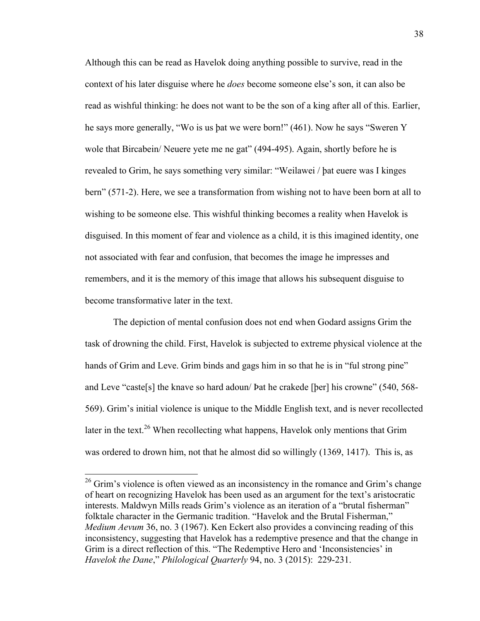Although this can be read as Havelok doing anything possible to survive, read in the context of his later disguise where he *does* become someone else's son, it can also be read as wishful thinking: he does not want to be the son of a king after all of this. Earlier, he says more generally, "Wo is us þat we were born!" (461). Now he says "Sweren Y wole that Bircabein/Neuere yete me ne gat" (494-495). Again, shortly before he is revealed to Grim, he says something very similar: "Weilawei / þat euere was I kinges bern" (571-2). Here, we see a transformation from wishing not to have been born at all to wishing to be someone else. This wishful thinking becomes a reality when Havelok is disguised. In this moment of fear and violence as a child, it is this imagined identity, one not associated with fear and confusion, that becomes the image he impresses and remembers, and it is the memory of this image that allows his subsequent disguise to become transformative later in the text.

The depiction of mental confusion does not end when Godard assigns Grim the task of drowning the child. First, Havelok is subjected to extreme physical violence at the hands of Grim and Leve. Grim binds and gags him in so that he is in "ful strong pine" and Leve "caste[s] the knave so hard adoun/ Þat he crakede [þer] his crowne" (540, 568- 569). Grim's initial violence is unique to the Middle English text, and is never recollected later in the text.<sup>26</sup> When recollecting what happens, Havelok only mentions that Grim was ordered to drown him, not that he almost did so willingly (1369, 1417). This is, as

 $26$  Grim's violence is often viewed as an inconsistency in the romance and Grim's change of heart on recognizing Havelok has been used as an argument for the text's aristocratic interests. Maldwyn Mills reads Grim's violence as an iteration of a "brutal fisherman" folktale character in the Germanic tradition. "Havelok and the Brutal Fisherman," *Medium Aevum* 36, no. 3 (1967). Ken Eckert also provides a convincing reading of this inconsistency, suggesting that Havelok has a redemptive presence and that the change in Grim is a direct reflection of this. "The Redemptive Hero and 'Inconsistencies' in *Havelok the Dane*," *Philological Quarterly* 94, no. 3 (2015): 229-231.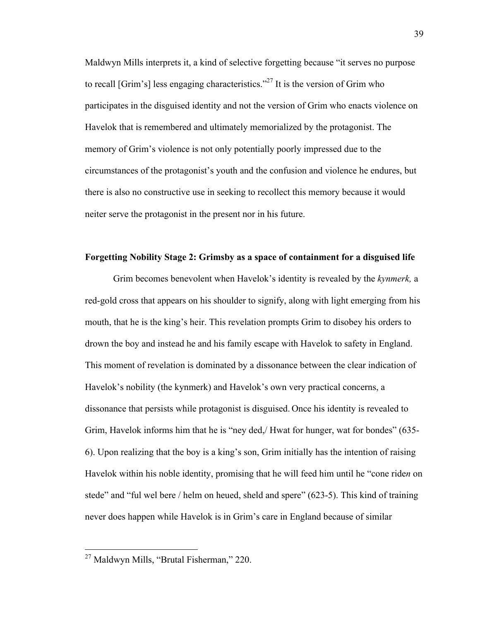Maldwyn Mills interprets it, a kind of selective forgetting because "it serves no purpose to recall [Grim's] less engaging characteristics."<sup>27</sup> It is the version of Grim who participates in the disguised identity and not the version of Grim who enacts violence on Havelok that is remembered and ultimately memorialized by the protagonist. The memory of Grim's violence is not only potentially poorly impressed due to the circumstances of the protagonist's youth and the confusion and violence he endures, but there is also no constructive use in seeking to recollect this memory because it would neiter serve the protagonist in the present nor in his future.

### **Forgetting Nobility Stage 2: Grimsby as a space of containment for a disguised life**

Grim becomes benevolent when Havelok's identity is revealed by the *kynmerk,* a red-gold cross that appears on his shoulder to signify, along with light emerging from his mouth, that he is the king's heir. This revelation prompts Grim to disobey his orders to drown the boy and instead he and his family escape with Havelok to safety in England. This moment of revelation is dominated by a dissonance between the clear indication of Havelok's nobility (the kynmerk) and Havelok's own very practical concerns, a dissonance that persists while protagonist is disguised. Once his identity is revealed to Grim, Havelok informs him that he is "ney ded,/ Hwat for hunger, wat for bondes" (635- 6). Upon realizing that the boy is a king's son, Grim initially has the intention of raising Havelok within his noble identity, promising that he will feed him until he "cone ride*n* on stede" and "ful wel bere / helm on heued, sheld and spere" (623-5). This kind of training never does happen while Havelok is in Grim's care in England because of similar

 <sup>27</sup> Maldwyn Mills, "Brutal Fisherman," 220.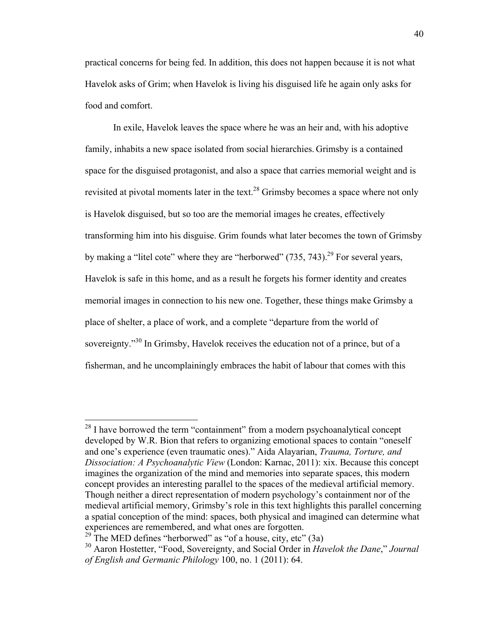practical concerns for being fed. In addition, this does not happen because it is not what Havelok asks of Grim; when Havelok is living his disguised life he again only asks for food and comfort.

In exile, Havelok leaves the space where he was an heir and, with his adoptive family, inhabits a new space isolated from social hierarchies. Grimsby is a contained space for the disguised protagonist, and also a space that carries memorial weight and is revisited at pivotal moments later in the text.<sup>28</sup> Grimsby becomes a space where not only is Havelok disguised, but so too are the memorial images he creates, effectively transforming him into his disguise. Grim founds what later becomes the town of Grimsby by making a "litel cote" where they are "herborwed"  $(735, 743)$ <sup>29</sup> For several years, Havelok is safe in this home, and as a result he forgets his former identity and creates memorial images in connection to his new one. Together, these things make Grimsby a place of shelter, a place of work, and a complete "departure from the world of sovereignty."<sup>30</sup> In Grimsby, Havelok receives the education not of a prince, but of a fisherman, and he uncomplainingly embraces the habit of labour that comes with this

 $28$  I have borrowed the term "containment" from a modern psychoanalytical concept developed by W.R. Bion that refers to organizing emotional spaces to contain "oneself and one's experience (even traumatic ones)." Aida Alayarian, *Trauma, Torture, and Dissociation: A Psychoanalytic View* (London: Karnac, 2011): xix. Because this concept imagines the organization of the mind and memories into separate spaces, this modern concept provides an interesting parallel to the spaces of the medieval artificial memory. Though neither a direct representation of modern psychology's containment nor of the medieval artificial memory, Grimsby's role in this text highlights this parallel concerning a spatial conception of the mind: spaces, both physical and imagined can determine what experiences are remembered, and what ones are forgotten.

 $^{29}$  The MED defines "herborwed" as "of a house, city, etc" (3a)

<sup>30</sup> Aaron Hostetter, "Food, Sovereignty, and Social Order in *Havelok the Dane*," *Journal of English and Germanic Philology* 100, no. 1 (2011): 64.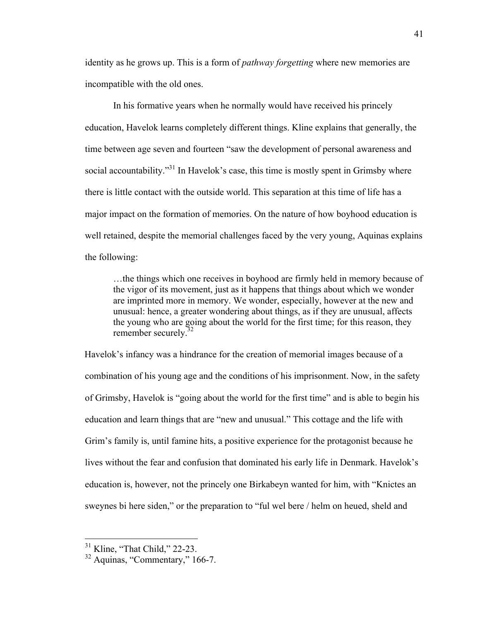identity as he grows up. This is a form of *pathway forgetting* where new memories are incompatible with the old ones.

In his formative years when he normally would have received his princely education, Havelok learns completely different things. Kline explains that generally, the time between age seven and fourteen "saw the development of personal awareness and social accountability."<sup>31</sup> In Havelok's case, this time is mostly spent in Grimsby where there is little contact with the outside world. This separation at this time of life has a major impact on the formation of memories. On the nature of how boyhood education is well retained, despite the memorial challenges faced by the very young, Aquinas explains the following:

…the things which one receives in boyhood are firmly held in memory because of the vigor of its movement, just as it happens that things about which we wonder are imprinted more in memory. We wonder, especially, however at the new and unusual: hence, a greater wondering about things, as if they are unusual, affects the young who are going about the world for the first time; for this reason, they remember securely.<sup>32</sup>

Havelok's infancy was a hindrance for the creation of memorial images because of a combination of his young age and the conditions of his imprisonment. Now, in the safety of Grimsby, Havelok is "going about the world for the first time" and is able to begin his education and learn things that are "new and unusual." This cottage and the life with Grim's family is, until famine hits, a positive experience for the protagonist because he lives without the fear and confusion that dominated his early life in Denmark. Havelok's education is, however, not the princely one Birkabeyn wanted for him, with "Knictes an sweynes bi here siden," or the preparation to "ful wel bere / helm on heued, sheld and

 <sup>31</sup> Kline, "That Child," 22-23.

<sup>32</sup> Aquinas, "Commentary," 166-7.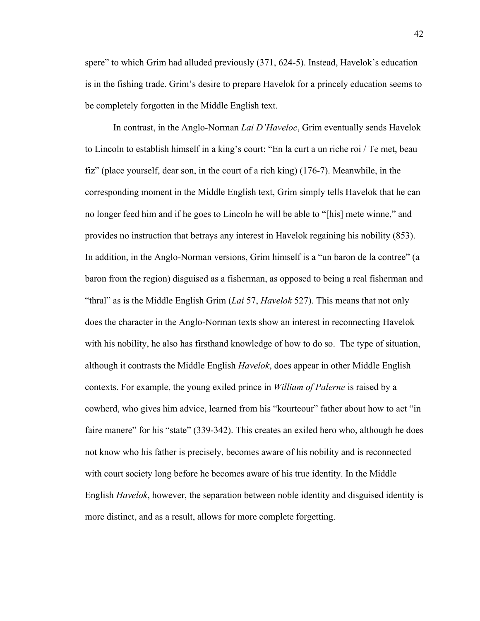spere" to which Grim had alluded previously (371, 624-5). Instead, Havelok's education is in the fishing trade. Grim's desire to prepare Havelok for a princely education seems to be completely forgotten in the Middle English text.

In contrast, in the Anglo-Norman *Lai D'Haveloc*, Grim eventually sends Havelok to Lincoln to establish himself in a king's court: "En la curt a un riche roi / Te met, beau fiz" (place yourself, dear son, in the court of a rich king) (176-7). Meanwhile, in the corresponding moment in the Middle English text, Grim simply tells Havelok that he can no longer feed him and if he goes to Lincoln he will be able to "[his] mete winne," and provides no instruction that betrays any interest in Havelok regaining his nobility (853). In addition, in the Anglo-Norman versions, Grim himself is a "un baron de la contree" (a baron from the region) disguised as a fisherman, as opposed to being a real fisherman and "thral" as is the Middle English Grim (*Lai* 57, *Havelok* 527). This means that not only does the character in the Anglo-Norman texts show an interest in reconnecting Havelok with his nobility, he also has firsthand knowledge of how to do so. The type of situation, although it contrasts the Middle English *Havelok*, does appear in other Middle English contexts. For example, the young exiled prince in *William of Palerne* is raised by a cowherd, who gives him advice, learned from his "kourteour" father about how to act "in faire manere" for his "state" (339-342). This creates an exiled hero who, although he does not know who his father is precisely, becomes aware of his nobility and is reconnected with court society long before he becomes aware of his true identity. In the Middle English *Havelok*, however, the separation between noble identity and disguised identity is more distinct, and as a result, allows for more complete forgetting.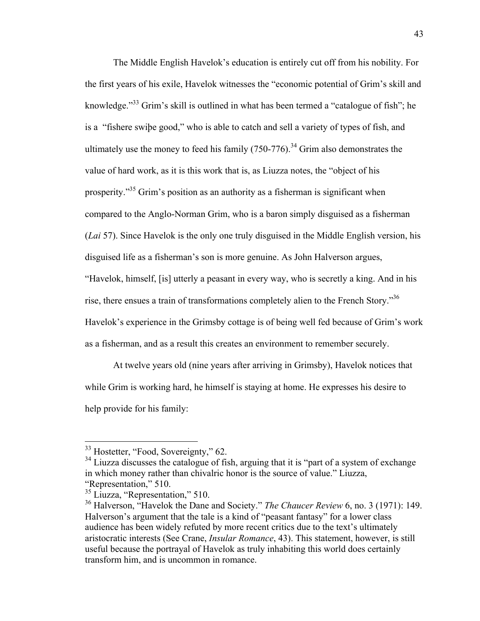The Middle English Havelok's education is entirely cut off from his nobility. For the first years of his exile, Havelok witnesses the "economic potential of Grim's skill and knowledge."<sup>33</sup> Grim's skill is outlined in what has been termed a "catalogue of fish"; he is a "fishere swiþe good," who is able to catch and sell a variety of types of fish, and ultimately use the money to feed his family  $(750-776)$ <sup>34</sup> Grim also demonstrates the value of hard work, as it is this work that is, as Liuzza notes, the "object of his prosperity."35 Grim's position as an authority as a fisherman is significant when compared to the Anglo-Norman Grim, who is a baron simply disguised as a fisherman (*Lai* 57). Since Havelok is the only one truly disguised in the Middle English version, his disguised life as a fisherman's son is more genuine. As John Halverson argues, "Havelok, himself, [is] utterly a peasant in every way, who is secretly a king. And in his rise, there ensues a train of transformations completely alien to the French Story."36 Havelok's experience in the Grimsby cottage is of being well fed because of Grim's work as a fisherman, and as a result this creates an environment to remember securely.

At twelve years old (nine years after arriving in Grimsby), Havelok notices that while Grim is working hard, he himself is staying at home. He expresses his desire to help provide for his family:

<sup>&</sup>lt;sup>33</sup> Hostetter, "Food, Sovereignty," 62.

 $34$  Liuzza discusses the catalogue of fish, arguing that it is "part of a system of exchange" in which money rather than chivalric honor is the source of value." Liuzza, "Representation," 510.

<sup>35</sup> Liuzza, "Representation," 510.

<sup>36</sup> Halverson, "Havelok the Dane and Society." *The Chaucer Review* 6, no. 3 (1971): 149. Halverson's argument that the tale is a kind of "peasant fantasy" for a lower class audience has been widely refuted by more recent critics due to the text's ultimately aristocratic interests (See Crane, *Insular Romance*, 43). This statement, however, is still useful because the portrayal of Havelok as truly inhabiting this world does certainly transform him, and is uncommon in romance.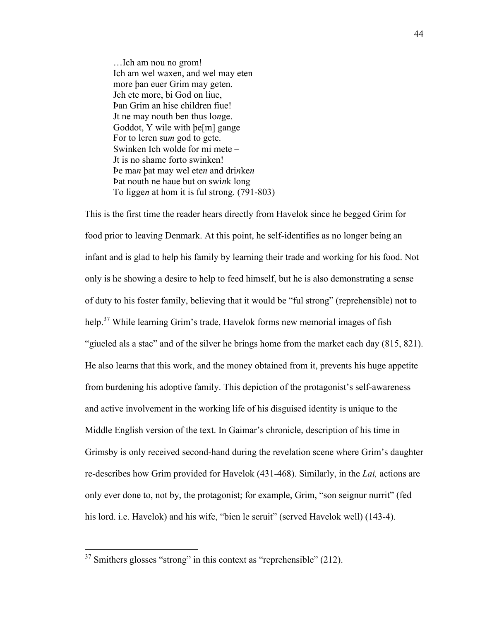…Ich am nou no grom! Ich am wel waxen, and wel may eten more þan euer Grim may geten. Jch ete more, bi God on liue, Þan Grim an hise children fiue! Jt ne may nouth ben thus lo*n*ge. Goddot, Y wile with þe[m] gange For to leren su*m* god to gete. Swinken Ich wolde for mi mete – Jt is no shame forto swinken! Þe ma*n* þat may wel ete*n* and dri*n*ke*n* Þat nouth ne haue but on swi*n*k long – To ligge*n* at hom it is ful strong. (791-803)

This is the first time the reader hears directly from Havelok since he begged Grim for food prior to leaving Denmark. At this point, he self-identifies as no longer being an infant and is glad to help his family by learning their trade and working for his food. Not only is he showing a desire to help to feed himself, but he is also demonstrating a sense of duty to his foster family, believing that it would be "ful strong" (reprehensible) not to help.<sup>37</sup> While learning Grim's trade, Havelok forms new memorial images of fish "giueled als a stac" and of the silver he brings home from the market each day (815, 821). He also learns that this work, and the money obtained from it, prevents his huge appetite from burdening his adoptive family. This depiction of the protagonist's self-awareness and active involvement in the working life of his disguised identity is unique to the Middle English version of the text. In Gaimar's chronicle, description of his time in Grimsby is only received second-hand during the revelation scene where Grim's daughter re-describes how Grim provided for Havelok (431-468). Similarly, in the *Lai,* actions are only ever done to, not by, the protagonist; for example, Grim, "son seignur nurrit" (fed his lord. i.e. Havelok) and his wife, "bien le seruit" (served Havelok well) (143-4).

 $37$  Smithers glosses "strong" in this context as "reprehensible" (212).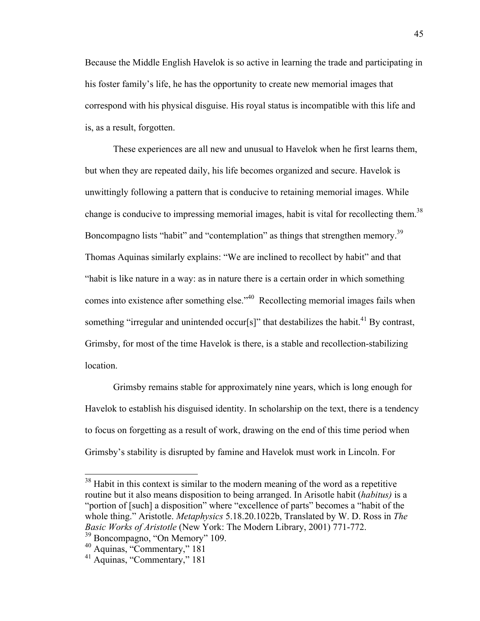Because the Middle English Havelok is so active in learning the trade and participating in his foster family's life, he has the opportunity to create new memorial images that correspond with his physical disguise. His royal status is incompatible with this life and is, as a result, forgotten.

These experiences are all new and unusual to Havelok when he first learns them, but when they are repeated daily, his life becomes organized and secure. Havelok is unwittingly following a pattern that is conducive to retaining memorial images. While change is conducive to impressing memorial images, habit is vital for recollecting them.<sup>38</sup> Boncompagno lists "habit" and "contemplation" as things that strengthen memory.<sup>39</sup> Thomas Aquinas similarly explains: "We are inclined to recollect by habit" and that "habit is like nature in a way: as in nature there is a certain order in which something comes into existence after something else."<sup>40</sup> Recollecting memorial images fails when something "irregular and unintended occur[s]" that destabilizes the habit.<sup>41</sup> By contrast, Grimsby, for most of the time Havelok is there, is a stable and recollection-stabilizing location.

Grimsby remains stable for approximately nine years, which is long enough for Havelok to establish his disguised identity. In scholarship on the text, there is a tendency to focus on forgetting as a result of work, drawing on the end of this time period when Grimsby's stability is disrupted by famine and Havelok must work in Lincoln. For

<sup>&</sup>lt;sup>38</sup> Habit in this context is similar to the modern meaning of the word as a repetitive routine but it also means disposition to being arranged. In Arisotle habit (*habitus)* is a "portion of [such] a disposition" where "excellence of parts" becomes a "habit of the whole thing." Aristotle. *Metaphysics* 5.18.20.1022b, Translated by W. D. Ross in *The Basic Works of Aristotle* (New York: The Modern Library, 2001) 771-772. <sup>39</sup> Boncompagno, "On Memory" 109.

<sup>40</sup> Aquinas, "Commentary," 181

<sup>41</sup> Aquinas, "Commentary," 181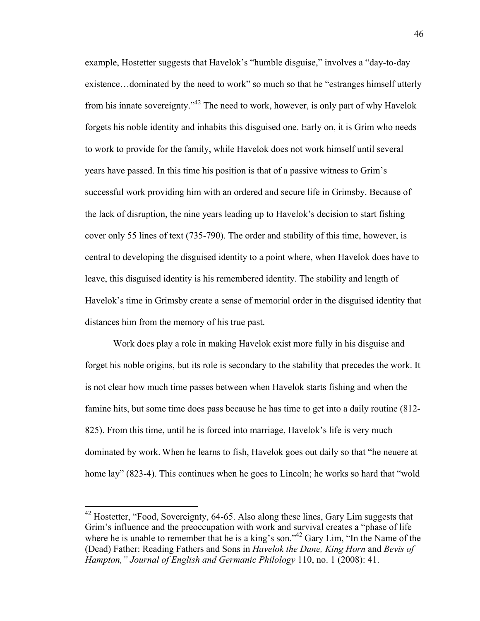example, Hostetter suggests that Havelok's "humble disguise," involves a "day-to-day existence…dominated by the need to work" so much so that he "estranges himself utterly from his innate sovereignty."42 The need to work, however, is only part of why Havelok forgets his noble identity and inhabits this disguised one. Early on, it is Grim who needs to work to provide for the family, while Havelok does not work himself until several years have passed. In this time his position is that of a passive witness to Grim's successful work providing him with an ordered and secure life in Grimsby. Because of the lack of disruption, the nine years leading up to Havelok's decision to start fishing cover only 55 lines of text (735-790). The order and stability of this time, however, is central to developing the disguised identity to a point where, when Havelok does have to leave, this disguised identity is his remembered identity. The stability and length of Havelok's time in Grimsby create a sense of memorial order in the disguised identity that distances him from the memory of his true past.

Work does play a role in making Havelok exist more fully in his disguise and forget his noble origins, but its role is secondary to the stability that precedes the work. It is not clear how much time passes between when Havelok starts fishing and when the famine hits, but some time does pass because he has time to get into a daily routine (812- 825). From this time, until he is forced into marriage, Havelok's life is very much dominated by work. When he learns to fish, Havelok goes out daily so that "he neuere at home lay" (823-4). This continues when he goes to Lincoln; he works so hard that "wold

<sup>&</sup>lt;sup>42</sup> Hostetter, "Food, Sovereignty, 64-65. Also along these lines, Gary Lim suggests that Grim's influence and the preoccupation with work and survival creates a "phase of life where he is unable to remember that he is a king's son."<sup>42</sup> Gary Lim, "In the Name of the (Dead) Father: Reading Fathers and Sons in *Havelok the Dane, King Horn* and *Bevis of Hampton," Journal of English and Germanic Philology* 110, no. 1 (2008): 41.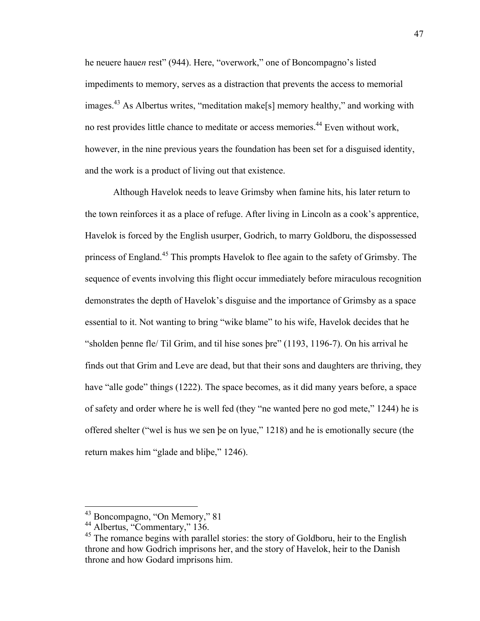he neuere haue*n* rest" (944). Here, "overwork," one of Boncompagno's listed impediments to memory, serves as a distraction that prevents the access to memorial images.<sup>43</sup> As Albertus writes, "meditation make[s] memory healthy," and working with no rest provides little chance to meditate or access memories.<sup>44</sup> Even without work, however, in the nine previous years the foundation has been set for a disguised identity, and the work is a product of living out that existence.

Although Havelok needs to leave Grimsby when famine hits, his later return to the town reinforces it as a place of refuge. After living in Lincoln as a cook's apprentice, Havelok is forced by the English usurper, Godrich, to marry Goldboru, the dispossessed princess of England.<sup>45</sup> This prompts Havelok to flee again to the safety of Grimsby. The sequence of events involving this flight occur immediately before miraculous recognition demonstrates the depth of Havelok's disguise and the importance of Grimsby as a space essential to it. Not wanting to bring "wike blame" to his wife, Havelok decides that he "sholden þenne fle/ Til Grim, and til hise sones þre" (1193, 1196-7). On his arrival he finds out that Grim and Leve are dead, but that their sons and daughters are thriving, they have "alle gode" things (1222). The space becomes, as it did many years before, a space of safety and order where he is well fed (they "ne wanted þere no god mete," 1244) he is offered shelter ("wel is hus we sen þe on lyue," 1218) and he is emotionally secure (the return makes him "glade and bliþe," 1246).

 <sup>43</sup> Boncompagno, "On Memory," 81

<sup>44</sup> Albertus, "Commentary," 136.

<sup>&</sup>lt;sup>45</sup> The romance begins with parallel stories: the story of Goldboru, heir to the English throne and how Godrich imprisons her, and the story of Havelok, heir to the Danish throne and how Godard imprisons him.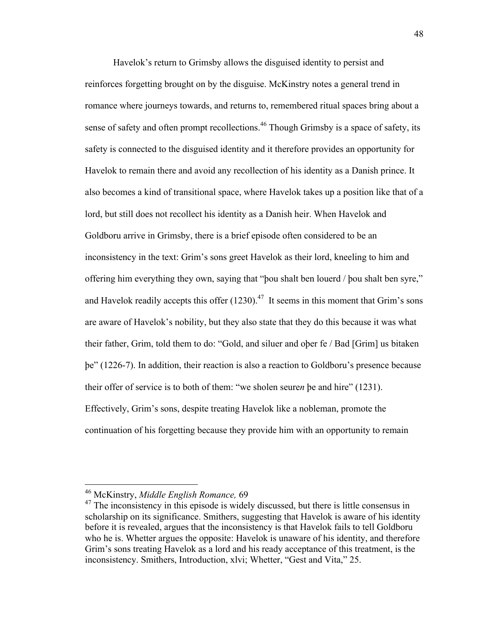Havelok's return to Grimsby allows the disguised identity to persist and reinforces forgetting brought on by the disguise. McKinstry notes a general trend in romance where journeys towards, and returns to, remembered ritual spaces bring about a sense of safety and often prompt recollections.<sup>46</sup> Though Grimsby is a space of safety, its safety is connected to the disguised identity and it therefore provides an opportunity for Havelok to remain there and avoid any recollection of his identity as a Danish prince. It also becomes a kind of transitional space, where Havelok takes up a position like that of a lord, but still does not recollect his identity as a Danish heir. When Havelok and Goldboru arrive in Grimsby, there is a brief episode often considered to be an inconsistency in the text: Grim's sons greet Havelok as their lord, kneeling to him and offering him everything they own, saying that "þou shalt ben louerd / þou shalt ben syre," and Havelok readily accepts this offer  $(1230).<sup>47</sup>$  It seems in this moment that Grim's sons are aware of Havelok's nobility, but they also state that they do this because it was what their father, Grim, told them to do: "Gold, and siluer and oþer fe / Bad [Grim] us bitaken þe" (1226-7). In addition, their reaction is also a reaction to Goldboru's presence because their offer of service is to both of them: "we sholen seure*n* þe and hire" (1231). Effectively, Grim's sons, despite treating Havelok like a nobleman, promote the continuation of his forgetting because they provide him with an opportunity to remain

 <sup>46</sup> McKinstry, *Middle English Romance,* <sup>69</sup>

 $47$  The inconsistency in this episode is widely discussed, but there is little consensus in scholarship on its significance. Smithers, suggesting that Havelok is aware of his identity before it is revealed, argues that the inconsistency is that Havelok fails to tell Goldboru who he is. Whetter argues the opposite: Havelok is unaware of his identity, and therefore Grim's sons treating Havelok as a lord and his ready acceptance of this treatment, is the inconsistency. Smithers, Introduction, xlvi; Whetter, "Gest and Vita," 25.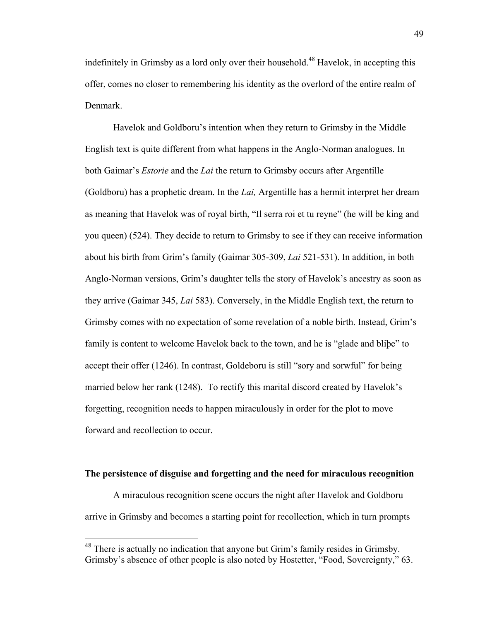indefinitely in Grimsby as a lord only over their household.<sup>48</sup> Havelok, in accepting this offer, comes no closer to remembering his identity as the overlord of the entire realm of Denmark.

Havelok and Goldboru's intention when they return to Grimsby in the Middle English text is quite different from what happens in the Anglo-Norman analogues. In both Gaimar's *Estorie* and the *Lai* the return to Grimsby occurs after Argentille (Goldboru) has a prophetic dream. In the *Lai,* Argentille has a hermit interpret her dream as meaning that Havelok was of royal birth, "Il serra roi et tu reyne" (he will be king and you queen) (524). They decide to return to Grimsby to see if they can receive information about his birth from Grim's family (Gaimar 305-309, *Lai* 521-531). In addition, in both Anglo-Norman versions, Grim's daughter tells the story of Havelok's ancestry as soon as they arrive (Gaimar 345, *Lai* 583). Conversely, in the Middle English text, the return to Grimsby comes with no expectation of some revelation of a noble birth. Instead, Grim's family is content to welcome Havelok back to the town, and he is "glade and bliþe" to accept their offer (1246). In contrast, Goldeboru is still "sory and sorwful" for being married below her rank (1248). To rectify this marital discord created by Havelok's forgetting, recognition needs to happen miraculously in order for the plot to move forward and recollection to occur.

#### **The persistence of disguise and forgetting and the need for miraculous recognition**

A miraculous recognition scene occurs the night after Havelok and Goldboru arrive in Grimsby and becomes a starting point for recollection, which in turn prompts

<sup>&</sup>lt;sup>48</sup> There is actually no indication that anyone but Grim's family resides in Grimsby. Grimsby's absence of other people is also noted by Hostetter, "Food, Sovereignty," 63.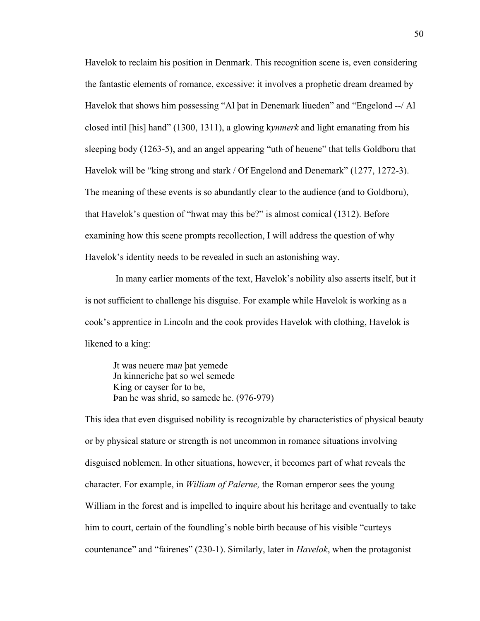Havelok to reclaim his position in Denmark. This recognition scene is, even considering the fantastic elements of romance, excessive: it involves a prophetic dream dreamed by Havelok that shows him possessing "Al þat in Denemark liueden" and "Engelond --/ Al closed intil [his] hand" (1300, 1311), a glowing k*ynmerk* and light emanating from his sleeping body (1263-5), and an angel appearing "uth of heuene" that tells Goldboru that Havelok will be "king strong and stark / Of Engelond and Denemark" (1277, 1272-3). The meaning of these events is so abundantly clear to the audience (and to Goldboru), that Havelok's question of "hwat may this be?" is almost comical (1312). Before examining how this scene prompts recollection, I will address the question of why Havelok's identity needs to be revealed in such an astonishing way.

In many earlier moments of the text, Havelok's nobility also asserts itself, but it is not sufficient to challenge his disguise. For example while Havelok is working as a cook's apprentice in Lincoln and the cook provides Havelok with clothing, Havelok is likened to a king:

Jt was neuere ma*n* þat yemede Jn kinneriche þat so wel semede King or cayser for to be, Þan he was shrid, so samede he. (976-979)

This idea that even disguised nobility is recognizable by characteristics of physical beauty or by physical stature or strength is not uncommon in romance situations involving disguised noblemen. In other situations, however, it becomes part of what reveals the character. For example, in *William of Palerne,* the Roman emperor sees the young William in the forest and is impelled to inquire about his heritage and eventually to take him to court, certain of the foundling's noble birth because of his visible "curteys countenance" and "fairenes" (230-1). Similarly, later in *Havelok*, when the protagonist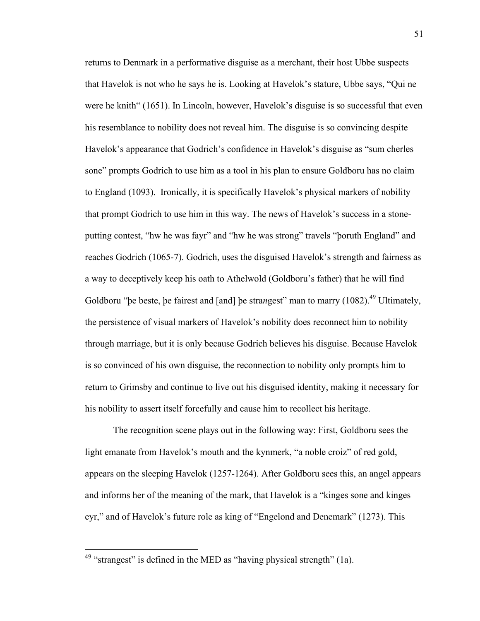returns to Denmark in a performative disguise as a merchant, their host Ubbe suspects that Havelok is not who he says he is. Looking at Havelok's stature, Ubbe says, "Qui ne were he knith" (1651). In Lincoln, however, Havelok's disguise is so successful that even his resemblance to nobility does not reveal him. The disguise is so convincing despite Havelok's appearance that Godrich's confidence in Havelok's disguise as "sum cherles sone" prompts Godrich to use him as a tool in his plan to ensure Goldboru has no claim to England (1093). Ironically, it is specifically Havelok's physical markers of nobility that prompt Godrich to use him in this way. The news of Havelok's success in a stoneputting contest, "hw he was fayr" and "hw he was strong" travels "þoruth England" and reaches Godrich (1065-7). Godrich, uses the disguised Havelok's strength and fairness as a way to deceptively keep his oath to Athelwold (Goldboru's father) that he will find Goldboru "þe beste, þe fairest and [and] þe stra*n*gest" man to marry (1082). <sup>49</sup> Ultimately, the persistence of visual markers of Havelok's nobility does reconnect him to nobility through marriage, but it is only because Godrich believes his disguise. Because Havelok is so convinced of his own disguise, the reconnection to nobility only prompts him to return to Grimsby and continue to live out his disguised identity, making it necessary for his nobility to assert itself forcefully and cause him to recollect his heritage.

The recognition scene plays out in the following way: First, Goldboru sees the light emanate from Havelok's mouth and the kynmerk, "a noble croiz" of red gold, appears on the sleeping Havelok (1257-1264). After Goldboru sees this, an angel appears and informs her of the meaning of the mark, that Havelok is a "kinges sone and kinges eyr," and of Havelok's future role as king of "Engelond and Denemark" (1273). This

 $49$  "strangest" is defined in the MED as "having physical strength" (1a).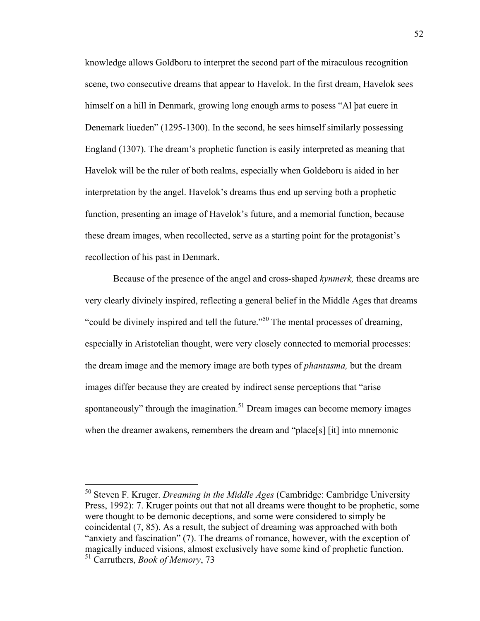knowledge allows Goldboru to interpret the second part of the miraculous recognition scene, two consecutive dreams that appear to Havelok. In the first dream, Havelok sees himself on a hill in Denmark, growing long enough arms to posess "Al þat euere in Denemark liueden" (1295-1300). In the second, he sees himself similarly possessing England (1307). The dream's prophetic function is easily interpreted as meaning that Havelok will be the ruler of both realms, especially when Goldeboru is aided in her interpretation by the angel. Havelok's dreams thus end up serving both a prophetic function, presenting an image of Havelok's future, and a memorial function, because these dream images, when recollected, serve as a starting point for the protagonist's recollection of his past in Denmark.

Because of the presence of the angel and cross-shaped *kynmerk,* these dreams are very clearly divinely inspired, reflecting a general belief in the Middle Ages that dreams "could be divinely inspired and tell the future."<sup>50</sup> The mental processes of dreaming, especially in Aristotelian thought, were very closely connected to memorial processes: the dream image and the memory image are both types of *phantasma,* but the dream images differ because they are created by indirect sense perceptions that "arise spontaneously" through the imagination.<sup>51</sup> Dream images can become memory images when the dreamer awakens, remembers the dream and "place[s] [it] into mnemonic

 <sup>50</sup> Steven F. Kruger. *Dreaming in the Middle Ages* (Cambridge: Cambridge University Press, 1992): 7. Kruger points out that not all dreams were thought to be prophetic, some were thought to be demonic deceptions, and some were considered to simply be coincidental (7, 85). As a result, the subject of dreaming was approached with both "anxiety and fascination" (7). The dreams of romance, however, with the exception of magically induced visions, almost exclusively have some kind of prophetic function. <sup>51</sup> Carruthers, *Book of Memory*, 73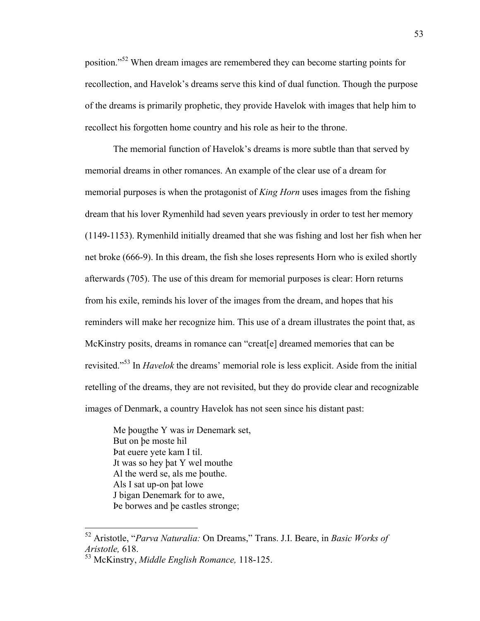position."<sup>52</sup> When dream images are remembered they can become starting points for recollection, and Havelok's dreams serve this kind of dual function. Though the purpose of the dreams is primarily prophetic, they provide Havelok with images that help him to recollect his forgotten home country and his role as heir to the throne.

The memorial function of Havelok's dreams is more subtle than that served by memorial dreams in other romances. An example of the clear use of a dream for memorial purposes is when the protagonist of *King Horn* uses images from the fishing dream that his lover Rymenhild had seven years previously in order to test her memory (1149-1153). Rymenhild initially dreamed that she was fishing and lost her fish when her net broke (666-9). In this dream, the fish she loses represents Horn who is exiled shortly afterwards (705). The use of this dream for memorial purposes is clear: Horn returns from his exile, reminds his lover of the images from the dream, and hopes that his reminders will make her recognize him. This use of a dream illustrates the point that, as McKinstry posits, dreams in romance can "creat[e] dreamed memories that can be revisited."<sup>53</sup> In *Havelok* the dreams' memorial role is less explicit. Aside from the initial retelling of the dreams, they are not revisited, but they do provide clear and recognizable images of Denmark, a country Havelok has not seen since his distant past:

Me þougthe Y was i*n* Denemark set, But on þe moste hil Þat euere yete kam I til. Jt was so hey þat Y wel mouthe Al the werd se, als me þouthe. Als I sat up-on þat lowe J bigan Denemark for to awe, Þe borwes and þe castles stronge;

 <sup>52</sup> Aristotle, "*Parva Naturalia:* On Dreams," Trans. J.I. Beare, in *Basic Works of Aristotle,* 618.

<sup>53</sup> McKinstry, *Middle English Romance,* 118-125.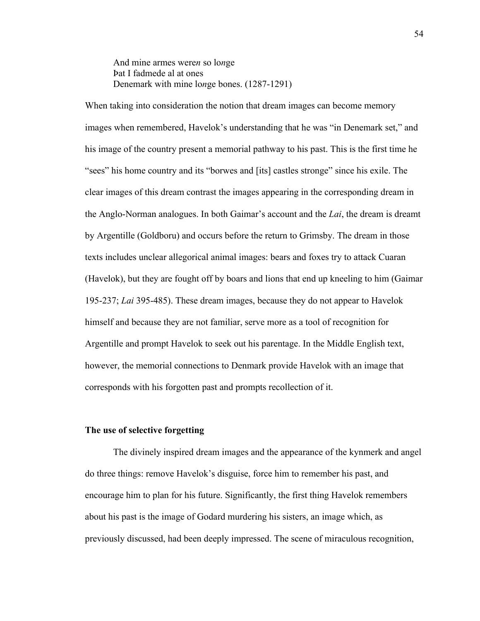And mine armes were*n* so lo*n*ge Þat I fadmede al at ones Denemark with mine lo*n*ge bones. (1287-1291)

When taking into consideration the notion that dream images can become memory images when remembered, Havelok's understanding that he was "in Denemark set," and his image of the country present a memorial pathway to his past. This is the first time he "sees" his home country and its "borwes and [its] castles stronge" since his exile. The clear images of this dream contrast the images appearing in the corresponding dream in the Anglo-Norman analogues. In both Gaimar's account and the *Lai*, the dream is dreamt by Argentille (Goldboru) and occurs before the return to Grimsby. The dream in those texts includes unclear allegorical animal images: bears and foxes try to attack Cuaran (Havelok), but they are fought off by boars and lions that end up kneeling to him (Gaimar 195-237; *Lai* 395-485). These dream images, because they do not appear to Havelok himself and because they are not familiar, serve more as a tool of recognition for Argentille and prompt Havelok to seek out his parentage. In the Middle English text, however, the memorial connections to Denmark provide Havelok with an image that corresponds with his forgotten past and prompts recollection of it.

#### **The use of selective forgetting**

The divinely inspired dream images and the appearance of the kynmerk and angel do three things: remove Havelok's disguise, force him to remember his past, and encourage him to plan for his future. Significantly, the first thing Havelok remembers about his past is the image of Godard murdering his sisters, an image which, as previously discussed, had been deeply impressed. The scene of miraculous recognition,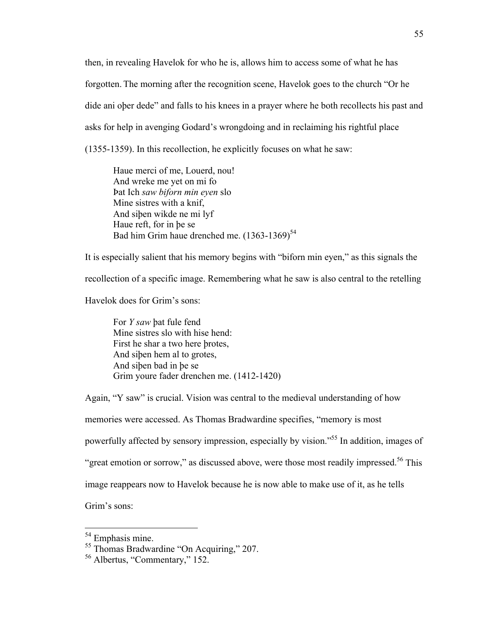then, in revealing Havelok for who he is, allows him to access some of what he has forgotten. The morning after the recognition scene, Havelok goes to the church "Or he dide ani oþer dede" and falls to his knees in a prayer where he both recollects his past and asks for help in avenging Godard's wrongdoing and in reclaiming his rightful place (1355-1359). In this recollection, he explicitly focuses on what he saw:

Haue merci of me, Louerd, nou! And wreke me yet on mi fo Þat Ich *saw biforn min eyen* slo Mine sistres with a knif, And siþen wikde ne mi lyf Haue reft, for in þe se Bad him Grim haue drenched me.  $(1363-1369)^{54}$ 

It is especially salient that his memory begins with "biforn min eyen," as this signals the recollection of a specific image. Remembering what he saw is also central to the retelling

Havelok does for Grim's sons:

For *Y saw* þat fule fend Mine sistres slo with hise hend: First he shar a two here þrotes, And siþen hem al to grotes, And siþen bad in þe se Grim youre fader drenchen me. (1412-1420)

Again, "Y saw" is crucial. Vision was central to the medieval understanding of how memories were accessed. As Thomas Bradwardine specifies, "memory is most powerfully affected by sensory impression, especially by vision."55 In addition, images of "great emotion or sorrow," as discussed above, were those most readily impressed.<sup>56</sup> This image reappears now to Havelok because he is now able to make use of it, as he tells Grim's sons:

<sup>&</sup>lt;sup>54</sup> Emphasis mine.

<sup>55</sup> Thomas Bradwardine "On Acquiring," 207.

<sup>56</sup> Albertus, "Commentary," 152.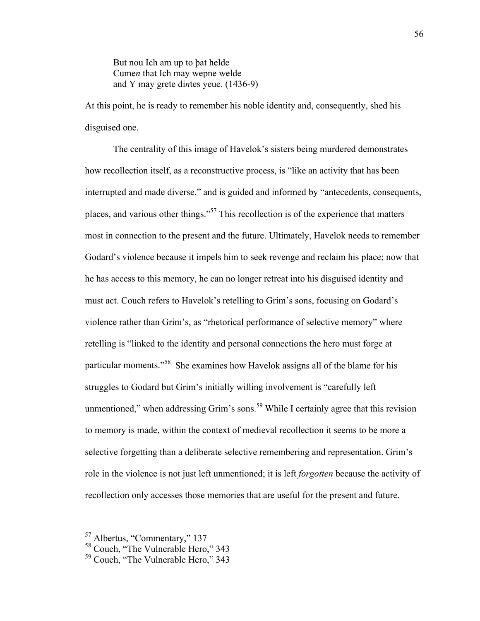But nou Ich am up to þat helde Cume*n* that Ich may wepne welde and Y may grete di*n*tes yeue. (1436-9)

At this point, he is ready to remember his noble identity and, consequently, shed his disguised one.

The centrality of this image of Havelok's sisters being murdered demonstrates how recollection itself, as a reconstructive process, is "like an activity that has been interrupted and made diverse," and is guided and informed by "antecedents, consequents, places, and various other things."<sup>57</sup> This recollection is of the experience that matters most in connection to the present and the future. Ultimately, Havelok needs to remember Godard's violence because it impels him to seek revenge and reclaim his place; now that he has access to this memory, he can no longer retreat into his disguised identity and must act. Couch refers to Havelok's retelling to Grim's sons, focusing on Godard's violence rather than Grim's, as "rhetorical performance of selective memory" where retelling is "linked to the identity and personal connections the hero must forge at particular moments."58 She examines how Havelok assigns all of the blame for his struggles to Godard but Grim's initially willing involvement is "carefully left unmentioned," when addressing Grim's sons.<sup>59</sup> While I certainly agree that this revision to memory is made, within the context of medieval recollection it seems to be more a selective forgetting than a deliberate selective remembering and representation. Grim's role in the violence is not just left unmentioned; it is left *forgotten* because the activity of recollection only accesses those memories that are useful for the present and future.

 <sup>57</sup> Albertus, "Commentary," 137

<sup>58</sup> Couch, "The Vulnerable Hero," 343

<sup>59</sup> Couch, "The Vulnerable Hero," 343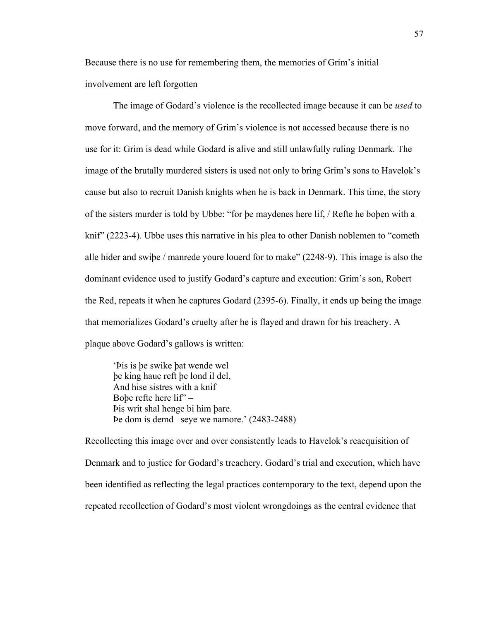Because there is no use for remembering them, the memories of Grim's initial involvement are left forgotten

The image of Godard's violence is the recollected image because it can be *used* to move forward, and the memory of Grim's violence is not accessed because there is no use for it: Grim is dead while Godard is alive and still unlawfully ruling Denmark. The image of the brutally murdered sisters is used not only to bring Grim's sons to Havelok's cause but also to recruit Danish knights when he is back in Denmark. This time, the story of the sisters murder is told by Ubbe: "for þe maydenes here lif, / Refte he boþen with a knif" (2223-4). Ubbe uses this narrative in his plea to other Danish noblemen to "cometh alle hider and swiþe / manrede youre louerd for to make" (2248-9). This image is also the dominant evidence used to justify Godard's capture and execution: Grim's son, Robert the Red, repeats it when he captures Godard (2395-6). Finally, it ends up being the image that memorializes Godard's cruelty after he is flayed and drawn for his treachery. A plaque above Godard's gallows is written:

'Þis is þe swike þat wende wel þe king haue reft þe lond il del, And hise sistres with a knif Boþe refte here lif" – Þis writ shal henge bi him þare. Þe dom is demd –seye we namore.' (2483-2488)

Recollecting this image over and over consistently leads to Havelok's reacquisition of Denmark and to justice for Godard's treachery. Godard's trial and execution, which have been identified as reflecting the legal practices contemporary to the text, depend upon the repeated recollection of Godard's most violent wrongdoings as the central evidence that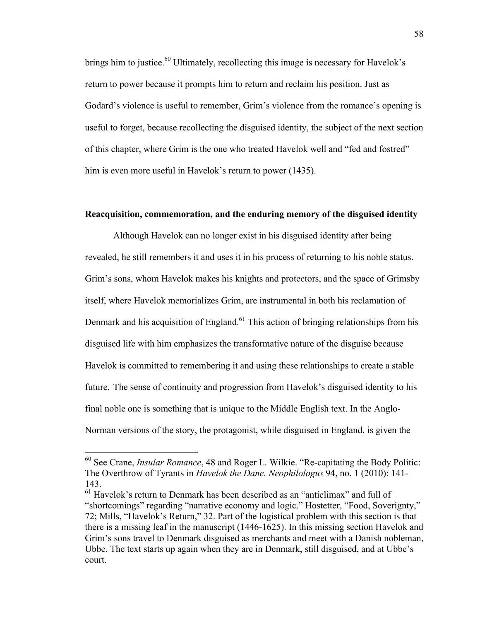brings him to justice.<sup>60</sup> Ultimately, recollecting this image is necessary for Havelok's return to power because it prompts him to return and reclaim his position. Just as Godard's violence is useful to remember, Grim's violence from the romance's opening is useful to forget, because recollecting the disguised identity, the subject of the next section of this chapter, where Grim is the one who treated Havelok well and "fed and fostred" him is even more useful in Havelok's return to power (1435).

### **Reacquisition, commemoration, and the enduring memory of the disguised identity**

Although Havelok can no longer exist in his disguised identity after being revealed, he still remembers it and uses it in his process of returning to his noble status. Grim's sons, whom Havelok makes his knights and protectors, and the space of Grimsby itself, where Havelok memorializes Grim, are instrumental in both his reclamation of Denmark and his acquisition of England.<sup>61</sup> This action of bringing relationships from his disguised life with him emphasizes the transformative nature of the disguise because Havelok is committed to remembering it and using these relationships to create a stable future. The sense of continuity and progression from Havelok's disguised identity to his final noble one is something that is unique to the Middle English text. In the Anglo-Norman versions of the story, the protagonist, while disguised in England, is given the

 <sup>60</sup> See Crane, *Insular Romance*, 48 and Roger L. Wilkie. "Re-capitating the Body Politic: The Overthrow of Tyrants in *Havelok the Dane. Neophilologus* 94, no. 1 (2010): 141- 143.

<sup>61</sup> Havelok's return to Denmark has been described as an "anticlimax" and full of "shortcomings" regarding "narrative economy and logic." Hostetter, "Food, Soverignty," 72; Mills, "Havelok's Return," 32. Part of the logistical problem with this section is that there is a missing leaf in the manuscript (1446-1625). In this missing section Havelok and Grim's sons travel to Denmark disguised as merchants and meet with a Danish nobleman, Ubbe. The text starts up again when they are in Denmark, still disguised, and at Ubbe's court.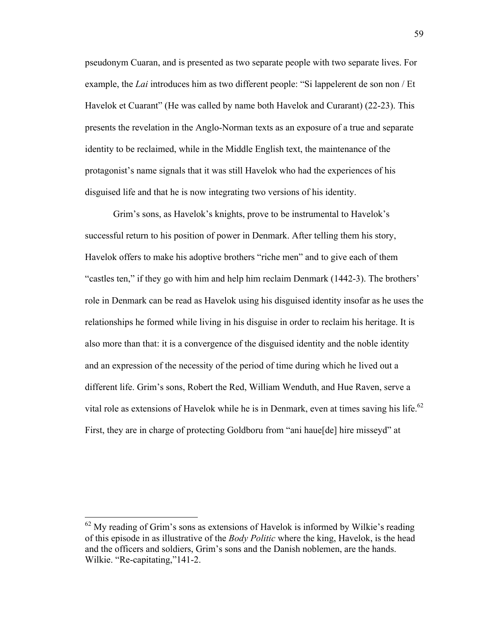pseudonym Cuaran, and is presented as two separate people with two separate lives. For example, the *Lai* introduces him as two different people: "Si lappelerent de son non / Et Havelok et Cuarant" (He was called by name both Havelok and Curarant) (22-23). This presents the revelation in the Anglo-Norman texts as an exposure of a true and separate identity to be reclaimed, while in the Middle English text, the maintenance of the protagonist's name signals that it was still Havelok who had the experiences of his disguised life and that he is now integrating two versions of his identity.

Grim's sons, as Havelok's knights, prove to be instrumental to Havelok's successful return to his position of power in Denmark. After telling them his story, Havelok offers to make his adoptive brothers "riche men" and to give each of them "castles ten," if they go with him and help him reclaim Denmark (1442-3). The brothers' role in Denmark can be read as Havelok using his disguised identity insofar as he uses the relationships he formed while living in his disguise in order to reclaim his heritage. It is also more than that: it is a convergence of the disguised identity and the noble identity and an expression of the necessity of the period of time during which he lived out a different life. Grim's sons, Robert the Red, William Wenduth, and Hue Raven, serve a vital role as extensions of Havelok while he is in Denmark, even at times saving his life.<sup>62</sup> First, they are in charge of protecting Goldboru from "ani haue[de] hire misseyd" at

 $62$  My reading of Grim's sons as extensions of Havelok is informed by Wilkie's reading of this episode in as illustrative of the *Body Politic* where the king, Havelok, is the head and the officers and soldiers, Grim's sons and the Danish noblemen, are the hands. Wilkie. "Re-capitating,"141-2.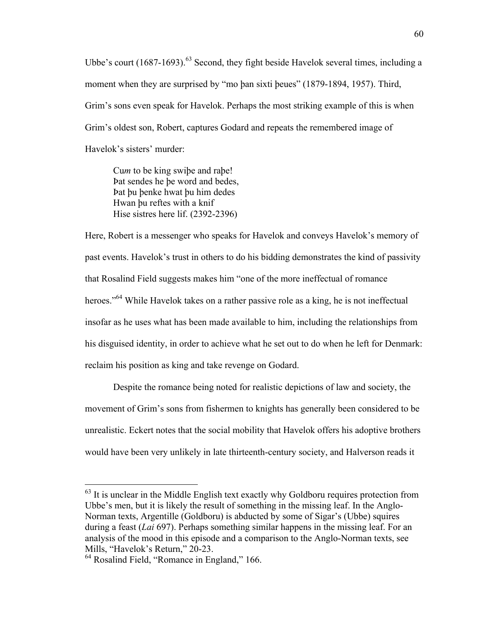Ubbe's court  $(1687-1693)$ <sup>63</sup> Second, they fight beside Havelok several times, including a moment when they are surprised by "mo þan sixti þeues" (1879-1894, 1957). Third, Grim's sons even speak for Havelok. Perhaps the most striking example of this is when Grim's oldest son, Robert, captures Godard and repeats the remembered image of Havelok's sisters' murder:

Cu*m* to be king swiþe and raþe! Þat sendes he þe word and bedes, Þat þu þenke hwat þu him dedes Hwan þu reftes with a knif Hise sistres here lif. (2392-2396)

Here, Robert is a messenger who speaks for Havelok and conveys Havelok's memory of past events. Havelok's trust in others to do his bidding demonstrates the kind of passivity that Rosalind Field suggests makes him "one of the more ineffectual of romance heroes."<sup>64</sup> While Havelok takes on a rather passive role as a king, he is not ineffectual insofar as he uses what has been made available to him, including the relationships from his disguised identity, in order to achieve what he set out to do when he left for Denmark: reclaim his position as king and take revenge on Godard.

Despite the romance being noted for realistic depictions of law and society, the movement of Grim's sons from fishermen to knights has generally been considered to be unrealistic. Eckert notes that the social mobility that Havelok offers his adoptive brothers would have been very unlikely in late thirteenth-century society, and Halverson reads it

<sup>&</sup>lt;sup>63</sup> It is unclear in the Middle English text exactly why Goldboru requires protection from Ubbe's men, but it is likely the result of something in the missing leaf. In the Anglo-Norman texts, Argentille (Goldboru) is abducted by some of Sigar's (Ubbe) squires during a feast (*Lai* 697). Perhaps something similar happens in the missing leaf. For an analysis of the mood in this episode and a comparison to the Anglo-Norman texts, see Mills, "Havelok's Return," 20-23.

<sup>&</sup>lt;sup>64</sup> Rosalind Field, "Romance in England," 166.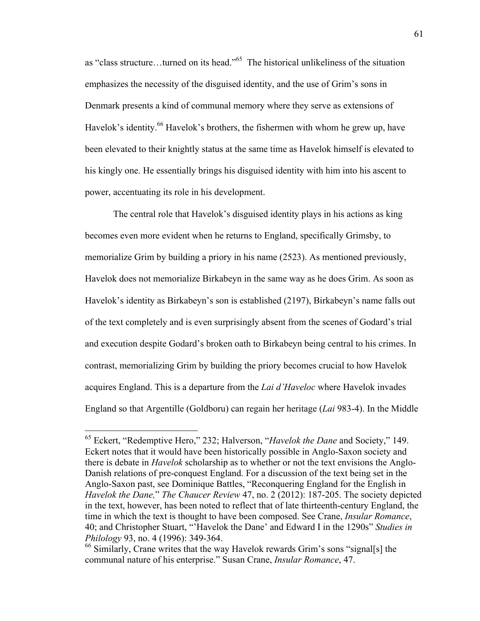as "class structure…turned on its head."65 The historical unlikeliness of the situation emphasizes the necessity of the disguised identity, and the use of Grim's sons in Denmark presents a kind of communal memory where they serve as extensions of Havelok's identity.<sup>66</sup> Havelok's brothers, the fishermen with whom he grew up, have been elevated to their knightly status at the same time as Havelok himself is elevated to his kingly one. He essentially brings his disguised identity with him into his ascent to power, accentuating its role in his development.

The central role that Havelok's disguised identity plays in his actions as king becomes even more evident when he returns to England, specifically Grimsby, to memorialize Grim by building a priory in his name (2523). As mentioned previously, Havelok does not memorialize Birkabeyn in the same way as he does Grim. As soon as Havelok's identity as Birkabeyn's son is established (2197), Birkabeyn's name falls out of the text completely and is even surprisingly absent from the scenes of Godard's trial and execution despite Godard's broken oath to Birkabeyn being central to his crimes. In contrast, memorializing Grim by building the priory becomes crucial to how Havelok acquires England. This is a departure from the *Lai d'Haveloc* where Havelok invades England so that Argentille (Goldboru) can regain her heritage (*Lai* 983-4). In the Middle

 <sup>65</sup> Eckert, "Redemptive Hero," 232; Halverson, "*Havelok the Dane* and Society," 149. Eckert notes that it would have been historically possible in Anglo-Saxon society and there is debate in *Havelok* scholarship as to whether or not the text envisions the Anglo-Danish relations of pre-conquest England. For a discussion of the text being set in the Anglo-Saxon past, see Dominique Battles, "Reconquering England for the English in *Havelok the Dane,*" *The Chaucer Review* 47, no. 2 (2012): 187-205. The society depicted in the text, however, has been noted to reflect that of late thirteenth-century England, the time in which the text is thought to have been composed. See Crane, *Insular Romance*, 40; and Christopher Stuart, "'Havelok the Dane' and Edward I in the 1290s" *Studies in Philology* 93, no. 4 (1996): 349-364.

<sup>&</sup>lt;sup>66</sup> Similarly, Crane writes that the way Havelok rewards Grim's sons "signal[s] the communal nature of his enterprise." Susan Crane, *Insular Romance*, 47.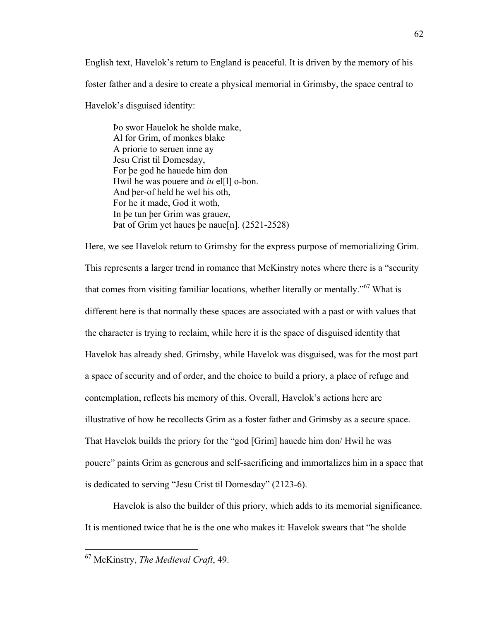English text, Havelok's return to England is peaceful. It is driven by the memory of his foster father and a desire to create a physical memorial in Grimsby, the space central to Havelok's disguised identity:

Þo swor Hauelok he sholde make, Al for Grim, of monkes blake A priorie to seruen inne ay Jesu Crist til Domesday, For þe god he hauede him don Hwil he was pouere and *iu* el<sup>[1]</sup> o-bon. And þer-of held he wel his oth, For he it made, God it woth, In þe tun þer Grim was graue*n*, Þat of Grim yet haues þe naue[n]. (2521-2528)

Here, we see Havelok return to Grimsby for the express purpose of memorializing Grim. This represents a larger trend in romance that McKinstry notes where there is a "security that comes from visiting familiar locations, whether literally or mentally."<sup>67</sup> What is different here is that normally these spaces are associated with a past or with values that the character is trying to reclaim, while here it is the space of disguised identity that Havelok has already shed. Grimsby, while Havelok was disguised, was for the most part a space of security and of order, and the choice to build a priory, a place of refuge and contemplation, reflects his memory of this. Overall, Havelok's actions here are illustrative of how he recollects Grim as a foster father and Grimsby as a secure space. That Havelok builds the priory for the "god [Grim] hauede him don/ Hwil he was pouere" paints Grim as generous and self-sacrificing and immortalizes him in a space that is dedicated to serving "Jesu Crist til Domesday" (2123-6).

Havelok is also the builder of this priory, which adds to its memorial significance. It is mentioned twice that he is the one who makes it: Havelok swears that "he sholde

 <sup>67</sup> McKinstry, *The Medieval Craft*, 49.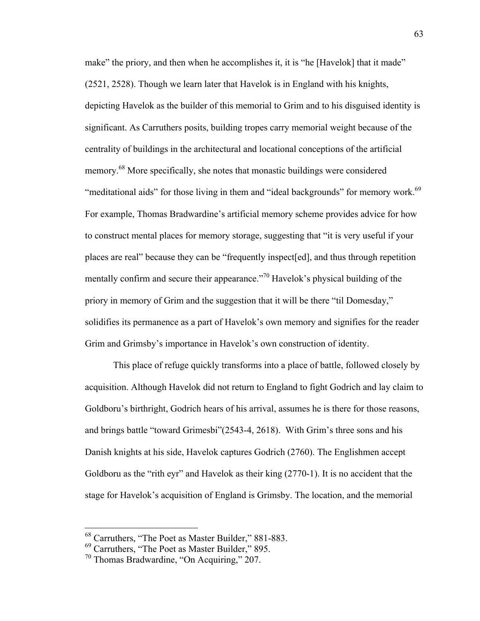make" the priory, and then when he accomplishes it, it is "he [Havelok] that it made" (2521, 2528). Though we learn later that Havelok is in England with his knights, depicting Havelok as the builder of this memorial to Grim and to his disguised identity is significant. As Carruthers posits, building tropes carry memorial weight because of the centrality of buildings in the architectural and locational conceptions of the artificial memory.<sup>68</sup> More specifically, she notes that monastic buildings were considered "meditational aids" for those living in them and "ideal backgrounds" for memory work.<sup>69</sup> For example, Thomas Bradwardine's artificial memory scheme provides advice for how to construct mental places for memory storage, suggesting that "it is very useful if your places are real" because they can be "frequently inspect[ed], and thus through repetition mentally confirm and secure their appearance."<sup>70</sup> Havelok's physical building of the priory in memory of Grim and the suggestion that it will be there "til Domesday," solidifies its permanence as a part of Havelok's own memory and signifies for the reader Grim and Grimsby's importance in Havelok's own construction of identity.

This place of refuge quickly transforms into a place of battle, followed closely by acquisition. Although Havelok did not return to England to fight Godrich and lay claim to Goldboru's birthright, Godrich hears of his arrival, assumes he is there for those reasons, and brings battle "toward Grimesbi"(2543-4, 2618). With Grim's three sons and his Danish knights at his side, Havelok captures Godrich (2760). The Englishmen accept Goldboru as the "rith eyr" and Havelok as their king (2770-1). It is no accident that the stage for Havelok's acquisition of England is Grimsby. The location, and the memorial

 <sup>68</sup> Carruthers, "The Poet as Master Builder," 881-883.

 $^{69}$  Carruthers, "The Poet as Master Builder," 895.<br><sup>70</sup> Thomas Bradwardine, "On Acquiring," 207.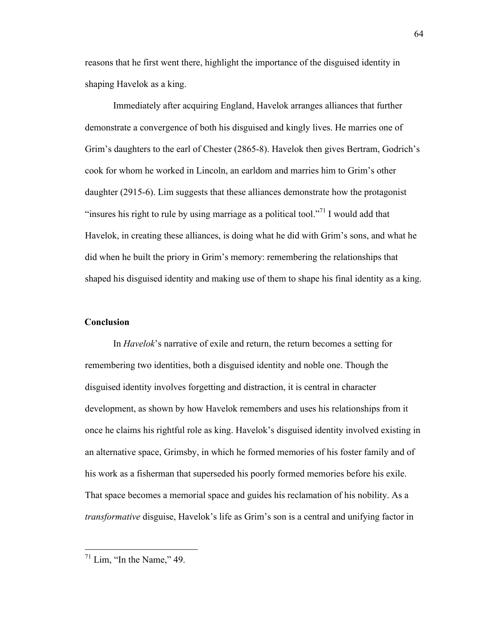reasons that he first went there, highlight the importance of the disguised identity in shaping Havelok as a king.

Immediately after acquiring England, Havelok arranges alliances that further demonstrate a convergence of both his disguised and kingly lives. He marries one of Grim's daughters to the earl of Chester (2865-8). Havelok then gives Bertram, Godrich's cook for whom he worked in Lincoln, an earldom and marries him to Grim's other daughter (2915-6). Lim suggests that these alliances demonstrate how the protagonist "insures his right to rule by using marriage as a political tool."<sup>71</sup> I would add that Havelok, in creating these alliances, is doing what he did with Grim's sons, and what he did when he built the priory in Grim's memory: remembering the relationships that shaped his disguised identity and making use of them to shape his final identity as a king.

### **Conclusion**

In *Havelok*'s narrative of exile and return, the return becomes a setting for remembering two identities, both a disguised identity and noble one. Though the disguised identity involves forgetting and distraction, it is central in character development, as shown by how Havelok remembers and uses his relationships from it once he claims his rightful role as king. Havelok's disguised identity involved existing in an alternative space, Grimsby, in which he formed memories of his foster family and of his work as a fisherman that superseded his poorly formed memories before his exile. That space becomes a memorial space and guides his reclamation of his nobility. As a *transformative* disguise, Havelok's life as Grim's son is a central and unifying factor in

 $71$  Lim, "In the Name," 49.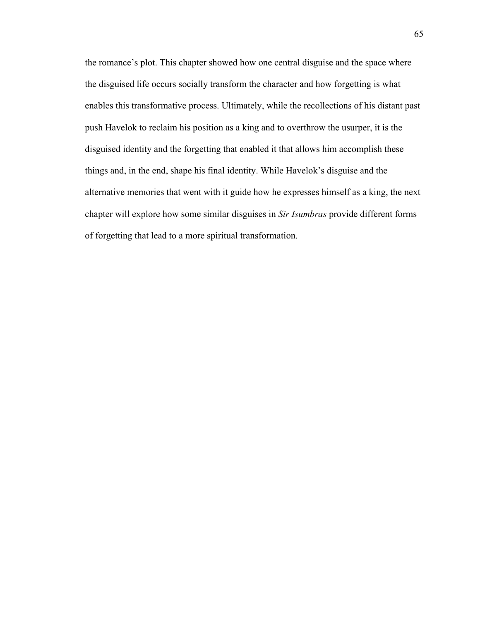the romance's plot. This chapter showed how one central disguise and the space where the disguised life occurs socially transform the character and how forgetting is what enables this transformative process. Ultimately, while the recollections of his distant past push Havelok to reclaim his position as a king and to overthrow the usurper, it is the disguised identity and the forgetting that enabled it that allows him accomplish these things and, in the end, shape his final identity. While Havelok's disguise and the alternative memories that went with it guide how he expresses himself as a king, the next chapter will explore how some similar disguises in *Sir Isumbras* provide different forms of forgetting that lead to a more spiritual transformation.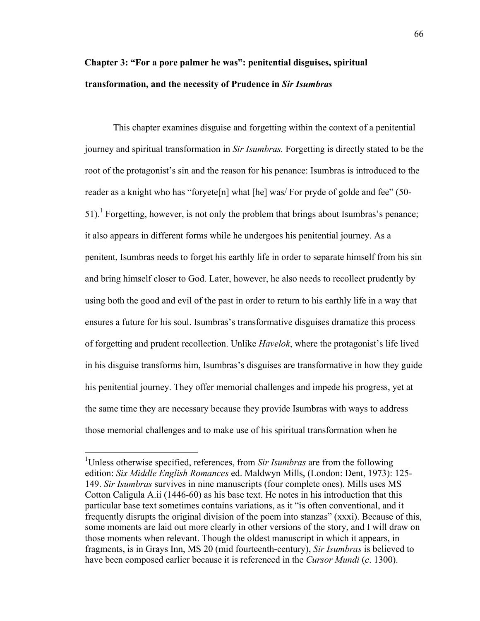# **Chapter 3: "For a pore palmer he was": penitential disguises, spiritual transformation, and the necessity of Prudence in** *Sir Isumbras*

This chapter examines disguise and forgetting within the context of a penitential journey and spiritual transformation in *Sir Isumbras.* Forgetting is directly stated to be the root of the protagonist's sin and the reason for his penance: Isumbras is introduced to the reader as a knight who has "foryete[n] what [he] was/ For pryde of golde and fee" (50- 51). Forgetting, however, is not only the problem that brings about Isumbras's penance; it also appears in different forms while he undergoes his penitential journey. As a penitent, Isumbras needs to forget his earthly life in order to separate himself from his sin and bring himself closer to God. Later, however, he also needs to recollect prudently by using both the good and evil of the past in order to return to his earthly life in a way that ensures a future for his soul. Isumbras's transformative disguises dramatize this process of forgetting and prudent recollection. Unlike *Havelok*, where the protagonist's life lived in his disguise transforms him, Isumbras's disguises are transformative in how they guide his penitential journey. They offer memorial challenges and impede his progress, yet at the same time they are necessary because they provide Isumbras with ways to address those memorial challenges and to make use of his spiritual transformation when he

 <sup>1</sup> Unless otherwise specified, references, from *Sir Isumbras* are from the following edition: *Six Middle English Romances* ed. Maldwyn Mills, (London: Dent, 1973): 125- 149. *Sir Isumbras* survives in nine manuscripts (four complete ones). Mills uses MS Cotton Caligula A.ii (1446-60) as his base text. He notes in his introduction that this particular base text sometimes contains variations, as it "is often conventional, and it frequently disrupts the original division of the poem into stanzas" (xxxi). Because of this, some moments are laid out more clearly in other versions of the story, and I will draw on those moments when relevant. Though the oldest manuscript in which it appears, in fragments, is in Grays Inn, MS 20 (mid fourteenth-century), *Sir Isumbras* is believed to have been composed earlier because it is referenced in the *Cursor Mundi* (*c*. 1300).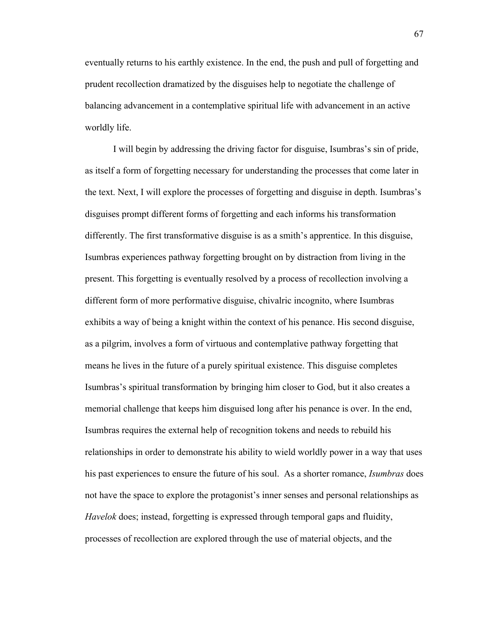eventually returns to his earthly existence. In the end, the push and pull of forgetting and prudent recollection dramatized by the disguises help to negotiate the challenge of balancing advancement in a contemplative spiritual life with advancement in an active worldly life.

I will begin by addressing the driving factor for disguise, Isumbras's sin of pride, as itself a form of forgetting necessary for understanding the processes that come later in the text. Next, I will explore the processes of forgetting and disguise in depth. Isumbras's disguises prompt different forms of forgetting and each informs his transformation differently. The first transformative disguise is as a smith's apprentice. In this disguise, Isumbras experiences pathway forgetting brought on by distraction from living in the present. This forgetting is eventually resolved by a process of recollection involving a different form of more performative disguise, chivalric incognito, where Isumbras exhibits a way of being a knight within the context of his penance. His second disguise, as a pilgrim, involves a form of virtuous and contemplative pathway forgetting that means he lives in the future of a purely spiritual existence. This disguise completes Isumbras's spiritual transformation by bringing him closer to God, but it also creates a memorial challenge that keeps him disguised long after his penance is over. In the end, Isumbras requires the external help of recognition tokens and needs to rebuild his relationships in order to demonstrate his ability to wield worldly power in a way that uses his past experiences to ensure the future of his soul. As a shorter romance, *Isumbras* does not have the space to explore the protagonist's inner senses and personal relationships as *Havelok* does; instead, forgetting is expressed through temporal gaps and fluidity, processes of recollection are explored through the use of material objects, and the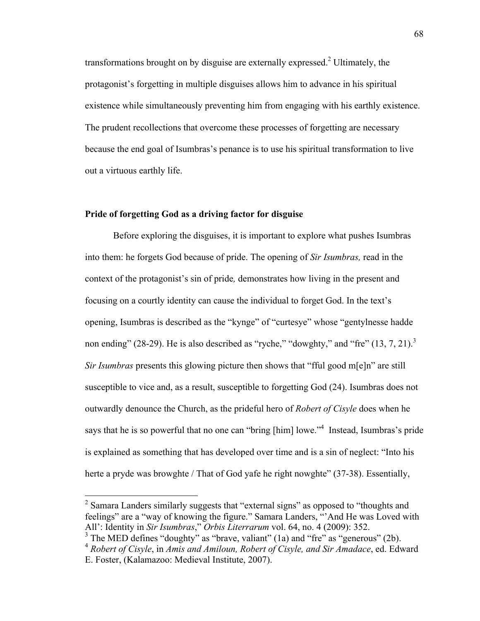transformations brought on by disguise are externally expressed.<sup>2</sup> Ultimately, the protagonist's forgetting in multiple disguises allows him to advance in his spiritual existence while simultaneously preventing him from engaging with his earthly existence. The prudent recollections that overcome these processes of forgetting are necessary because the end goal of Isumbras's penance is to use his spiritual transformation to live out a virtuous earthly life.

## **Pride of forgetting God as a driving factor for disguise**

Before exploring the disguises, it is important to explore what pushes Isumbras into them: he forgets God because of pride. The opening of *Sir Isumbras,* read in the context of the protagonist's sin of pride*,* demonstrates how living in the present and focusing on a courtly identity can cause the individual to forget God. In the text's opening, Isumbras is described as the "kynge" of "curtesye" whose "gentylnesse hadde non ending" (28-29). He is also described as "ryche," "dowghty," and "fre"  $(13, 7, 21)$ .<sup>3</sup> *Sir Isumbras* presents this glowing picture then shows that "fful good m[e]n" are still susceptible to vice and, as a result, susceptible to forgetting God (24). Isumbras does not outwardly denounce the Church, as the prideful hero of *Robert of Cisyle* does when he says that he is so powerful that no one can "bring [him] lowe."<sup>4</sup> Instead, Isumbras's pride is explained as something that has developed over time and is a sin of neglect: "Into his herte a pryde was browghte / That of God yafe he right nowghte" (37-38). Essentially,

<sup>&</sup>lt;sup>2</sup> Samara Landers similarly suggests that "external signs" as opposed to "thoughts and feelings" are a "way of knowing the figure." Samara Landers, "'And He was Loved with All': Identity in *Sir Isumbras*," *Orbis Literrarum* vol. 64, no. 4 (2009): 352.

 $3$  The MED defines "doughty" as "brave, valiant" (1a) and "fre" as "generous" (2b).

<sup>4</sup> *Robert of Cisyle*, in *Amis and Amiloun, Robert of Cisyle, and Sir Amadace*, ed. Edward E. Foster, (Kalamazoo: Medieval Institute, 2007).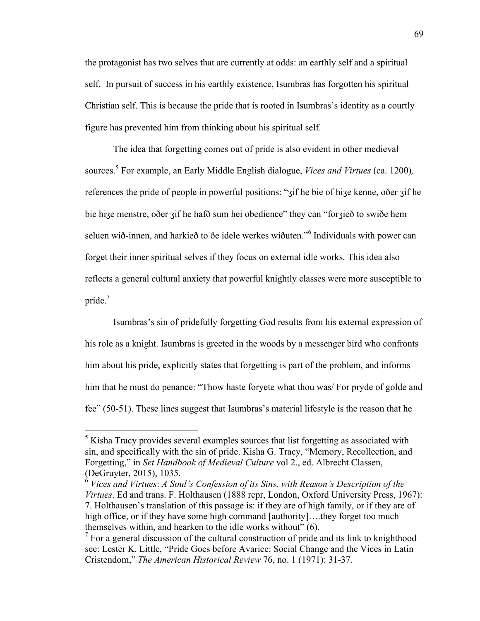the protagonist has two selves that are currently at odds: an earthly self and a spiritual self. In pursuit of success in his earthly existence, Isumbras has forgotten his spiritual Christian self. This is because the pride that is rooted in Isumbras's identity as a courtly figure has prevented him from thinking about his spiritual self.

The idea that forgetting comes out of pride is also evident in other medieval sources.5 For example, an Early Middle English dialogue, *Vices and Virtues* (ca. 1200)*,*  references the pride of people in powerful positions: "ʒif he bie of hiʒe kenne, oðer ʒif he bie hiʒe menstre, oðer ʒif he hafð sum hei obedience" they can "forʒieð to swiðe hem seluen wið-innen, and harkieð to ðe idele werkes wiðuten." <sup>6</sup> Individuals with power can forget their inner spiritual selves if they focus on external idle works. This idea also reflects a general cultural anxiety that powerful knightly classes were more susceptible to pride. 7

Isumbras's sin of pridefully forgetting God results from his external expression of his role as a knight. Isumbras is greeted in the woods by a messenger bird who confronts him about his pride, explicitly states that forgetting is part of the problem, and informs him that he must do penance: "Thow haste foryete what thou was/ For pryde of golde and fee" (50-51). These lines suggest that Isumbras's material lifestyle is the reason that he

 <sup>5</sup> Kisha Tracy provides several examples sources that list forgetting as associated with sin, and specifically with the sin of pride. Kisha G. Tracy, "Memory, Recollection, and Forgetting," in *Set Handbook of Medieval Culture* vol 2., ed. Albrecht Classen, (DeGruyter, 2015), 1035.

<sup>6</sup> *Vices and Virtues*: *A Soul's Confession of its Sins, with Reason's Description of the Virtues*. Ed and trans. F. Holthausen (1888 repr, London, Oxford University Press, 1967): 7. Holthausen's translation of this passage is: if they are of high family, or if they are of high office, or if they have some high command [authority]....they forget too much themselves within, and hearken to the idle works without" (6).

 $\gamma$  For a general discussion of the cultural construction of pride and its link to knighthood see: Lester K. Little, "Pride Goes before Avarice: Social Change and the Vices in Latin Cristendom," *The American Historical Review* 76, no. 1 (1971): 31-37.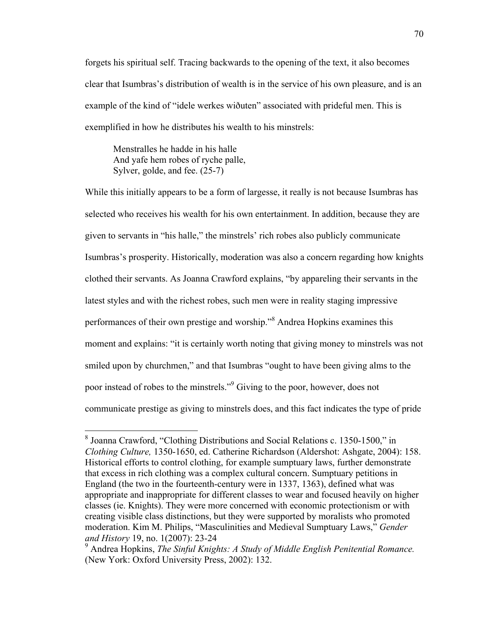forgets his spiritual self. Tracing backwards to the opening of the text, it also becomes clear that Isumbras's distribution of wealth is in the service of his own pleasure, and is an example of the kind of "idele werkes wiðuten" associated with prideful men. This is exemplified in how he distributes his wealth to his minstrels:

Menstralles he hadde in his halle And yafe hem robes of ryche palle, Sylver, golde, and fee. (25-7)

While this initially appears to be a form of largesse, it really is not because Isumbras has selected who receives his wealth for his own entertainment. In addition, because they are given to servants in "his halle," the minstrels' rich robes also publicly communicate Isumbras's prosperity. Historically, moderation was also a concern regarding how knights clothed their servants. As Joanna Crawford explains, "by appareling their servants in the latest styles and with the richest robes, such men were in reality staging impressive performances of their own prestige and worship."<sup>8</sup> Andrea Hopkins examines this moment and explains: "it is certainly worth noting that giving money to minstrels was not smiled upon by churchmen," and that Isumbras "ought to have been giving alms to the poor instead of robes to the minstrels."9 Giving to the poor, however, does not communicate prestige as giving to minstrels does, and this fact indicates the type of pride

 <sup>8</sup> Joanna Crawford, "Clothing Distributions and Social Relations c. 1350-1500," in *Clothing Culture,* 1350-1650, ed. Catherine Richardson (Aldershot: Ashgate, 2004): 158. Historical efforts to control clothing, for example sumptuary laws, further demonstrate that excess in rich clothing was a complex cultural concern. Sumptuary petitions in England (the two in the fourteenth-century were in 1337, 1363), defined what was appropriate and inappropriate for different classes to wear and focused heavily on higher classes (ie. Knights). They were more concerned with economic protectionism or with creating visible class distinctions, but they were supported by moralists who promoted moderation. Kim M. Philips, "Masculinities and Medieval Sumptuary Laws," *Gender and History* 19, no. 1(2007): 23-24

<sup>9</sup> Andrea Hopkins, *The Sinful Knights: A Study of Middle English Penitential Romance.*  (New York: Oxford University Press, 2002): 132.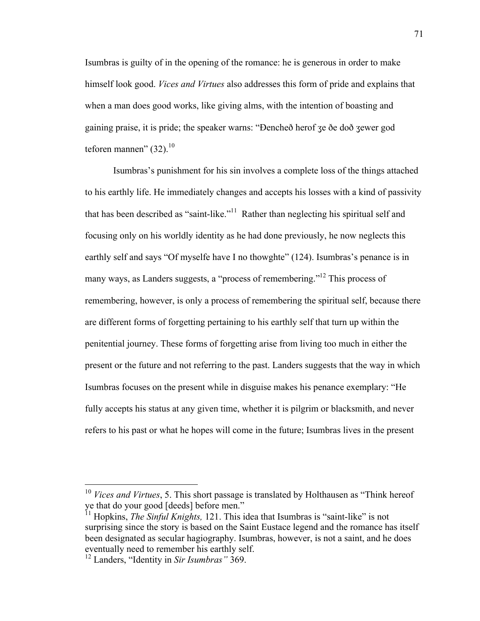Isumbras is guilty of in the opening of the romance: he is generous in order to make himself look good. *Vices and Virtues* also addresses this form of pride and explains that when a man does good works, like giving alms, with the intention of boasting and gaining praise, it is pride; the speaker warns: "Ðencheð herof ʒe ðe doð ʒewer god teforen mannen" (32). $^{10}$ 

Isumbras's punishment for his sin involves a complete loss of the things attached to his earthly life. He immediately changes and accepts his losses with a kind of passivity that has been described as "saint-like."<sup>11</sup> Rather than neglecting his spiritual self and focusing only on his worldly identity as he had done previously, he now neglects this earthly self and says "Of myselfe have I no thowghte" (124). Isumbras's penance is in many ways, as Landers suggests, a "process of remembering."<sup>12</sup> This process of remembering, however, is only a process of remembering the spiritual self, because there are different forms of forgetting pertaining to his earthly self that turn up within the penitential journey. These forms of forgetting arise from living too much in either the present or the future and not referring to the past. Landers suggests that the way in which Isumbras focuses on the present while in disguise makes his penance exemplary: "He fully accepts his status at any given time, whether it is pilgrim or blacksmith, and never refers to his past or what he hopes will come in the future; Isumbras lives in the present

<sup>&</sup>lt;sup>10</sup> Vices and Virtues, 5. This short passage is translated by Holthausen as "Think hereof ye that do your good [deeds] before men."

<sup>&</sup>lt;sup>11</sup> Hopkins, *The Sinful Knights*, 121. This idea that Isumbras is "saint-like" is not surprising since the story is based on the Saint Eustace legend and the romance has itself been designated as secular hagiography. Isumbras, however, is not a saint, and he does eventually need to remember his earthly self.

<sup>12</sup> Landers, "Identity in *Sir Isumbras"* 369.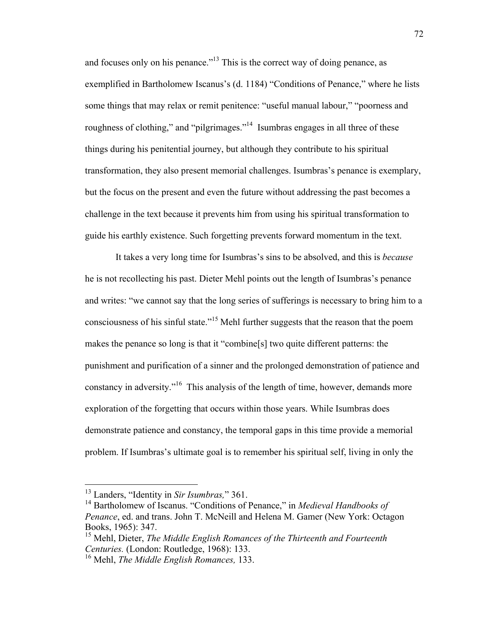and focuses only on his penance."<sup>13</sup> This is the correct way of doing penance, as exemplified in Bartholomew Iscanus's (d. 1184) "Conditions of Penance," where he lists some things that may relax or remit penitence: "useful manual labour," "poorness and roughness of clothing," and "pilgrimages."14 Isumbras engages in all three of these things during his penitential journey, but although they contribute to his spiritual transformation, they also present memorial challenges. Isumbras's penance is exemplary, but the focus on the present and even the future without addressing the past becomes a challenge in the text because it prevents him from using his spiritual transformation to guide his earthly existence. Such forgetting prevents forward momentum in the text.

It takes a very long time for Isumbras's sins to be absolved, and this is *because* he is not recollecting his past. Dieter Mehl points out the length of Isumbras's penance and writes: "we cannot say that the long series of sufferings is necessary to bring him to a consciousness of his sinful state."<sup>15</sup> Mehl further suggests that the reason that the poem makes the penance so long is that it "combine[s] two quite different patterns: the punishment and purification of a sinner and the prolonged demonstration of patience and constancy in adversity."<sup>16</sup> This analysis of the length of time, however, demands more exploration of the forgetting that occurs within those years. While Isumbras does demonstrate patience and constancy, the temporal gaps in this time provide a memorial problem. If Isumbras's ultimate goal is to remember his spiritual self, living in only the

 <sup>13</sup> Landers, "Identity in *Sir Isumbras,*" 361.

<sup>14</sup> Bartholomew of Iscanus. "Conditions of Penance," in *Medieval Handbooks of Penance*, ed. and trans. John T. McNeill and Helena M. Gamer (New York: Octagon Books, 1965): 347.

<sup>15</sup> Mehl, Dieter, *The Middle English Romances of the Thirteenth and Fourteenth Centuries.* (London: Routledge, 1968): 133.

<sup>16</sup> Mehl, *The Middle English Romances,* 133.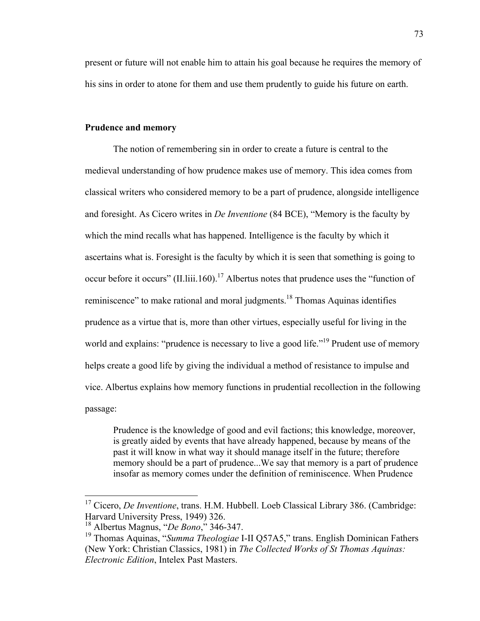present or future will not enable him to attain his goal because he requires the memory of his sins in order to atone for them and use them prudently to guide his future on earth.

# **Prudence and memory**

The notion of remembering sin in order to create a future is central to the medieval understanding of how prudence makes use of memory. This idea comes from classical writers who considered memory to be a part of prudence, alongside intelligence and foresight. As Cicero writes in *De Inventione* (84 BCE), "Memory is the faculty by which the mind recalls what has happened. Intelligence is the faculty by which it ascertains what is. Foresight is the faculty by which it is seen that something is going to occur before it occurs" (II.liii.160).<sup>17</sup> Albertus notes that prudence uses the "function of reminiscence" to make rational and moral judgments.<sup>18</sup> Thomas Aquinas identifies prudence as a virtue that is, more than other virtues, especially useful for living in the world and explains: "prudence is necessary to live a good life."<sup>19</sup> Prudent use of memory helps create a good life by giving the individual a method of resistance to impulse and vice. Albertus explains how memory functions in prudential recollection in the following passage:

Prudence is the knowledge of good and evil factions; this knowledge, moreover, is greatly aided by events that have already happened, because by means of the past it will know in what way it should manage itself in the future; therefore memory should be a part of prudence...We say that memory is a part of prudence insofar as memory comes under the definition of reminiscence. When Prudence

<sup>&</sup>lt;sup>17</sup> Cicero, *De Inventione*, trans. H.M. Hubbell. Loeb Classical Library 386. (Cambridge: Harvard University Press, 1949) 326.

<sup>18</sup> Albertus Magnus, "*De Bono*," 346-347.

<sup>19</sup> Thomas Aquinas, "*Summa Theologiae* I-II Q57A5," trans. English Dominican Fathers (New York: Christian Classics, 1981) in *The Collected Works of St Thomas Aquinas: Electronic Edition*, Intelex Past Masters.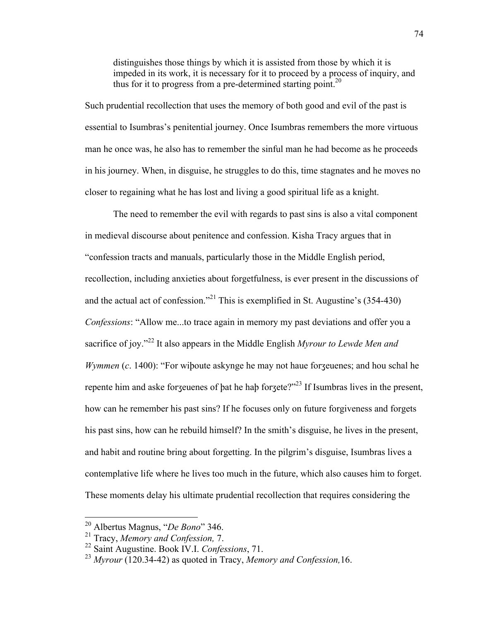distinguishes those things by which it is assisted from those by which it is impeded in its work, it is necessary for it to proceed by a process of inquiry, and thus for it to progress from a pre-determined starting point.<sup>20</sup>

Such prudential recollection that uses the memory of both good and evil of the past is essential to Isumbras's penitential journey. Once Isumbras remembers the more virtuous man he once was, he also has to remember the sinful man he had become as he proceeds in his journey. When, in disguise, he struggles to do this, time stagnates and he moves no closer to regaining what he has lost and living a good spiritual life as a knight.

The need to remember the evil with regards to past sins is also a vital component in medieval discourse about penitence and confession. Kisha Tracy argues that in "confession tracts and manuals, particularly those in the Middle English period, recollection, including anxieties about forgetfulness, is ever present in the discussions of and the actual act of confession."<sup>21</sup> This is exemplified in St. Augustine's  $(354-430)$ *Confessions*: "Allow me...to trace again in memory my past deviations and offer you a sacrifice of joy."<sup>22</sup> It also appears in the Middle English *Myrour to Lewde Men and Wymmen* (*c*. 1400): "For wiþoute askynge he may not haue forʒeuenes; and hou schal he repente him and aske forzeuenes of bat he hab forzete?"<sup>23</sup> If Isumbras lives in the present, how can he remember his past sins? If he focuses only on future forgiveness and forgets his past sins, how can he rebuild himself? In the smith's disguise, he lives in the present, and habit and routine bring about forgetting. In the pilgrim's disguise, Isumbras lives a contemplative life where he lives too much in the future, which also causes him to forget. These moments delay his ultimate prudential recollection that requires considering the

 <sup>20</sup> Albertus Magnus, "*De Bono*" 346.

<sup>21</sup> Tracy, *Memory and Confession,* 7.

<sup>22</sup> Saint Augustine. Book IV.I. *Confessions*, 71.

<sup>23</sup> *Myrour* (120.34-42) as quoted in Tracy, *Memory and Confession,*16.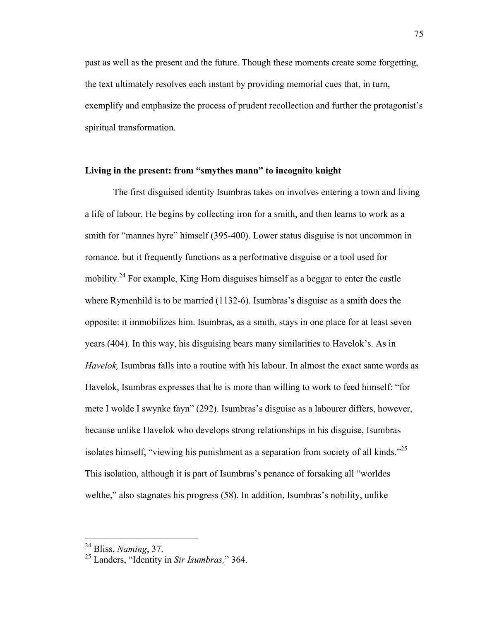past as well as the present and the future. Though these moments create some forgetting, the text ultimately resolves each instant by providing memorial cues that, in turn, exemplify and emphasize the process of prudent recollection and further the protagonist's spiritual transformation.

# **Living in the present: from "smythes mann" to incognito knight**

The first disguised identity Isumbras takes on involves entering a town and living a life of labour. He begins by collecting iron for a smith, and then learns to work as a smith for "mannes hyre" himself (395-400). Lower status disguise is not uncommon in romance, but it frequently functions as a performative disguise or a tool used for mobility.<sup>24</sup> For example, King Horn disguises himself as a beggar to enter the castle where Rymenhild is to be married (1132-6). Isumbras's disguise as a smith does the opposite: it immobilizes him. Isumbras, as a smith, stays in one place for at least seven years (404). In this way, his disguising bears many similarities to Havelok's. As in *Havelok,* Isumbras falls into a routine with his labour. In almost the exact same words as Havelok, Isumbras expresses that he is more than willing to work to feed himself: "for mete I wolde I swynke fayn" (292). Isumbras's disguise as a labourer differs, however, because unlike Havelok who develops strong relationships in his disguise, Isumbras isolates himself, "viewing his punishment as a separation from society of all kinds."<sup>25</sup> This isolation, although it is part of Isumbras's penance of forsaking all "worldes welthe," also stagnates his progress (58). In addition, Isumbras's nobility, unlike

 <sup>24</sup> Bliss, *Naming*, 37.

<sup>25</sup> Landers, "Identity in *Sir Isumbras,*" 364.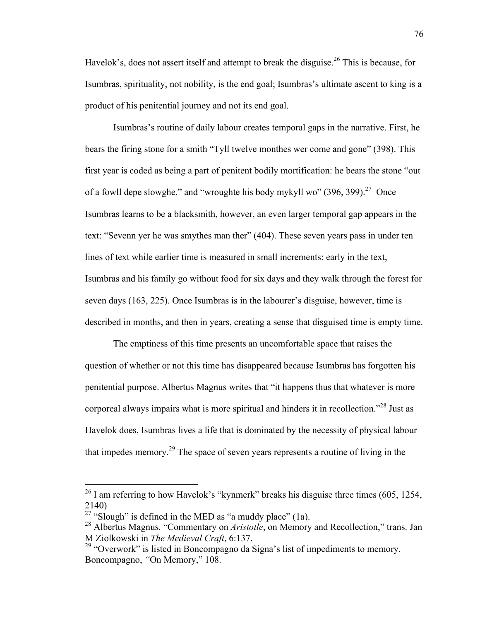Havelok's, does not assert itself and attempt to break the disguise.<sup>26</sup> This is because, for Isumbras, spirituality, not nobility, is the end goal; Isumbras's ultimate ascent to king is a product of his penitential journey and not its end goal.

Isumbras's routine of daily labour creates temporal gaps in the narrative. First, he bears the firing stone for a smith "Tyll twelve monthes wer come and gone" (398). This first year is coded as being a part of penitent bodily mortification: he bears the stone "out of a fowll depe slowghe," and "wroughte his body mykyll wo"  $(396, 399)$ .<sup>27</sup> Once Isumbras learns to be a blacksmith, however, an even larger temporal gap appears in the text: "Sevenn yer he was smythes man ther" (404). These seven years pass in under ten lines of text while earlier time is measured in small increments: early in the text, Isumbras and his family go without food for six days and they walk through the forest for seven days (163, 225). Once Isumbras is in the labourer's disguise, however, time is described in months, and then in years, creating a sense that disguised time is empty time.

The emptiness of this time presents an uncomfortable space that raises the question of whether or not this time has disappeared because Isumbras has forgotten his penitential purpose. Albertus Magnus writes that "it happens thus that whatever is more corporeal always impairs what is more spiritual and hinders it in recollection."28 Just as Havelok does, Isumbras lives a life that is dominated by the necessity of physical labour that impedes memory.<sup>29</sup> The space of seven years represents a routine of living in the

 $26$  I am referring to how Havelok's "kynmerk" breaks his disguise three times (605, 1254, 2140)

<sup>&</sup>lt;sup>27</sup> "Slough" is defined in the MED as "a muddy place" (1a).

<sup>28</sup> Albertus Magnus. "Commentary on *Aristotle*, on Memory and Recollection," trans. Jan M Ziolkowski in *The Medieval Craft*, 6:137.

<sup>&</sup>lt;sup>29</sup> "Overwork" is listed in Boncompagno da Signa's list of impediments to memory. Boncompagno, *"*On Memory," 108.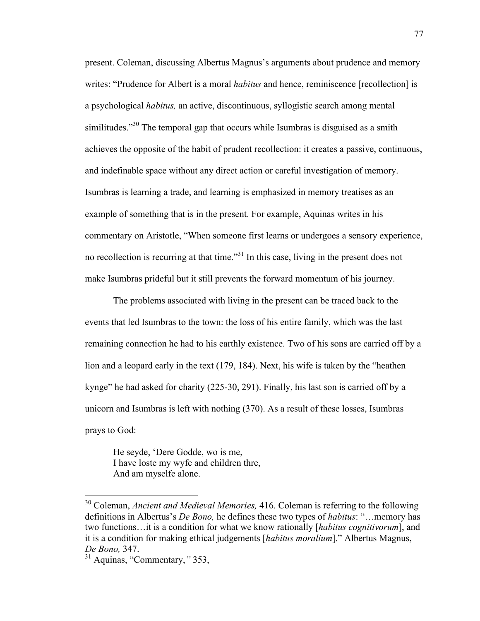present. Coleman, discussing Albertus Magnus's arguments about prudence and memory writes: "Prudence for Albert is a moral *habitus* and hence, reminiscence [recollection] is a psychological *habitus,* an active, discontinuous, syllogistic search among mental similitudes."<sup>30</sup> The temporal gap that occurs while Isumbras is disguised as a smith achieves the opposite of the habit of prudent recollection: it creates a passive, continuous, and indefinable space without any direct action or careful investigation of memory. Isumbras is learning a trade, and learning is emphasized in memory treatises as an example of something that is in the present. For example, Aquinas writes in his commentary on Aristotle, "When someone first learns or undergoes a sensory experience, no recollection is recurring at that time."<sup>31</sup> In this case, living in the present does not make Isumbras prideful but it still prevents the forward momentum of his journey.

The problems associated with living in the present can be traced back to the events that led Isumbras to the town: the loss of his entire family, which was the last remaining connection he had to his earthly existence. Two of his sons are carried off by a lion and a leopard early in the text (179, 184). Next, his wife is taken by the "heathen kynge" he had asked for charity (225-30, 291). Finally, his last son is carried off by a unicorn and Isumbras is left with nothing (370). As a result of these losses, Isumbras prays to God:

He seyde, 'Dere Godde, wo is me, I have loste my wyfe and children thre, And am myselfe alone.

 <sup>30</sup> Coleman, *Ancient and Medieval Memories,* 416. Coleman is referring to the following definitions in Albertus's *De Bono,* he defines these two types of *habitus*: "…memory has two functions…it is a condition for what we know rationally [*habitus cognitivorum*], and it is a condition for making ethical judgements [*habitus moralium*]." Albertus Magnus, *De Bono,* 347.

<sup>31</sup> Aquinas, "Commentary,*"* 353,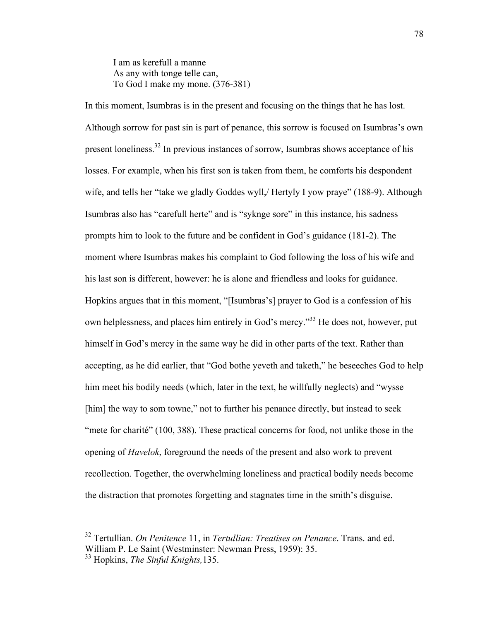I am as kerefull a manne As any with tonge telle can, To God I make my mone. (376-381)

In this moment, Isumbras is in the present and focusing on the things that he has lost. Although sorrow for past sin is part of penance, this sorrow is focused on Isumbras's own present loneliness.32 In previous instances of sorrow, Isumbras shows acceptance of his losses. For example, when his first son is taken from them, he comforts his despondent wife, and tells her "take we gladly Goddes wyll,/ Hertyly I yow praye" (188-9). Although Isumbras also has "carefull herte" and is "syknge sore" in this instance, his sadness prompts him to look to the future and be confident in God's guidance (181-2). The moment where Isumbras makes his complaint to God following the loss of his wife and his last son is different, however: he is alone and friendless and looks for guidance. Hopkins argues that in this moment, "[Isumbras's] prayer to God is a confession of his own helplessness, and places him entirely in God's mercy."<sup>33</sup> He does not, however, put himself in God's mercy in the same way he did in other parts of the text. Rather than accepting, as he did earlier, that "God bothe yeveth and taketh," he beseeches God to help him meet his bodily needs (which, later in the text, he willfully neglects) and "wysse [him] the way to som towne," not to further his penance directly, but instead to seek "mete for charité" (100, 388). These practical concerns for food, not unlike those in the opening of *Havelok*, foreground the needs of the present and also work to prevent recollection. Together, the overwhelming loneliness and practical bodily needs become the distraction that promotes forgetting and stagnates time in the smith's disguise.

 <sup>32</sup> Tertullian. *On Penitence* 11, in *Tertullian: Treatises on Penance*. Trans. and ed. William P. Le Saint (Westminster: Newman Press, 1959): 35.

<sup>33</sup> Hopkins, *The Sinful Knights,*135.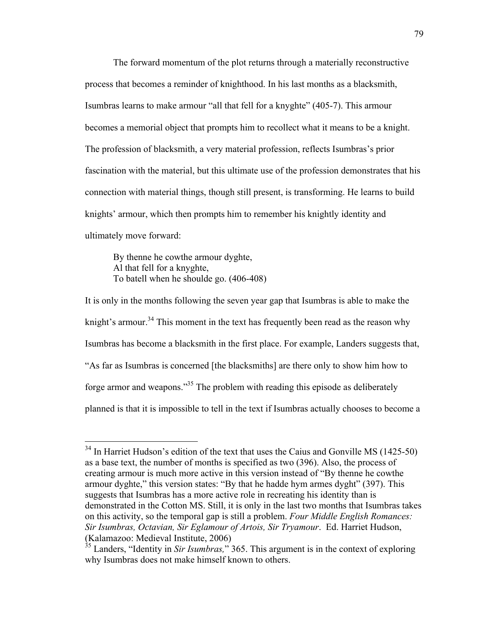The forward momentum of the plot returns through a materially reconstructive process that becomes a reminder of knighthood. In his last months as a blacksmith, Isumbras learns to make armour "all that fell for a knyghte" (405-7). This armour becomes a memorial object that prompts him to recollect what it means to be a knight. The profession of blacksmith, a very material profession, reflects Isumbras's prior fascination with the material, but this ultimate use of the profession demonstrates that his connection with material things, though still present, is transforming. He learns to build knights' armour, which then prompts him to remember his knightly identity and ultimately move forward:

By thenne he cowthe armour dyghte, Al that fell for a knyghte, To batell when he shoulde go. (406-408)

It is only in the months following the seven year gap that Isumbras is able to make the knight's armour.<sup>34</sup> This moment in the text has frequently been read as the reason why Isumbras has become a blacksmith in the first place. For example, Landers suggests that, "As far as Isumbras is concerned [the blacksmiths] are there only to show him how to forge armor and weapons."35 The problem with reading this episode as deliberately planned is that it is impossible to tell in the text if Isumbras actually chooses to become a

 $34$  In Harriet Hudson's edition of the text that uses the Caius and Gonville MS (1425-50) as a base text, the number of months is specified as two (396). Also, the process of creating armour is much more active in this version instead of "By thenne he cowthe armour dyghte," this version states: "By that he hadde hym armes dyght" (397). This suggests that Isumbras has a more active role in recreating his identity than is demonstrated in the Cotton MS. Still, it is only in the last two months that Isumbras takes on this activity, so the temporal gap is still a problem. *Four Middle English Romances: Sir Isumbras, Octavian, Sir Eglamour of Artois, Sir Tryamour*. Ed. Harriet Hudson, (Kalamazoo: Medieval Institute, 2006)

<sup>&</sup>lt;sup>35</sup> Landers, "Identity in *Sir Isumbras*," 365. This argument is in the context of exploring why Isumbras does not make himself known to others.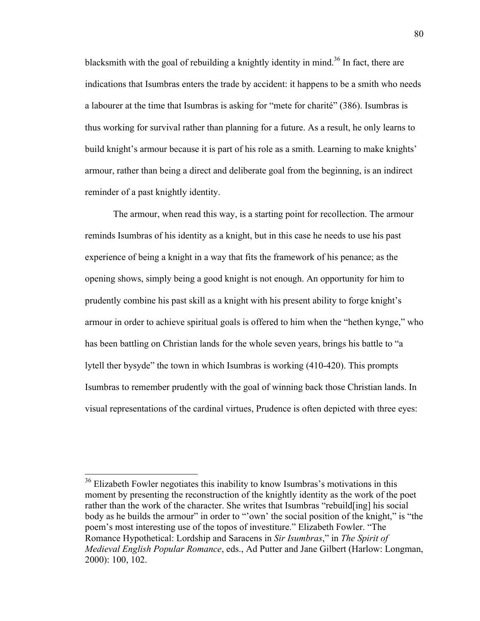blacksmith with the goal of rebuilding a knightly identity in mind.<sup>36</sup> In fact, there are indications that Isumbras enters the trade by accident: it happens to be a smith who needs a labourer at the time that Isumbras is asking for "mete for charité" (386). Isumbras is thus working for survival rather than planning for a future. As a result, he only learns to build knight's armour because it is part of his role as a smith. Learning to make knights' armour, rather than being a direct and deliberate goal from the beginning, is an indirect reminder of a past knightly identity.

The armour, when read this way, is a starting point for recollection. The armour reminds Isumbras of his identity as a knight, but in this case he needs to use his past experience of being a knight in a way that fits the framework of his penance; as the opening shows, simply being a good knight is not enough. An opportunity for him to prudently combine his past skill as a knight with his present ability to forge knight's armour in order to achieve spiritual goals is offered to him when the "hethen kynge," who has been battling on Christian lands for the whole seven years, brings his battle to "a lytell ther bysyde" the town in which Isumbras is working (410-420). This prompts Isumbras to remember prudently with the goal of winning back those Christian lands. In visual representations of the cardinal virtues, Prudence is often depicted with three eyes:

<sup>&</sup>lt;sup>36</sup> Elizabeth Fowler negotiates this inability to know Isumbras's motivations in this moment by presenting the reconstruction of the knightly identity as the work of the poet rather than the work of the character. She writes that Isumbras "rebuild[ing] his social body as he builds the armour" in order to "'own' the social position of the knight," is "the poem's most interesting use of the topos of investiture." Elizabeth Fowler. "The Romance Hypothetical: Lordship and Saracens in *Sir Isumbras*," in *The Spirit of Medieval English Popular Romance*, eds., Ad Putter and Jane Gilbert (Harlow: Longman, 2000): 100, 102.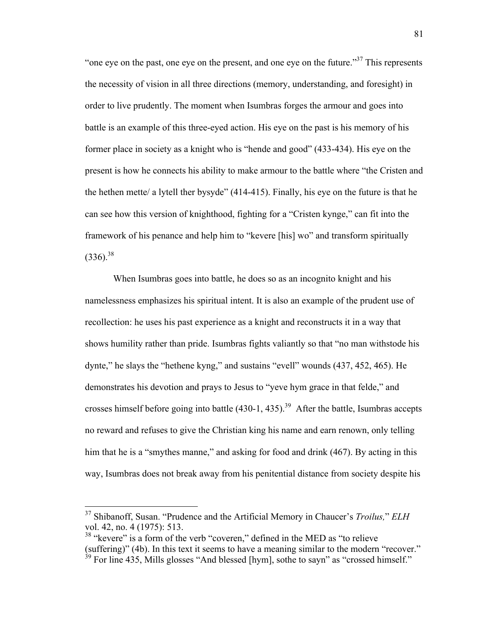"one eve on the past, one eye on the present, and one eye on the future."<sup>37</sup> This represents the necessity of vision in all three directions (memory, understanding, and foresight) in order to live prudently. The moment when Isumbras forges the armour and goes into battle is an example of this three-eyed action. His eye on the past is his memory of his former place in society as a knight who is "hende and good" (433-434). His eye on the present is how he connects his ability to make armour to the battle where "the Cristen and the hethen mette/ a lytell ther bysyde" (414-415). Finally, his eye on the future is that he can see how this version of knighthood, fighting for a "Cristen kynge," can fit into the framework of his penance and help him to "kevere [his] wo" and transform spiritually  $(336)^{38}$ 

When Isumbras goes into battle, he does so as an incognito knight and his namelessness emphasizes his spiritual intent. It is also an example of the prudent use of recollection: he uses his past experience as a knight and reconstructs it in a way that shows humility rather than pride. Isumbras fights valiantly so that "no man withstode his dynte," he slays the "hethene kyng," and sustains "evell" wounds (437, 452, 465). He demonstrates his devotion and prays to Jesus to "yeve hym grace in that felde," and crosses himself before going into battle  $(430-1, 435)$ .<sup>39</sup> After the battle, Isumbras accepts no reward and refuses to give the Christian king his name and earn renown, only telling him that he is a "smythes manne," and asking for food and drink (467). By acting in this way, Isumbras does not break away from his penitential distance from society despite his

 <sup>37</sup> Shibanoff, Susan. "Prudence and the Artificial Memory in Chaucer's *Troilus,*" *ELH* vol. 42, no. 4 (1975): 513.

<sup>&</sup>lt;sup>38</sup> "kevere" is a form of the verb "coveren," defined in the MED as "to relieve (suffering)" (4b). In this text it seems to have a meaning similar to the modern "recover."  $39$  For line 435, Mills glosses "And blessed [hym], sothe to sayn" as "crossed himself."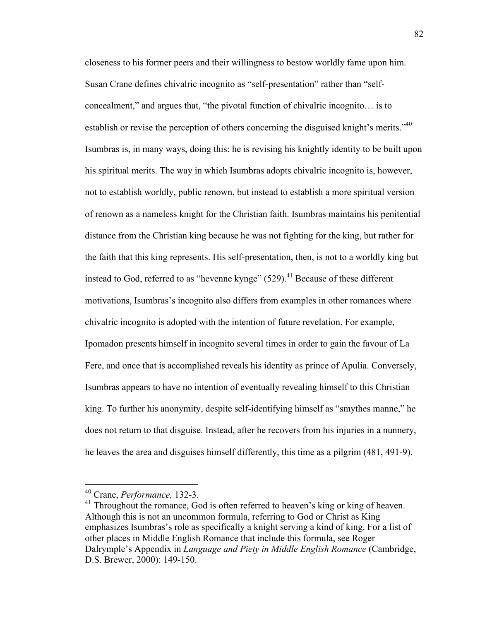closeness to his former peers and their willingness to bestow worldly fame upon him. Susan Crane defines chivalric incognito as "self-presentation" rather than "selfconcealment," and argues that, "the pivotal function of chivalric incognito… is to establish or revise the perception of others concerning the disguised knight's merits."<sup>40</sup> Isumbras is, in many ways, doing this: he is revising his knightly identity to be built upon his spiritual merits. The way in which Isumbras adopts chivalric incognito is, however, not to establish worldly, public renown, but instead to establish a more spiritual version of renown as a nameless knight for the Christian faith. Isumbras maintains his penitential distance from the Christian king because he was not fighting for the king, but rather for the faith that this king represents. His self-presentation, then, is not to a worldly king but instead to God, referred to as "hevenne kynge"  $(529)$ .<sup>41</sup> Because of these different motivations, Isumbras's incognito also differs from examples in other romances where chivalric incognito is adopted with the intention of future revelation. For example, Ipomadon presents himself in incognito several times in order to gain the favour of La Fere, and once that is accomplished reveals his identity as prince of Apulia. Conversely, Isumbras appears to have no intention of eventually revealing himself to this Christian king. To further his anonymity, despite self-identifying himself as "smythes manne," he does not return to that disguise. Instead, after he recovers from his injuries in a nunnery, he leaves the area and disguises himself differently, this time as a pilgrim (481, 491-9).

 <sup>40</sup> Crane, *Performance,* 132-3.

 $41$  Throughout the romance, God is often referred to heaven's king or king of heaven. Although this is not an uncommon formula, referring to God or Christ as King emphasizes Isumbras's role as specifically a knight serving a kind of king. For a list of other places in Middle English Romance that include this formula, see Roger Dalrymple's Appendix in *Language and Piety in Middle English Romance* (Cambridge, D.S. Brewer, 2000): 149-150.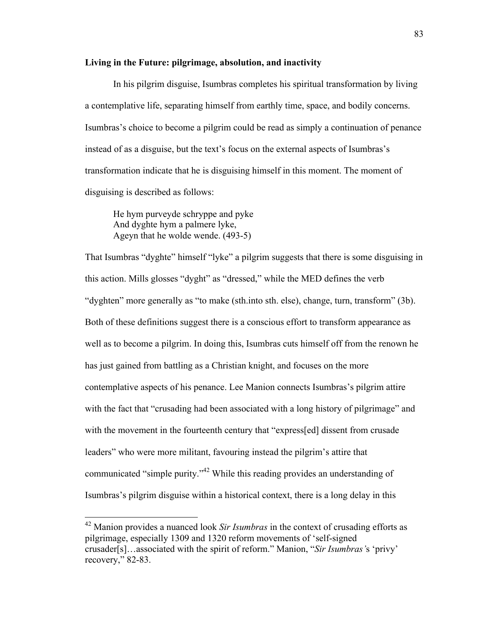## **Living in the Future: pilgrimage, absolution, and inactivity**

In his pilgrim disguise, Isumbras completes his spiritual transformation by living a contemplative life, separating himself from earthly time, space, and bodily concerns. Isumbras's choice to become a pilgrim could be read as simply a continuation of penance instead of as a disguise, but the text's focus on the external aspects of Isumbras's transformation indicate that he is disguising himself in this moment. The moment of disguising is described as follows:

He hym purveyde schryppe and pyke And dyghte hym a palmere lyke, Ageyn that he wolde wende. (493-5)

That Isumbras "dyghte" himself "lyke" a pilgrim suggests that there is some disguising in this action. Mills glosses "dyght" as "dressed," while the MED defines the verb "dyghten" more generally as "to make (sth.into sth. else), change, turn, transform" (3b). Both of these definitions suggest there is a conscious effort to transform appearance as well as to become a pilgrim. In doing this, Isumbras cuts himself off from the renown he has just gained from battling as a Christian knight, and focuses on the more contemplative aspects of his penance. Lee Manion connects Isumbras's pilgrim attire with the fact that "crusading had been associated with a long history of pilgrimage" and with the movement in the fourteenth century that "express[ed] dissent from crusade leaders" who were more militant, favouring instead the pilgrim's attire that communicated "simple purity."42 While this reading provides an understanding of Isumbras's pilgrim disguise within a historical context, there is a long delay in this

 <sup>42</sup> Manion provides a nuanced look *Sir Isumbras* in the context of crusading efforts as pilgrimage, especially 1309 and 1320 reform movements of 'self-signed crusader[s]…associated with the spirit of reform." Manion, "*Sir Isumbras'*s 'privy' recovery," 82-83.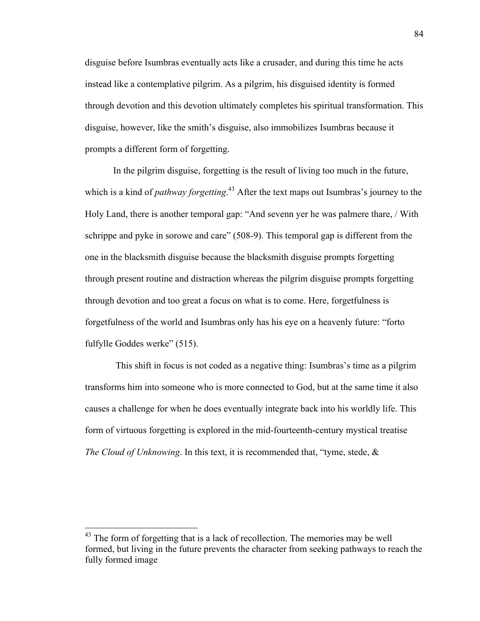disguise before Isumbras eventually acts like a crusader, and during this time he acts instead like a contemplative pilgrim. As a pilgrim, his disguised identity is formed through devotion and this devotion ultimately completes his spiritual transformation. This disguise, however, like the smith's disguise, also immobilizes Isumbras because it prompts a different form of forgetting.

In the pilgrim disguise, forgetting is the result of living too much in the future, which is a kind of *pathway forgetting*. <sup>43</sup> After the text maps out Isumbras's journey to the Holy Land, there is another temporal gap: "And sevenn yer he was palmere thare, / With schrippe and pyke in sorowe and care" (508-9). This temporal gap is different from the one in the blacksmith disguise because the blacksmith disguise prompts forgetting through present routine and distraction whereas the pilgrim disguise prompts forgetting through devotion and too great a focus on what is to come. Here, forgetfulness is forgetfulness of the world and Isumbras only has his eye on a heavenly future: "forto fulfylle Goddes werke" (515).

This shift in focus is not coded as a negative thing: Isumbras's time as a pilgrim transforms him into someone who is more connected to God, but at the same time it also causes a challenge for when he does eventually integrate back into his worldly life. This form of virtuous forgetting is explored in the mid-fourteenth-century mystical treatise *The Cloud of Unknowing*. In this text, it is recommended that, "tyme, stede, &

 $43$  The form of forgetting that is a lack of recollection. The memories may be well formed, but living in the future prevents the character from seeking pathways to reach the fully formed image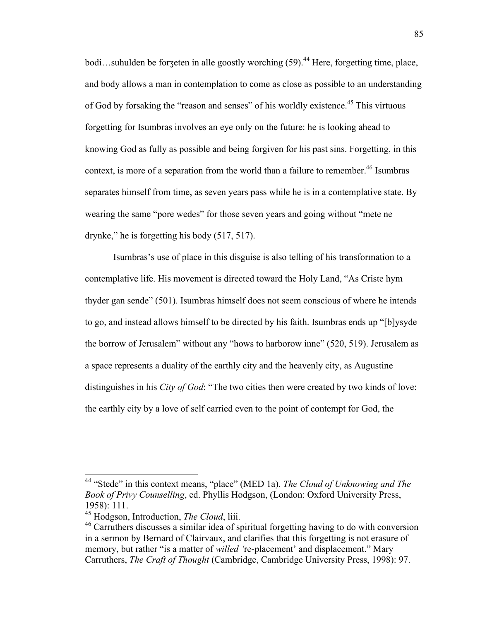bodi...suhulden be forzeten in alle goostly worching  $(59)$ <sup>44</sup> Here, forgetting time, place, and body allows a man in contemplation to come as close as possible to an understanding of God by forsaking the "reason and senses" of his worldly existence.<sup>45</sup> This virtuous forgetting for Isumbras involves an eye only on the future: he is looking ahead to knowing God as fully as possible and being forgiven for his past sins. Forgetting, in this context, is more of a separation from the world than a failure to remember.<sup>46</sup> Isumbras separates himself from time, as seven years pass while he is in a contemplative state. By wearing the same "pore wedes" for those seven years and going without "mete ne drynke," he is forgetting his body (517, 517).

Isumbras's use of place in this disguise is also telling of his transformation to a contemplative life. His movement is directed toward the Holy Land, "As Criste hym thyder gan sende" (501). Isumbras himself does not seem conscious of where he intends to go, and instead allows himself to be directed by his faith. Isumbras ends up "[b]ysyde the borrow of Jerusalem" without any "hows to harborow inne" (520, 519). Jerusalem as a space represents a duality of the earthly city and the heavenly city, as Augustine distinguishes in his *City of God*: "The two cities then were created by two kinds of love: the earthly city by a love of self carried even to the point of contempt for God, the

 <sup>44</sup> "Stede" in this context means, "place" (MED 1a). *The Cloud of Unknowing and The Book of Privy Counselling*, ed. Phyllis Hodgson, (London: Oxford University Press, 1958): 111.

<sup>45</sup> Hodgson, Introduction, *The Cloud*, liii.

<sup>46</sup> Carruthers discusses a similar idea of spiritual forgetting having to do with conversion in a sermon by Bernard of Clairvaux, and clarifies that this forgetting is not erasure of memory, but rather "is a matter of *willed '*re-placement' and displacement." Mary Carruthers, *The Craft of Thought* (Cambridge, Cambridge University Press, 1998): 97.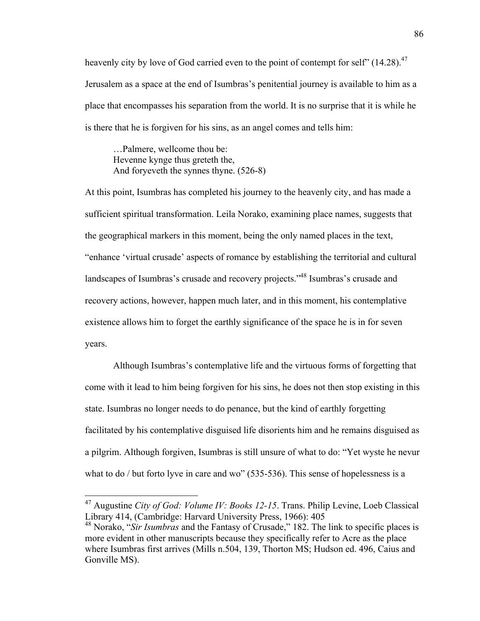heavenly city by love of God carried even to the point of contempt for self"  $(14.28)$ <sup>47</sup> Jerusalem as a space at the end of Isumbras's penitential journey is available to him as a place that encompasses his separation from the world. It is no surprise that it is while he is there that he is forgiven for his sins, as an angel comes and tells him:

…Palmere, wellcome thou be: Hevenne kynge thus greteth the, And foryeveth the synnes thyne. (526-8)

At this point, Isumbras has completed his journey to the heavenly city, and has made a sufficient spiritual transformation. Leila Norako, examining place names, suggests that the geographical markers in this moment, being the only named places in the text, "enhance 'virtual crusade' aspects of romance by establishing the territorial and cultural landscapes of Isumbras's crusade and recovery projects."<sup>48</sup> Isumbras's crusade and recovery actions, however, happen much later, and in this moment, his contemplative existence allows him to forget the earthly significance of the space he is in for seven years.

Although Isumbras's contemplative life and the virtuous forms of forgetting that come with it lead to him being forgiven for his sins, he does not then stop existing in this state. Isumbras no longer needs to do penance, but the kind of earthly forgetting facilitated by his contemplative disguised life disorients him and he remains disguised as a pilgrim. Although forgiven, Isumbras is still unsure of what to do: "Yet wyste he nevur what to do / but forto lyve in care and wo" (535-536). This sense of hopelessness is a

 <sup>47</sup> Augustine *City of God: Volume IV: Books 12-15*. Trans. Philip Levine, Loeb Classical Library 414, (Cambridge: Harvard University Press, 1966): 405

<sup>48</sup> Norako, "*Sir Isumbras* and the Fantasy of Crusade," 182. The link to specific places is more evident in other manuscripts because they specifically refer to Acre as the place where Isumbras first arrives (Mills n.504, 139, Thorton MS; Hudson ed. 496, Caius and Gonville MS).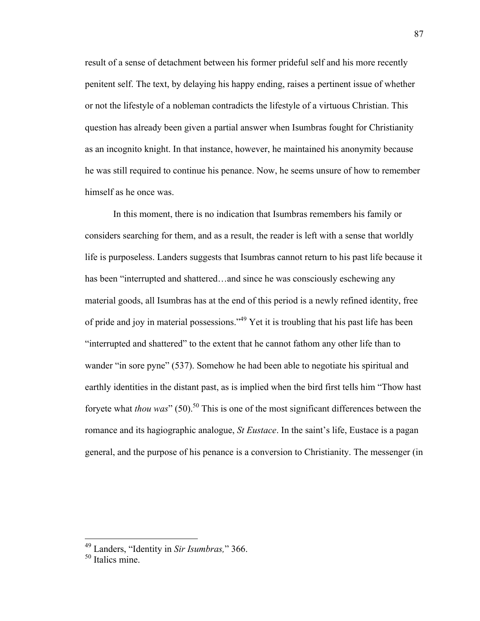result of a sense of detachment between his former prideful self and his more recently penitent self. The text, by delaying his happy ending, raises a pertinent issue of whether or not the lifestyle of a nobleman contradicts the lifestyle of a virtuous Christian. This question has already been given a partial answer when Isumbras fought for Christianity as an incognito knight. In that instance, however, he maintained his anonymity because he was still required to continue his penance. Now, he seems unsure of how to remember himself as he once was.

In this moment, there is no indication that Isumbras remembers his family or considers searching for them, and as a result, the reader is left with a sense that worldly life is purposeless. Landers suggests that Isumbras cannot return to his past life because it has been "interrupted and shattered...and since he was consciously eschewing any material goods, all Isumbras has at the end of this period is a newly refined identity, free of pride and joy in material possessions."49 Yet it is troubling that his past life has been "interrupted and shattered" to the extent that he cannot fathom any other life than to wander "in sore pyne" (537). Somehow he had been able to negotiate his spiritual and earthly identities in the distant past, as is implied when the bird first tells him "Thow hast foryete what *thou was*" (50).<sup>50</sup> This is one of the most significant differences between the romance and its hagiographic analogue, *St Eustace*. In the saint's life, Eustace is a pagan general, and the purpose of his penance is a conversion to Christianity. The messenger (in

 <sup>49</sup> Landers, "Identity in *Sir Isumbras,*" 366.

<sup>50</sup> Italics mine.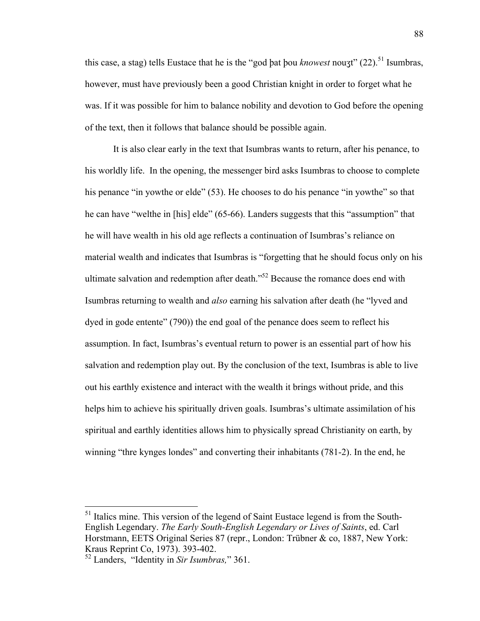this case, a stag) tells Eustace that he is the "god þat þou *knowest* nouʒt" (22). <sup>51</sup> Isumbras, however, must have previously been a good Christian knight in order to forget what he was. If it was possible for him to balance nobility and devotion to God before the opening of the text, then it follows that balance should be possible again.

It is also clear early in the text that Isumbras wants to return, after his penance, to his worldly life. In the opening, the messenger bird asks Isumbras to choose to complete his penance "in yowthe or elde" (53). He chooses to do his penance "in yowthe" so that he can have "welthe in [his] elde" (65-66). Landers suggests that this "assumption" that he will have wealth in his old age reflects a continuation of Isumbras's reliance on material wealth and indicates that Isumbras is "forgetting that he should focus only on his ultimate salvation and redemption after death."52 Because the romance does end with Isumbras returning to wealth and *also* earning his salvation after death (he "lyved and dyed in gode entente" (790)) the end goal of the penance does seem to reflect his assumption. In fact, Isumbras's eventual return to power is an essential part of how his salvation and redemption play out. By the conclusion of the text, Isumbras is able to live out his earthly existence and interact with the wealth it brings without pride, and this helps him to achieve his spiritually driven goals. Isumbras's ultimate assimilation of his spiritual and earthly identities allows him to physically spread Christianity on earth, by winning "thre kynges londes" and converting their inhabitants (781-2). In the end, he

<sup>&</sup>lt;sup>51</sup> Italics mine. This version of the legend of Saint Eustace legend is from the South-English Legendary. *The Early South-English Legendary or Lives of Saints*, ed. Carl Horstmann, EETS Original Series 87 (repr., London: Trübner & co, 1887, New York: Kraus Reprint Co, 1973). 393-402.

<sup>52</sup> Landers, "Identity in *Sir Isumbras,*" 361.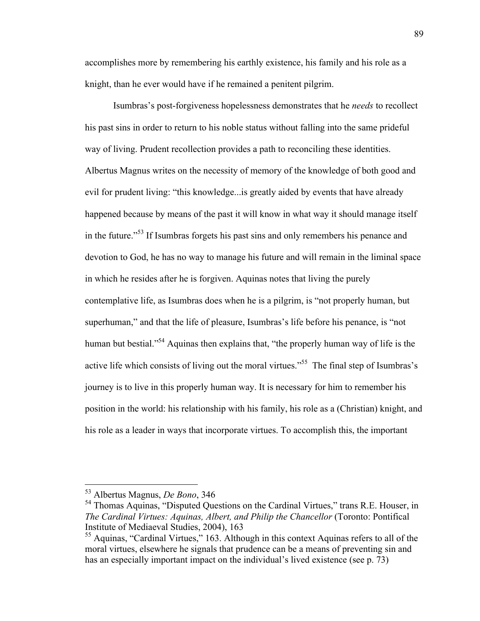accomplishes more by remembering his earthly existence, his family and his role as a knight, than he ever would have if he remained a penitent pilgrim.

Isumbras's post-forgiveness hopelessness demonstrates that he *needs* to recollect his past sins in order to return to his noble status without falling into the same prideful way of living. Prudent recollection provides a path to reconciling these identities. Albertus Magnus writes on the necessity of memory of the knowledge of both good and evil for prudent living: "this knowledge...is greatly aided by events that have already happened because by means of the past it will know in what way it should manage itself in the future."53 If Isumbras forgets his past sins and only remembers his penance and devotion to God, he has no way to manage his future and will remain in the liminal space in which he resides after he is forgiven. Aquinas notes that living the purely contemplative life, as Isumbras does when he is a pilgrim, is "not properly human, but superhuman," and that the life of pleasure, Isumbras's life before his penance, is "not human but bestial."<sup>54</sup> Aquinas then explains that, "the properly human way of life is the active life which consists of living out the moral virtues."<sup>55</sup> The final step of Isumbras's journey is to live in this properly human way. It is necessary for him to remember his position in the world: his relationship with his family, his role as a (Christian) knight, and his role as a leader in ways that incorporate virtues. To accomplish this, the important

 <sup>53</sup> Albertus Magnus, *De Bono*, 346

<sup>&</sup>lt;sup>54</sup> Thomas Aquinas, "Disputed Questions on the Cardinal Virtues," trans R.E. Houser, in *The Cardinal Virtues: Aquinas, Albert, and Philip the Chancellor* (Toronto: Pontifical Institute of Mediaeval Studies, 2004), 163

<sup>55</sup> Aquinas, "Cardinal Virtues," 163. Although in this context Aquinas refers to all of the moral virtues, elsewhere he signals that prudence can be a means of preventing sin and has an especially important impact on the individual's lived existence (see p. 73)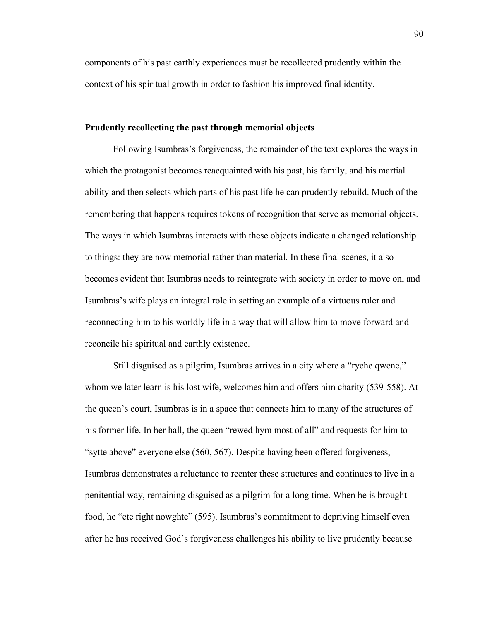components of his past earthly experiences must be recollected prudently within the context of his spiritual growth in order to fashion his improved final identity.

### **Prudently recollecting the past through memorial objects**

Following Isumbras's forgiveness, the remainder of the text explores the ways in which the protagonist becomes reacquainted with his past, his family, and his martial ability and then selects which parts of his past life he can prudently rebuild. Much of the remembering that happens requires tokens of recognition that serve as memorial objects. The ways in which Isumbras interacts with these objects indicate a changed relationship to things: they are now memorial rather than material. In these final scenes, it also becomes evident that Isumbras needs to reintegrate with society in order to move on, and Isumbras's wife plays an integral role in setting an example of a virtuous ruler and reconnecting him to his worldly life in a way that will allow him to move forward and reconcile his spiritual and earthly existence.

Still disguised as a pilgrim, Isumbras arrives in a city where a "ryche qwene," whom we later learn is his lost wife, welcomes him and offers him charity (539-558). At the queen's court, Isumbras is in a space that connects him to many of the structures of his former life. In her hall, the queen "rewed hym most of all" and requests for him to "sytte above" everyone else (560, 567). Despite having been offered forgiveness, Isumbras demonstrates a reluctance to reenter these structures and continues to live in a penitential way, remaining disguised as a pilgrim for a long time. When he is brought food, he "ete right nowghte" (595). Isumbras's commitment to depriving himself even after he has received God's forgiveness challenges his ability to live prudently because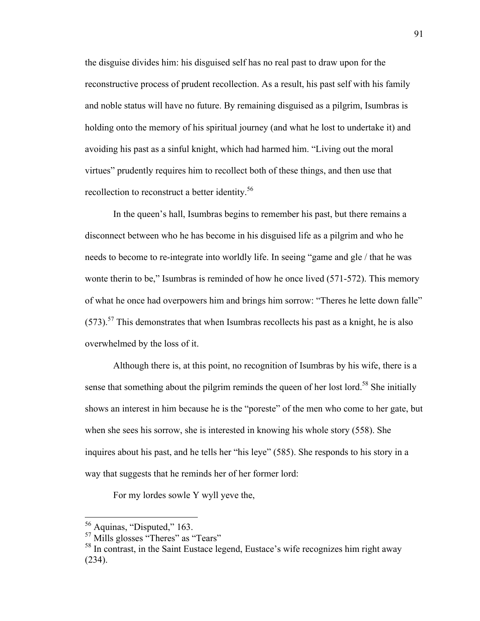the disguise divides him: his disguised self has no real past to draw upon for the reconstructive process of prudent recollection. As a result, his past self with his family and noble status will have no future. By remaining disguised as a pilgrim, Isumbras is holding onto the memory of his spiritual journey (and what he lost to undertake it) and avoiding his past as a sinful knight, which had harmed him. "Living out the moral virtues" prudently requires him to recollect both of these things, and then use that recollection to reconstruct a better identity.<sup>56</sup>

In the queen's hall, Isumbras begins to remember his past, but there remains a disconnect between who he has become in his disguised life as a pilgrim and who he needs to become to re-integrate into worldly life. In seeing "game and gle / that he was wonte therin to be," Isumbras is reminded of how he once lived (571-572). This memory of what he once had overpowers him and brings him sorrow: "Theres he lette down falle"  $(573).$ <sup>57</sup> This demonstrates that when Isumbras recollects his past as a knight, he is also overwhelmed by the loss of it.

Although there is, at this point, no recognition of Isumbras by his wife, there is a sense that something about the pilgrim reminds the queen of her lost lord.<sup>58</sup> She initially shows an interest in him because he is the "poreste" of the men who come to her gate, but when she sees his sorrow, she is interested in knowing his whole story (558). She inquires about his past, and he tells her "his leye" (585). She responds to his story in a way that suggests that he reminds her of her former lord:

For my lordes sowle Y wyll yeve the,

 <sup>56</sup> Aquinas, "Disputed," 163.

<sup>&</sup>lt;sup>57</sup> Mills glosses "Theres" as "Tears"

<sup>&</sup>lt;sup>58</sup> In contrast, in the Saint Eustace legend, Eustace's wife recognizes him right away (234).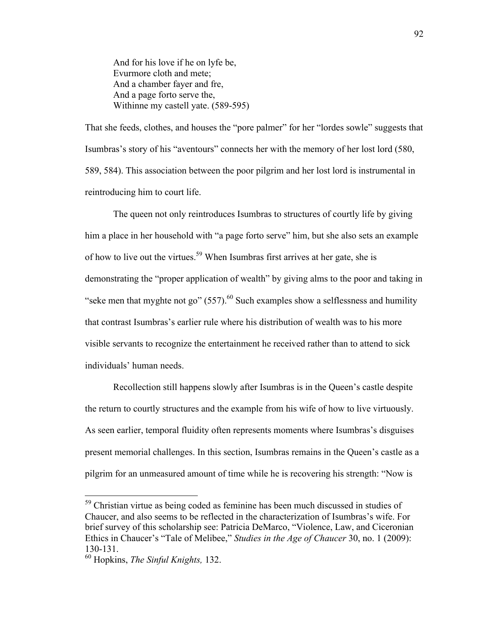And for his love if he on lyfe be, Evurmore cloth and mete; And a chamber fayer and fre, And a page forto serve the, Withinne my castell yate. (589-595)

That she feeds, clothes, and houses the "pore palmer" for her "lordes sowle" suggests that Isumbras's story of his "aventours" connects her with the memory of her lost lord (580, 589, 584). This association between the poor pilgrim and her lost lord is instrumental in reintroducing him to court life.

The queen not only reintroduces Isumbras to structures of courtly life by giving him a place in her household with "a page forto serve" him, but she also sets an example of how to live out the virtues.<sup>59</sup> When Isumbras first arrives at her gate, she is demonstrating the "proper application of wealth" by giving alms to the poor and taking in "seke men that myghte not go"  $(557)$ <sup>60</sup> Such examples show a selflessness and humility that contrast Isumbras's earlier rule where his distribution of wealth was to his more visible servants to recognize the entertainment he received rather than to attend to sick individuals' human needs.

Recollection still happens slowly after Isumbras is in the Queen's castle despite the return to courtly structures and the example from his wife of how to live virtuously. As seen earlier, temporal fluidity often represents moments where Isumbras's disguises present memorial challenges. In this section, Isumbras remains in the Queen's castle as a pilgrim for an unmeasured amount of time while he is recovering his strength: "Now is

<sup>&</sup>lt;sup>59</sup> Christian virtue as being coded as feminine has been much discussed in studies of Chaucer, and also seems to be reflected in the characterization of Isumbras's wife. For brief survey of this scholarship see: Patricia DeMarco, "Violence, Law, and Ciceronian Ethics in Chaucer's "Tale of Melibee," *Studies in the Age of Chaucer* 30, no. 1 (2009): 130-131.

<sup>60</sup> Hopkins, *The Sinful Knights,* 132.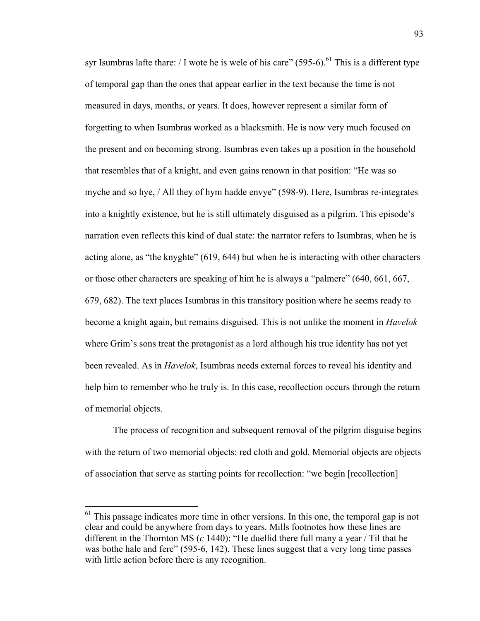syr Isumbras lafte thare: / I wote he is wele of his care" (595-6).<sup>61</sup> This is a different type of temporal gap than the ones that appear earlier in the text because the time is not measured in days, months, or years. It does, however represent a similar form of forgetting to when Isumbras worked as a blacksmith. He is now very much focused on the present and on becoming strong. Isumbras even takes up a position in the household that resembles that of a knight, and even gains renown in that position: "He was so myche and so hye, / All they of hym hadde envye" (598-9). Here, Isumbras re-integrates into a knightly existence, but he is still ultimately disguised as a pilgrim. This episode's narration even reflects this kind of dual state: the narrator refers to Isumbras, when he is acting alone, as "the knyghte" (619, 644) but when he is interacting with other characters or those other characters are speaking of him he is always a "palmere" (640, 661, 667, 679, 682). The text places Isumbras in this transitory position where he seems ready to become a knight again, but remains disguised. This is not unlike the moment in *Havelok*  where Grim's sons treat the protagonist as a lord although his true identity has not yet been revealed. As in *Havelok*, Isumbras needs external forces to reveal his identity and help him to remember who he truly is. In this case, recollection occurs through the return of memorial objects.

The process of recognition and subsequent removal of the pilgrim disguise begins with the return of two memorial objects: red cloth and gold. Memorial objects are objects of association that serve as starting points for recollection: "we begin [recollection]

 $61$  This passage indicates more time in other versions. In this one, the temporal gap is not clear and could be anywhere from days to years. Mills footnotes how these lines are different in the Thornton MS (*c* 1440): "He duellid there full many a year / Til that he was bothe hale and fere" (595-6, 142). These lines suggest that a very long time passes with little action before there is any recognition.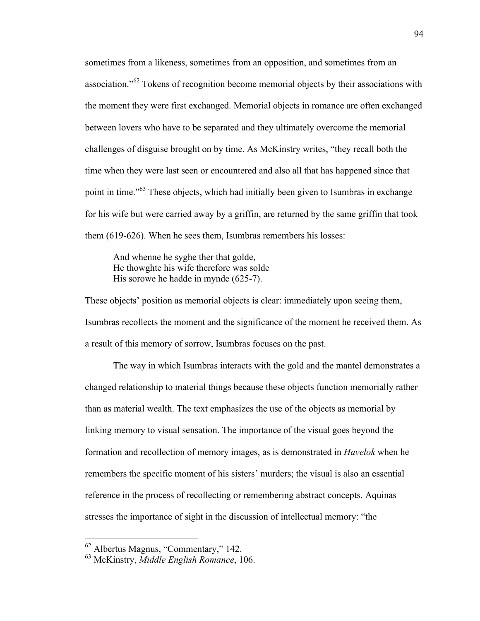sometimes from a likeness, sometimes from an opposition, and sometimes from an association."<sup>62</sup> Tokens of recognition become memorial objects by their associations with the moment they were first exchanged. Memorial objects in romance are often exchanged between lovers who have to be separated and they ultimately overcome the memorial challenges of disguise brought on by time. As McKinstry writes, "they recall both the time when they were last seen or encountered and also all that has happened since that point in time."<sup>63</sup> These objects, which had initially been given to Isumbras in exchange for his wife but were carried away by a griffin, are returned by the same griffin that took them (619-626). When he sees them, Isumbras remembers his losses:

And whenne he syghe ther that golde, He thowghte his wife therefore was solde His sorowe he hadde in mynde (625-7).

These objects' position as memorial objects is clear: immediately upon seeing them, Isumbras recollects the moment and the significance of the moment he received them. As a result of this memory of sorrow, Isumbras focuses on the past.

The way in which Isumbras interacts with the gold and the mantel demonstrates a changed relationship to material things because these objects function memorially rather than as material wealth. The text emphasizes the use of the objects as memorial by linking memory to visual sensation. The importance of the visual goes beyond the formation and recollection of memory images, as is demonstrated in *Havelok* when he remembers the specific moment of his sisters' murders; the visual is also an essential reference in the process of recollecting or remembering abstract concepts. Aquinas stresses the importance of sight in the discussion of intellectual memory: "the

 <sup>62</sup> Albertus Magnus, "Commentary," 142.

<sup>63</sup> McKinstry, *Middle English Romance*, 106.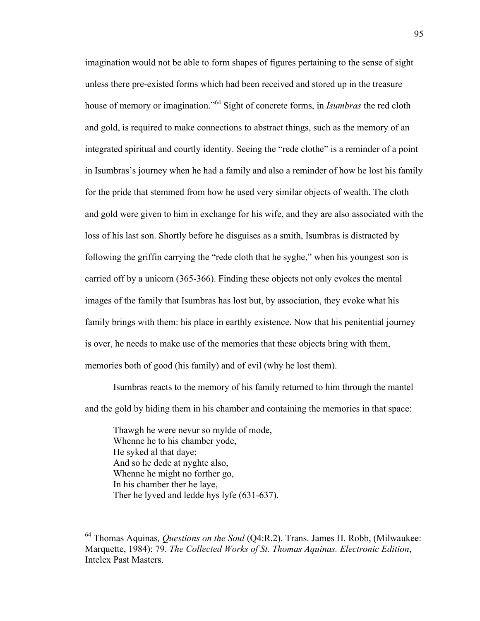imagination would not be able to form shapes of figures pertaining to the sense of sight unless there pre-existed forms which had been received and stored up in the treasure house of memory or imagination."64 Sight of concrete forms, in *Isumbras* the red cloth and gold, is required to make connections to abstract things, such as the memory of an integrated spiritual and courtly identity. Seeing the "rede clothe" is a reminder of a point in Isumbras's journey when he had a family and also a reminder of how he lost his family for the pride that stemmed from how he used very similar objects of wealth. The cloth and gold were given to him in exchange for his wife, and they are also associated with the loss of his last son. Shortly before he disguises as a smith, Isumbras is distracted by following the griffin carrying the "rede cloth that he syghe," when his youngest son is carried off by a unicorn (365-366). Finding these objects not only evokes the mental images of the family that Isumbras has lost but, by association, they evoke what his family brings with them: his place in earthly existence. Now that his penitential journey is over, he needs to make use of the memories that these objects bring with them, memories both of good (his family) and of evil (why he lost them).

Isumbras reacts to the memory of his family returned to him through the mantel and the gold by hiding them in his chamber and containing the memories in that space:

Thawgh he were nevur so mylde of mode, Whenne he to his chamber yode, He syked al that daye; And so he dede at nyghte also, Whenne he might no forther go, In his chamber ther he laye, Ther he lyved and ledde hys lyfe (631-637).

 <sup>64</sup> Thomas Aquinas*, Questions on the Soul* (Q4:R.2). Trans. James H. Robb, (Milwaukee: Marquette, 1984): 79. *The Collected Works of St. Thomas Aquinas. Electronic Edition*, Intelex Past Masters.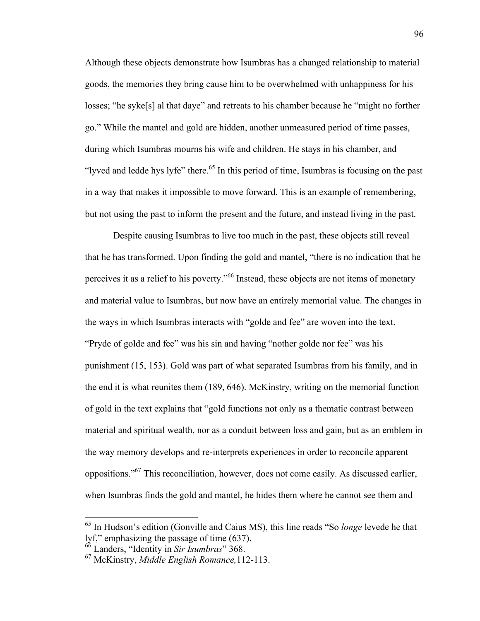Although these objects demonstrate how Isumbras has a changed relationship to material goods, the memories they bring cause him to be overwhelmed with unhappiness for his losses; "he syke[s] al that daye" and retreats to his chamber because he "might no forther go." While the mantel and gold are hidden, another unmeasured period of time passes, during which Isumbras mourns his wife and children. He stays in his chamber, and "lyved and ledde hys lyfe" there.<sup>65</sup> In this period of time, Isumbras is focusing on the past in a way that makes it impossible to move forward. This is an example of remembering, but not using the past to inform the present and the future, and instead living in the past.

Despite causing Isumbras to live too much in the past, these objects still reveal that he has transformed. Upon finding the gold and mantel, "there is no indication that he perceives it as a relief to his poverty."<sup>66</sup> Instead, these objects are not items of monetary and material value to Isumbras, but now have an entirely memorial value. The changes in the ways in which Isumbras interacts with "golde and fee" are woven into the text. "Pryde of golde and fee" was his sin and having "nother golde nor fee" was his punishment (15, 153). Gold was part of what separated Isumbras from his family, and in the end it is what reunites them (189, 646). McKinstry, writing on the memorial function of gold in the text explains that "gold functions not only as a thematic contrast between material and spiritual wealth, nor as a conduit between loss and gain, but as an emblem in the way memory develops and re-interprets experiences in order to reconcile apparent oppositions."67 This reconciliation, however, does not come easily. As discussed earlier, when Isumbras finds the gold and mantel, he hides them where he cannot see them and

 <sup>65</sup> In Hudson's edition (Gonville and Caius MS), this line reads "So *longe* levede he that lyf," emphasizing the passage of time (637).

<sup>66</sup> Landers, "Identity in *Sir Isumbras*" 368.

<sup>67</sup> McKinstry, *Middle English Romance,*112-113.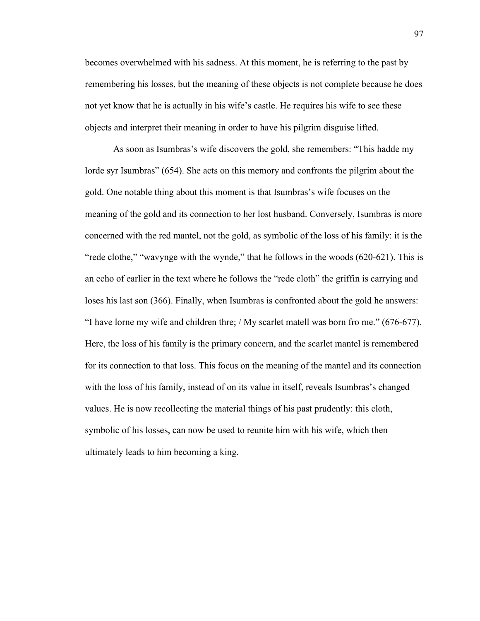becomes overwhelmed with his sadness. At this moment, he is referring to the past by remembering his losses, but the meaning of these objects is not complete because he does not yet know that he is actually in his wife's castle. He requires his wife to see these objects and interpret their meaning in order to have his pilgrim disguise lifted.

As soon as Isumbras's wife discovers the gold, she remembers: "This hadde my lorde syr Isumbras" (654). She acts on this memory and confronts the pilgrim about the gold. One notable thing about this moment is that Isumbras's wife focuses on the meaning of the gold and its connection to her lost husband. Conversely, Isumbras is more concerned with the red mantel, not the gold, as symbolic of the loss of his family: it is the "rede clothe," "wavynge with the wynde," that he follows in the woods (620-621). This is an echo of earlier in the text where he follows the "rede cloth" the griffin is carrying and loses his last son (366). Finally, when Isumbras is confronted about the gold he answers: "I have lorne my wife and children thre; / My scarlet matell was born fro me." (676-677). Here, the loss of his family is the primary concern, and the scarlet mantel is remembered for its connection to that loss. This focus on the meaning of the mantel and its connection with the loss of his family, instead of on its value in itself, reveals Isumbras's changed values. He is now recollecting the material things of his past prudently: this cloth, symbolic of his losses, can now be used to reunite him with his wife, which then ultimately leads to him becoming a king.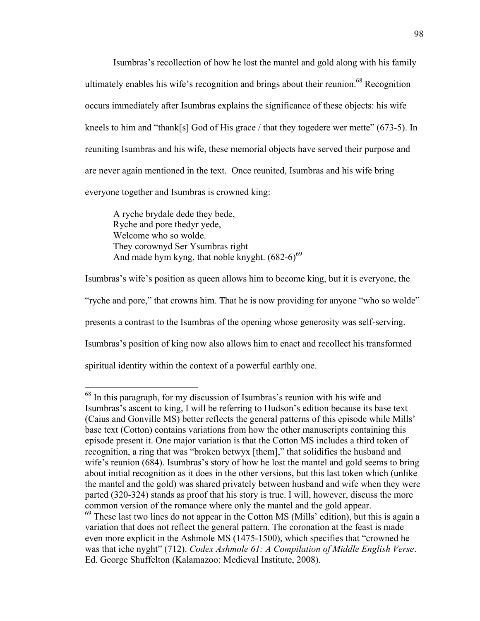Isumbras's recollection of how he lost the mantel and gold along with his family ultimately enables his wife's recognition and brings about their reunion.<sup>68</sup> Recognition occurs immediately after Isumbras explains the significance of these objects: his wife kneels to him and "thank[s] God of His grace / that they togedere wer mette" (673-5). In reuniting Isumbras and his wife, these memorial objects have served their purpose and are never again mentioned in the text. Once reunited, Isumbras and his wife bring everyone together and Isumbras is crowned king:

A ryche brydale dede they bede, Ryche and pore thedyr yede, Welcome who so wolde. They corownyd Ser Ysumbras right And made hym kyng, that noble knyght.  $(682-6)^{69}$ 

Isumbras's wife's position as queen allows him to become king, but it is everyone, the "ryche and pore," that crowns him. That he is now providing for anyone "who so wolde" presents a contrast to the Isumbras of the opening whose generosity was self-serving. Isumbras's position of king now also allows him to enact and recollect his transformed spiritual identity within the context of a powerful earthly one.

 $68$  In this paragraph, for my discussion of Isumbras's reunion with his wife and Isumbras's ascent to king, I will be referring to Hudson's edition because its base text (Caius and Gonville MS) better reflects the general patterns of this episode while Mills' base text (Cotton) contains variations from how the other manuscripts containing this episode present it. One major variation is that the Cotton MS includes a third token of recognition, a ring that was "broken betwyx [them]," that solidifies the husband and wife's reunion (684). Isumbras's story of how he lost the mantel and gold seems to bring about initial recognition as it does in the other versions, but this last token which (unlike the mantel and the gold) was shared privately between husband and wife when they were parted (320-324) stands as proof that his story is true. I will, however, discuss the more common version of the romance where only the mantel and the gold appear.

 $69$  These last two lines do not appear in the Cotton MS (Mills' edition), but this is again a variation that does not reflect the general pattern. The coronation at the feast is made even more explicit in the Ashmole MS (1475-1500), which specifies that "crowned he was that iche nyght" (712). *Codex Ashmole 61: A Compilation of Middle English Verse*. Ed. George Shuffelton (Kalamazoo: Medieval Institute, 2008).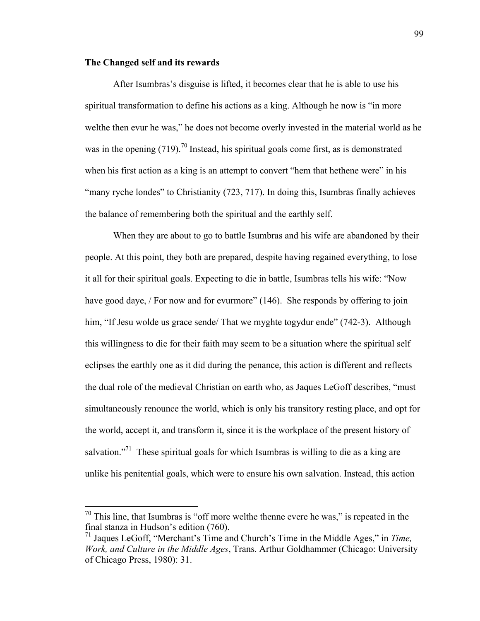## **The Changed self and its rewards**

After Isumbras's disguise is lifted, it becomes clear that he is able to use his spiritual transformation to define his actions as a king. Although he now is "in more welthe then evur he was," he does not become overly invested in the material world as he was in the opening  $(719)$ .<sup>70</sup> Instead, his spiritual goals come first, as is demonstrated when his first action as a king is an attempt to convert "hem that hethene were" in his "many ryche londes" to Christianity (723, 717). In doing this, Isumbras finally achieves the balance of remembering both the spiritual and the earthly self.

When they are about to go to battle Isumbras and his wife are abandoned by their people. At this point, they both are prepared, despite having regained everything, to lose it all for their spiritual goals. Expecting to die in battle, Isumbras tells his wife: "Now have good daye, / For now and for evurmore" (146). She responds by offering to join him, "If Jesu wolde us grace sende/ That we myghte togydur ende" (742-3). Although this willingness to die for their faith may seem to be a situation where the spiritual self eclipses the earthly one as it did during the penance, this action is different and reflects the dual role of the medieval Christian on earth who, as Jaques LeGoff describes, "must simultaneously renounce the world, which is only his transitory resting place, and opt for the world, accept it, and transform it, since it is the workplace of the present history of salvation."<sup>71</sup> These spiritual goals for which Isumbras is willing to die as a king are unlike his penitential goals, which were to ensure his own salvation. Instead, this action

 $70$  This line, that Isumbras is "off more welthe thenne evere he was," is repeated in the final stanza in Hudson's edition (760).

<sup>71</sup> Jaques LeGoff, "Merchant's Time and Church's Time in the Middle Ages," in *Time, Work, and Culture in the Middle Ages*, Trans. Arthur Goldhammer (Chicago: University of Chicago Press, 1980): 31.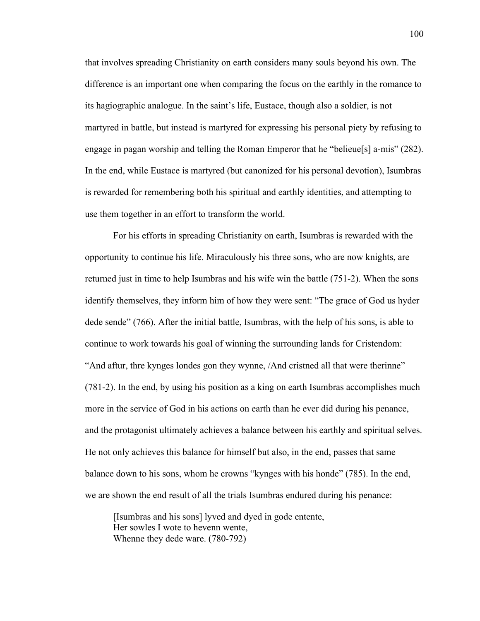that involves spreading Christianity on earth considers many souls beyond his own. The difference is an important one when comparing the focus on the earthly in the romance to its hagiographic analogue. In the saint's life, Eustace, though also a soldier, is not martyred in battle, but instead is martyred for expressing his personal piety by refusing to engage in pagan worship and telling the Roman Emperor that he "belieue[s] a-mis" (282). In the end, while Eustace is martyred (but canonized for his personal devotion), Isumbras is rewarded for remembering both his spiritual and earthly identities, and attempting to use them together in an effort to transform the world.

For his efforts in spreading Christianity on earth, Isumbras is rewarded with the opportunity to continue his life. Miraculously his three sons, who are now knights, are returned just in time to help Isumbras and his wife win the battle (751-2). When the sons identify themselves, they inform him of how they were sent: "The grace of God us hyder dede sende" (766). After the initial battle, Isumbras, with the help of his sons, is able to continue to work towards his goal of winning the surrounding lands for Cristendom: "And aftur, thre kynges londes gon they wynne, /And cristned all that were therinne" (781-2). In the end, by using his position as a king on earth Isumbras accomplishes much more in the service of God in his actions on earth than he ever did during his penance, and the protagonist ultimately achieves a balance between his earthly and spiritual selves. He not only achieves this balance for himself but also, in the end, passes that same balance down to his sons, whom he crowns "kynges with his honde" (785). In the end, we are shown the end result of all the trials Isumbras endured during his penance:

[Isumbras and his sons] lyved and dyed in gode entente, Her sowles I wote to hevenn wente, Whenne they dede ware. (780-792)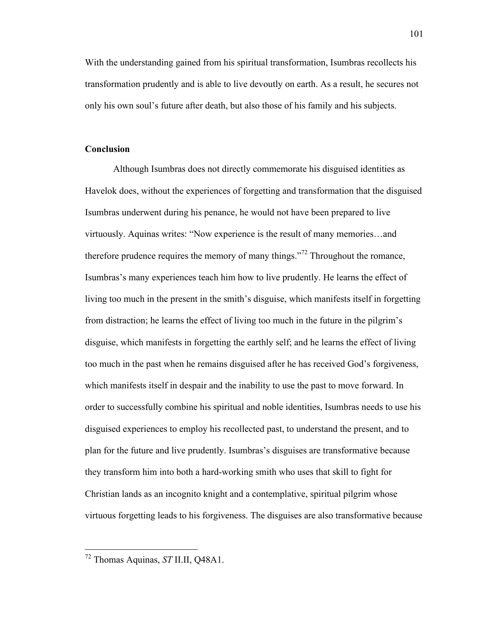With the understanding gained from his spiritual transformation, Isumbras recollects his transformation prudently and is able to live devoutly on earth. As a result, he secures not only his own soul's future after death, but also those of his family and his subjects.

### **Conclusion**

Although Isumbras does not directly commemorate his disguised identities as Havelok does, without the experiences of forgetting and transformation that the disguised Isumbras underwent during his penance, he would not have been prepared to live virtuously. Aquinas writes: "Now experience is the result of many memories…and therefore prudence requires the memory of many things.<sup> $272$ </sup> Throughout the romance, Isumbras's many experiences teach him how to live prudently. He learns the effect of living too much in the present in the smith's disguise, which manifests itself in forgetting from distraction; he learns the effect of living too much in the future in the pilgrim's disguise, which manifests in forgetting the earthly self; and he learns the effect of living too much in the past when he remains disguised after he has received God's forgiveness, which manifests itself in despair and the inability to use the past to move forward. In order to successfully combine his spiritual and noble identities, Isumbras needs to use his disguised experiences to employ his recollected past, to understand the present, and to plan for the future and live prudently. Isumbras's disguises are transformative because they transform him into both a hard-working smith who uses that skill to fight for Christian lands as an incognito knight and a contemplative, spiritual pilgrim whose virtuous forgetting leads to his forgiveness. The disguises are also transformative because

 <sup>72</sup> Thomas Aquinas, *ST* II.II, Q48A1.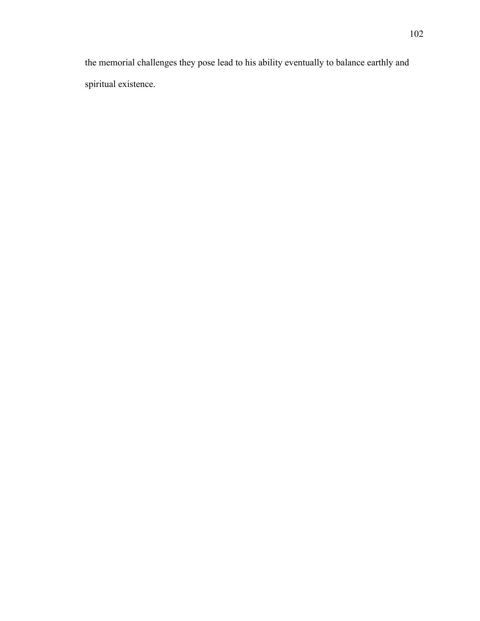the memorial challenges they pose lead to his ability eventually to balance earthly and spiritual existence.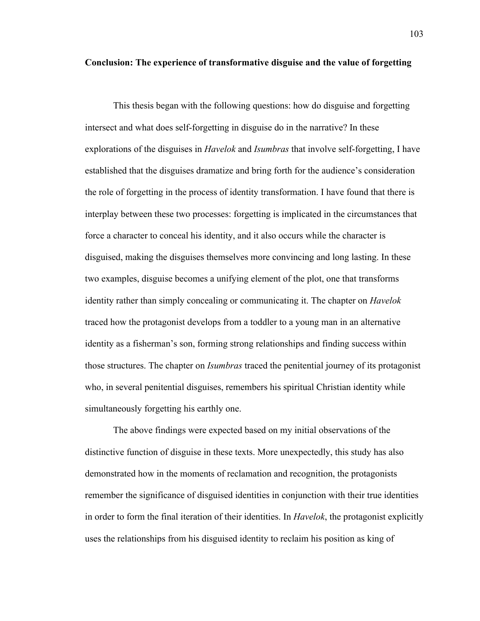### **Conclusion: The experience of transformative disguise and the value of forgetting**

This thesis began with the following questions: how do disguise and forgetting intersect and what does self-forgetting in disguise do in the narrative? In these explorations of the disguises in *Havelok* and *Isumbras* that involve self-forgetting, I have established that the disguises dramatize and bring forth for the audience's consideration the role of forgetting in the process of identity transformation. I have found that there is interplay between these two processes: forgetting is implicated in the circumstances that force a character to conceal his identity, and it also occurs while the character is disguised, making the disguises themselves more convincing and long lasting. In these two examples, disguise becomes a unifying element of the plot, one that transforms identity rather than simply concealing or communicating it. The chapter on *Havelok* traced how the protagonist develops from a toddler to a young man in an alternative identity as a fisherman's son, forming strong relationships and finding success within those structures. The chapter on *Isumbras* traced the penitential journey of its protagonist who, in several penitential disguises, remembers his spiritual Christian identity while simultaneously forgetting his earthly one.

The above findings were expected based on my initial observations of the distinctive function of disguise in these texts. More unexpectedly, this study has also demonstrated how in the moments of reclamation and recognition, the protagonists remember the significance of disguised identities in conjunction with their true identities in order to form the final iteration of their identities. In *Havelok*, the protagonist explicitly uses the relationships from his disguised identity to reclaim his position as king of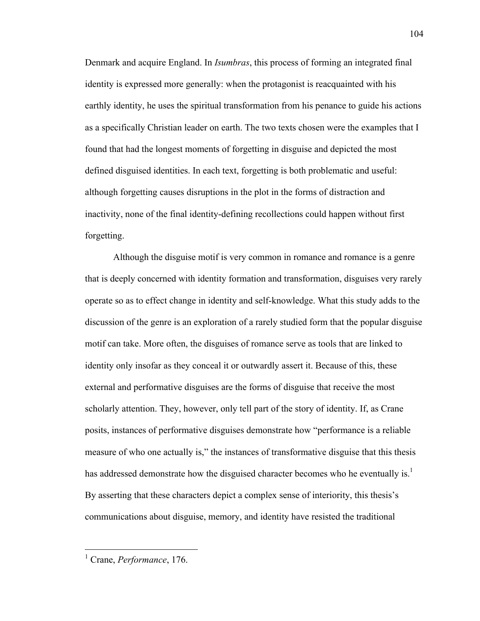Denmark and acquire England. In *Isumbras*, this process of forming an integrated final identity is expressed more generally: when the protagonist is reacquainted with his earthly identity, he uses the spiritual transformation from his penance to guide his actions as a specifically Christian leader on earth. The two texts chosen were the examples that I found that had the longest moments of forgetting in disguise and depicted the most defined disguised identities. In each text, forgetting is both problematic and useful: although forgetting causes disruptions in the plot in the forms of distraction and inactivity, none of the final identity-defining recollections could happen without first forgetting.

Although the disguise motif is very common in romance and romance is a genre that is deeply concerned with identity formation and transformation, disguises very rarely operate so as to effect change in identity and self-knowledge. What this study adds to the discussion of the genre is an exploration of a rarely studied form that the popular disguise motif can take. More often, the disguises of romance serve as tools that are linked to identity only insofar as they conceal it or outwardly assert it. Because of this, these external and performative disguises are the forms of disguise that receive the most scholarly attention. They, however, only tell part of the story of identity. If, as Crane posits, instances of performative disguises demonstrate how "performance is a reliable measure of who one actually is," the instances of transformative disguise that this thesis has addressed demonstrate how the disguised character becomes who he eventually is.<sup>1</sup> By asserting that these characters depict a complex sense of interiority, this thesis's communications about disguise, memory, and identity have resisted the traditional

 <sup>1</sup> Crane, *Performance*, 176.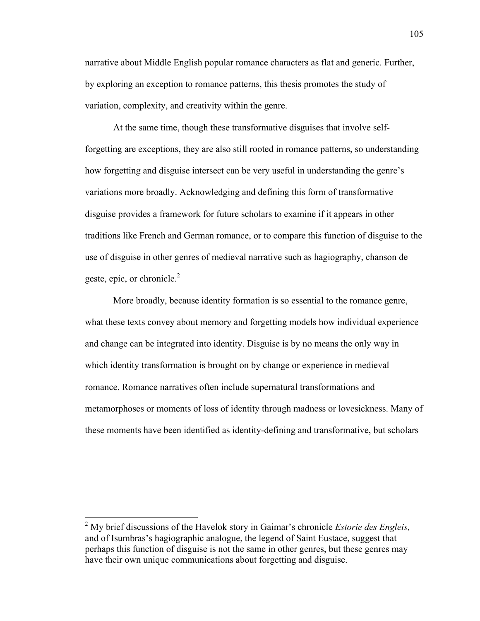narrative about Middle English popular romance characters as flat and generic. Further, by exploring an exception to romance patterns, this thesis promotes the study of variation, complexity, and creativity within the genre.

At the same time, though these transformative disguises that involve selfforgetting are exceptions, they are also still rooted in romance patterns, so understanding how forgetting and disguise intersect can be very useful in understanding the genre's variations more broadly. Acknowledging and defining this form of transformative disguise provides a framework for future scholars to examine if it appears in other traditions like French and German romance, or to compare this function of disguise to the use of disguise in other genres of medieval narrative such as hagiography, chanson de geste, epic, or chronicle.<sup>2</sup>

More broadly, because identity formation is so essential to the romance genre, what these texts convey about memory and forgetting models how individual experience and change can be integrated into identity. Disguise is by no means the only way in which identity transformation is brought on by change or experience in medieval romance. Romance narratives often include supernatural transformations and metamorphoses or moments of loss of identity through madness or lovesickness. Many of these moments have been identified as identity-defining and transformative, but scholars

 <sup>2</sup> My brief discussions of the Havelok story in Gaimar's chronicle *Estorie des Engleis,*  and of Isumbras's hagiographic analogue, the legend of Saint Eustace, suggest that perhaps this function of disguise is not the same in other genres, but these genres may have their own unique communications about forgetting and disguise.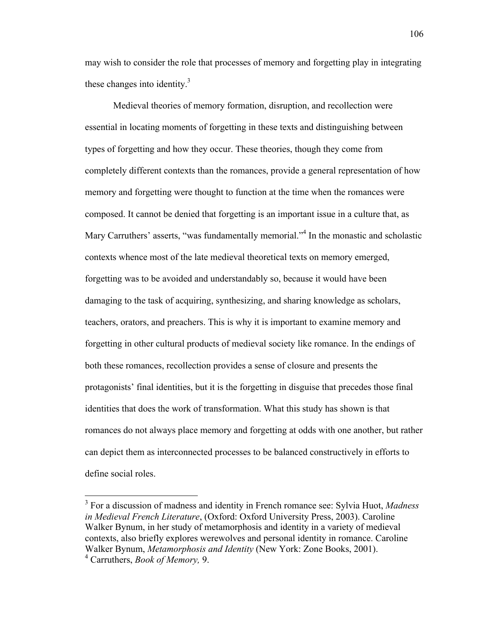may wish to consider the role that processes of memory and forgetting play in integrating these changes into identity. $3$ 

Medieval theories of memory formation, disruption, and recollection were essential in locating moments of forgetting in these texts and distinguishing between types of forgetting and how they occur. These theories, though they come from completely different contexts than the romances, provide a general representation of how memory and forgetting were thought to function at the time when the romances were composed. It cannot be denied that forgetting is an important issue in a culture that, as Mary Carruthers' asserts, "was fundamentally memorial."<sup>4</sup> In the monastic and scholastic contexts whence most of the late medieval theoretical texts on memory emerged, forgetting was to be avoided and understandably so, because it would have been damaging to the task of acquiring, synthesizing, and sharing knowledge as scholars, teachers, orators, and preachers. This is why it is important to examine memory and forgetting in other cultural products of medieval society like romance. In the endings of both these romances, recollection provides a sense of closure and presents the protagonists' final identities, but it is the forgetting in disguise that precedes those final identities that does the work of transformation. What this study has shown is that romances do not always place memory and forgetting at odds with one another, but rather can depict them as interconnected processes to be balanced constructively in efforts to define social roles.

 <sup>3</sup> For a discussion of madness and identity in French romance see: Sylvia Huot, *Madness in Medieval French Literature*, (Oxford: Oxford University Press, 2003). Caroline Walker Bynum, in her study of metamorphosis and identity in a variety of medieval contexts, also briefly explores werewolves and personal identity in romance. Caroline Walker Bynum, *Metamorphosis and Identity* (New York: Zone Books, 2001).

<sup>4</sup> Carruthers, *Book of Memory,* 9.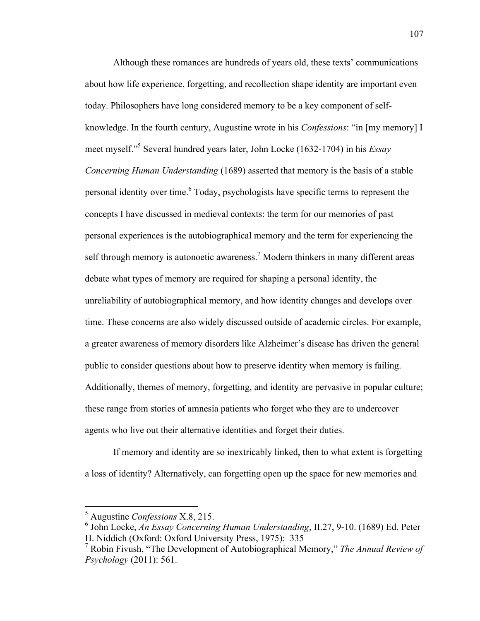Although these romances are hundreds of years old, these texts' communications about how life experience, forgetting, and recollection shape identity are important even today. Philosophers have long considered memory to be a key component of selfknowledge. In the fourth century, Augustine wrote in his *Confessions*: "in [my memory] I meet myself."5 Several hundred years later, John Locke (1632-1704) in his *Essay Concerning Human Understanding* (1689) asserted that memory is the basis of a stable personal identity over time. <sup>6</sup> Today, psychologists have specific terms to represent the concepts I have discussed in medieval contexts: the term for our memories of past personal experiences is the autobiographical memory and the term for experiencing the self through memory is autonoetic awareness.<sup>7</sup> Modern thinkers in many different areas debate what types of memory are required for shaping a personal identity, the unreliability of autobiographical memory, and how identity changes and develops over time. These concerns are also widely discussed outside of academic circles. For example, a greater awareness of memory disorders like Alzheimer's disease has driven the general public to consider questions about how to preserve identity when memory is failing. Additionally, themes of memory, forgetting, and identity are pervasive in popular culture; these range from stories of amnesia patients who forget who they are to undercover agents who live out their alternative identities and forget their duties.

If memory and identity are so inextricably linked, then to what extent is forgetting a loss of identity? Alternatively, can forgetting open up the space for new memories and

 <sup>5</sup> Augustine *Confessions* X.8, 215.

<sup>6</sup> John Locke, *An Essay Concerning Human Understanding*, II.27, 9-10. (1689) Ed. Peter H. Niddich (Oxford: Oxford University Press, 1975): 335

<sup>7</sup> Robin Fivush, "The Development of Autobiographical Memory," *The Annual Review of Psychology* (2011): 561.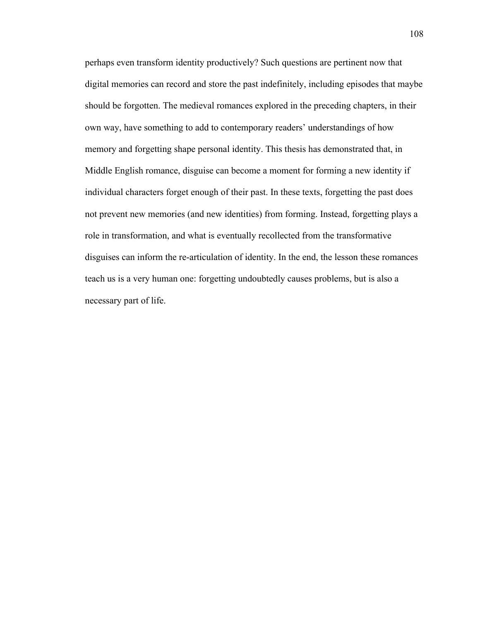perhaps even transform identity productively? Such questions are pertinent now that digital memories can record and store the past indefinitely, including episodes that maybe should be forgotten. The medieval romances explored in the preceding chapters, in their own way, have something to add to contemporary readers' understandings of how memory and forgetting shape personal identity. This thesis has demonstrated that, in Middle English romance, disguise can become a moment for forming a new identity if individual characters forget enough of their past. In these texts, forgetting the past does not prevent new memories (and new identities) from forming. Instead, forgetting plays a role in transformation, and what is eventually recollected from the transformative disguises can inform the re-articulation of identity. In the end, the lesson these romances teach us is a very human one: forgetting undoubtedly causes problems, but is also a necessary part of life.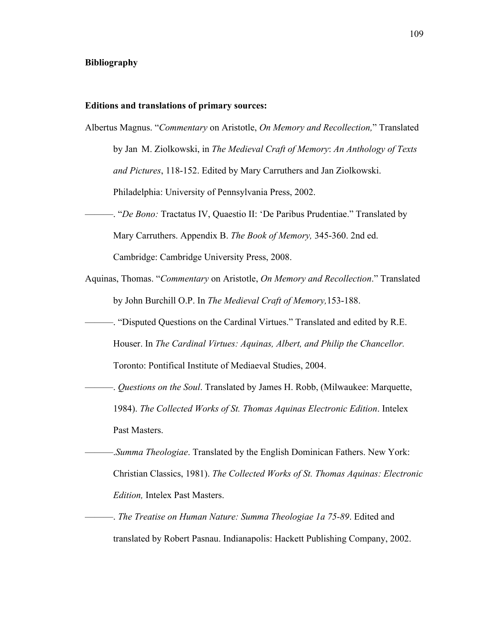## **Bibliography**

## **Editions and translations of primary sources:**

- Albertus Magnus. "*Commentary* on Aristotle, *On Memory and Recollection,*" Translated by Jan M. Ziolkowski, in *The Medieval Craft of Memory*: *An Anthology of Texts and Pictures*, 118-152. Edited by Mary Carruthers and Jan Ziolkowski. Philadelphia: University of Pennsylvania Press, 2002.
- ———. "*De Bono:* Tractatus IV, Quaestio II: 'De Paribus Prudentiae." Translated by Mary Carruthers. Appendix B. *The Book of Memory,* 345-360. 2nd ed. Cambridge: Cambridge University Press, 2008.
- Aquinas, Thomas. "*Commentary* on Aristotle, *On Memory and Recollection*." Translated by John Burchill O.P. In *The Medieval Craft of Memory,*153-188.
	- ———. "Disputed Questions on the Cardinal Virtues." Translated and edited by R.E. Houser. In *The Cardinal Virtues: Aquinas, Albert, and Philip the Chancellor.* Toronto: Pontifical Institute of Mediaeval Studies, 2004.
		- ———. *Questions on the Soul*. Translated by James H. Robb, (Milwaukee: Marquette, 1984). *The Collected Works of St. Thomas Aquinas Electronic Edition*. Intelex Past Masters.
	- ———.*Summa Theologiae*. Translated by the English Dominican Fathers. New York: Christian Classics, 1981). *The Collected Works of St. Thomas Aquinas: Electronic Edition,* Intelex Past Masters.
- ———. *The Treatise on Human Nature: Summa Theologiae 1a 75-89*. Edited and translated by Robert Pasnau. Indianapolis: Hackett Publishing Company, 2002.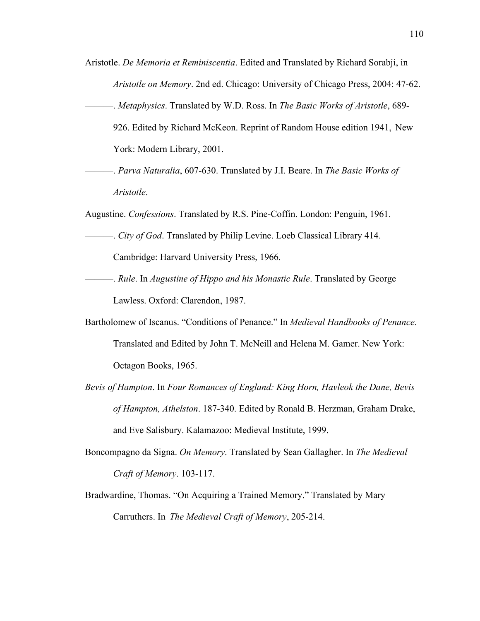- Aristotle. *De Memoria et Reminiscentia*. Edited and Translated by Richard Sorabji, in *Aristotle on Memory*. 2nd ed. Chicago: University of Chicago Press, 2004: 47-62.
- ———. *Metaphysics*. Translated by W.D. Ross. In *The Basic Works of Aristotle*, 689- 926. Edited by Richard McKeon. Reprint of Random House edition 1941, New York: Modern Library, 2001.
- ———. *Parva Naturalia*, 607-630. Translated by J.I. Beare. In *The Basic Works of Aristotle*.

Augustine. *Confessions*. Translated by R.S. Pine-Coffin. London: Penguin, 1961.

- ———. *City of God*. Translated by Philip Levine. Loeb Classical Library 414. Cambridge: Harvard University Press, 1966.
- ———. *Rule*. In *Augustine of Hippo and his Monastic Rule*. Translated by George Lawless. Oxford: Clarendon, 1987.
- Bartholomew of Iscanus. "Conditions of Penance." In *Medieval Handbooks of Penance.*  Translated and Edited by John T. McNeill and Helena M. Gamer. New York: Octagon Books, 1965.
- *Bevis of Hampton*. In *Four Romances of England: King Horn, Havleok the Dane, Bevis of Hampton, Athelston*. 187-340. Edited by Ronald B. Herzman, Graham Drake, and Eve Salisbury. Kalamazoo: Medieval Institute, 1999.
- Boncompagno da Signa. *On Memory*. Translated by Sean Gallagher. In *The Medieval Craft of Memory*. 103-117.
- Bradwardine, Thomas. "On Acquiring a Trained Memory." Translated by Mary Carruthers. In *The Medieval Craft of Memory*, 205-214.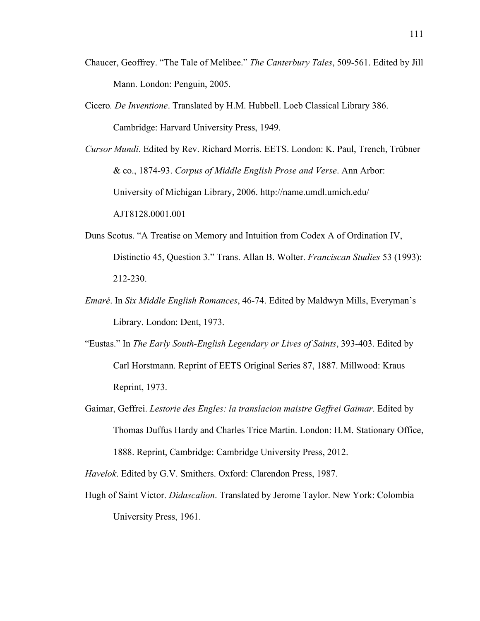- Chaucer, Geoffrey. "The Tale of Melibee." *The Canterbury Tales*, 509-561. Edited by Jill Mann. London: Penguin, 2005.
- Cicero*. De Inventione*. Translated by H.M. Hubbell. Loeb Classical Library 386. Cambridge: Harvard University Press, 1949.
- *Cursor Mundi*. Edited by Rev. Richard Morris. EETS. London: K. Paul, Trench, Trübner & co., 1874-93. *Corpus of Middle English Prose and Verse*. Ann Arbor: University of Michigan Library, 2006. http://name.umdl.umich.edu/ AJT8128.0001.001
- Duns Scotus. "A Treatise on Memory and Intuition from Codex A of Ordination IV, Distinctio 45, Question 3." Trans. Allan B. Wolter. *Franciscan Studies* 53 (1993): 212-230.
- *Emaré*. In *Six Middle English Romances*, 46-74. Edited by Maldwyn Mills, Everyman's Library. London: Dent, 1973.
- "Eustas." In *The Early South-English Legendary or Lives of Saints*, 393-403. Edited by Carl Horstmann. Reprint of EETS Original Series 87, 1887. Millwood: Kraus Reprint, 1973.
- Gaimar, Geffrei. *Lestorie des Engles: la translacion maistre Geffrei Gaimar*. Edited by Thomas Duffus Hardy and Charles Trice Martin. London: H.M. Stationary Office, 1888. Reprint, Cambridge: Cambridge University Press, 2012.

*Havelok*. Edited by G.V. Smithers. Oxford: Clarendon Press, 1987.

Hugh of Saint Victor. *Didascalion*. Translated by Jerome Taylor. New York: Colombia University Press, 1961.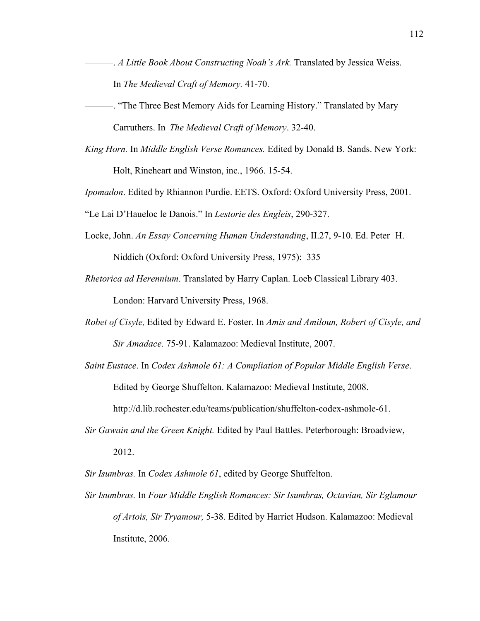- ———. *A Little Book About Constructing Noah's Ark.* Translated by Jessica Weiss. In *The Medieval Craft of Memory.* 41-70.
- ———. "The Three Best Memory Aids for Learning History." Translated by Mary Carruthers. In *The Medieval Craft of Memory*. 32-40.
- *King Horn.* In *Middle English Verse Romances.* Edited by Donald B. Sands. New York: Holt, Rineheart and Winston, inc., 1966. 15-54.

*Ipomadon*. Edited by Rhiannon Purdie. EETS. Oxford: Oxford University Press, 2001.

"Le Lai D'Haueloc le Danois." In *Lestorie des Engleis*, 290-327.

Locke, John. *An Essay Concerning Human Understanding*, II.27, 9-10. Ed. Peter H.

Niddich (Oxford: Oxford University Press, 1975): 335

- *Rhetorica ad Herennium*. Translated by Harry Caplan. Loeb Classical Library 403. London: Harvard University Press, 1968.
- *Robet of Cisyle,* Edited by Edward E. Foster. In *Amis and Amiloun, Robert of Cisyle, and Sir Amadace*. 75-91. Kalamazoo: Medieval Institute, 2007.
- *Saint Eustace*. In *Codex Ashmole 61: A Compliation of Popular Middle English Verse*. Edited by George Shuffelton. Kalamazoo: Medieval Institute, 2008.

http://d.lib.rochester.edu/teams/publication/shuffelton-codex-ashmole-61.

*Sir Gawain and the Green Knight.* Edited by Paul Battles. Peterborough: Broadview, 2012.

*Sir Isumbras.* In *Codex Ashmole 61*, edited by George Shuffelton.

*Sir Isumbras.* In *Four Middle English Romances: Sir Isumbras, Octavian, Sir Eglamour of Artois, Sir Tryamour,* 5-38. Edited by Harriet Hudson. Kalamazoo: Medieval Institute, 2006.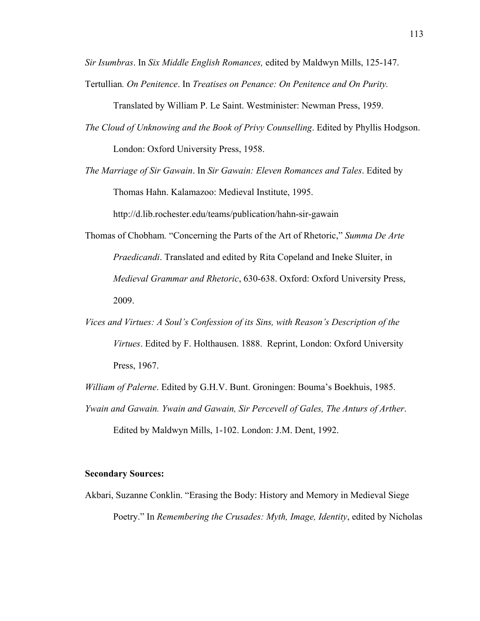*Sir Isumbras*. In *Six Middle English Romances,* edited by Maldwyn Mills, 125-147. Tertullian*. On Penitence*. In *Treatises on Penance: On Penitence and On Purity.*

Translated by William P. Le Saint. Westminister: Newman Press, 1959.

- *The Cloud of Unknowing and the Book of Privy Counselling*. Edited by Phyllis Hodgson. London: Oxford University Press, 1958.
- *The Marriage of Sir Gawain*. In *Sir Gawain: Eleven Romances and Tales*. Edited by Thomas Hahn. Kalamazoo: Medieval Institute, 1995.

http://d.lib.rochester.edu/teams/publication/hahn-sir-gawain

- Thomas of Chobham*.* "Concerning the Parts of the Art of Rhetoric," *Summa De Arte Praedicandi*. Translated and edited by Rita Copeland and Ineke Sluiter, in *Medieval Grammar and Rhetoric*, 630-638. Oxford: Oxford University Press, 2009.
- *Vices and Virtues: A Soul's Confession of its Sins, with Reason's Description of the Virtues*. Edited by F. Holthausen. 1888. Reprint, London: Oxford University Press, 1967.

*William of Palerne*. Edited by G.H.V. Bunt. Groningen: Bouma's Boekhuis, 1985.

*Ywain and Gawain. Ywain and Gawain, Sir Percevell of Gales, The Anturs of Arther*. Edited by Maldwyn Mills, 1-102. London: J.M. Dent, 1992.

## **Secondary Sources:**

Akbari, Suzanne Conklin. "Erasing the Body: History and Memory in Medieval Siege Poetry." In *Remembering the Crusades: Myth, Image, Identity*, edited by Nicholas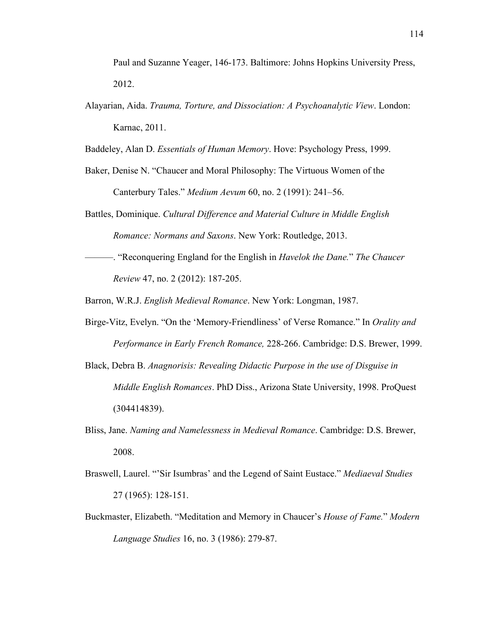Paul and Suzanne Yeager, 146-173. Baltimore: Johns Hopkins University Press, 2012.

Alayarian, Aida. *Trauma, Torture, and Dissociation: A Psychoanalytic View*. London: Karnac, 2011.

Baddeley, Alan D. *Essentials of Human Memory*. Hove: Psychology Press, 1999.

- Baker, Denise N. "Chaucer and Moral Philosophy: The Virtuous Women of the Canterbury Tales." *Medium Aevum* 60, no. 2 (1991): 241–56.
- Battles, Dominique. *Cultural Difference and Material Culture in Middle English Romance: Normans and Saxons*. New York: Routledge, 2013.
- ———. "Reconquering England for the English in *Havelok the Dane.*" *The Chaucer Review* 47, no. 2 (2012): 187-205.

Barron, W.R.J. *English Medieval Romance*. New York: Longman, 1987.

- Birge-Vitz, Evelyn. "On the 'Memory-Friendliness' of Verse Romance." In *Orality and Performance in Early French Romance,* 228-266. Cambridge: D.S. Brewer, 1999.
- Black, Debra B. *Anagnorisis: Revealing Didactic Purpose in the use of Disguise in Middle English Romances*. PhD Diss., Arizona State University, 1998. ProQuest (304414839).
- Bliss, Jane. *Naming and Namelessness in Medieval Romance*. Cambridge: D.S. Brewer, 2008.
- Braswell, Laurel. "'Sir Isumbras' and the Legend of Saint Eustace." *Mediaeval Studies* 27 (1965): 128-151.
- Buckmaster, Elizabeth. "Meditation and Memory in Chaucer's *House of Fame.*" *Modern Language Studies* 16, no. 3 (1986): 279-87.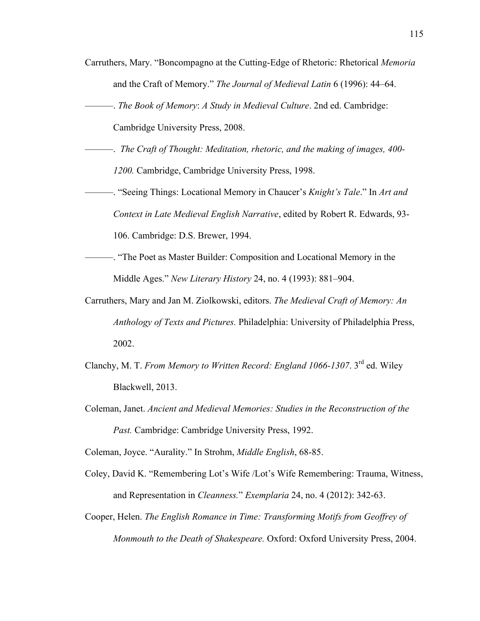- Carruthers, Mary. "Boncompagno at the Cutting-Edge of Rhetoric: Rhetorical *Memoria*  and the Craft of Memory." *The Journal of Medieval Latin* 6 (1996): 44–64.
- ———. *The Book of Memory*: *A Study in Medieval Culture*. 2nd ed. Cambridge:

Cambridge University Press, 2008.

- ———. *The Craft of Thought: Meditation, rhetoric, and the making of images, 400- 1200.* Cambridge, Cambridge University Press, 1998.
- ———. "Seeing Things: Locational Memory in Chaucer's *Knight's Tale*." In *Art and Context in Late Medieval English Narrative*, edited by Robert R. Edwards, 93- 106. Cambridge: D.S. Brewer, 1994.
	- ———. "The Poet as Master Builder: Composition and Locational Memory in the Middle Ages." *New Literary History* 24, no. 4 (1993): 881–904.
- Carruthers, Mary and Jan M. Ziolkowski, editors. *The Medieval Craft of Memory: An Anthology of Texts and Pictures.* Philadelphia: University of Philadelphia Press, 2002.
- Clanchy, M. T. *From Memory to Written Record: England 1066-1307*. 3rd ed. Wiley Blackwell, 2013.
- Coleman, Janet. *Ancient and Medieval Memories: Studies in the Reconstruction of the Past.* Cambridge: Cambridge University Press, 1992.

Coleman, Joyce. "Aurality." In Strohm, *Middle English*, 68-85.

- Coley, David K. "Remembering Lot's Wife /Lot's Wife Remembering: Trauma, Witness, and Representation in *Cleanness.*" *Exemplaria* 24, no. 4 (2012): 342-63.
- Cooper, Helen. *The English Romance in Time: Transforming Motifs from Geoffrey of Monmouth to the Death of Shakespeare.* Oxford: Oxford University Press, 2004.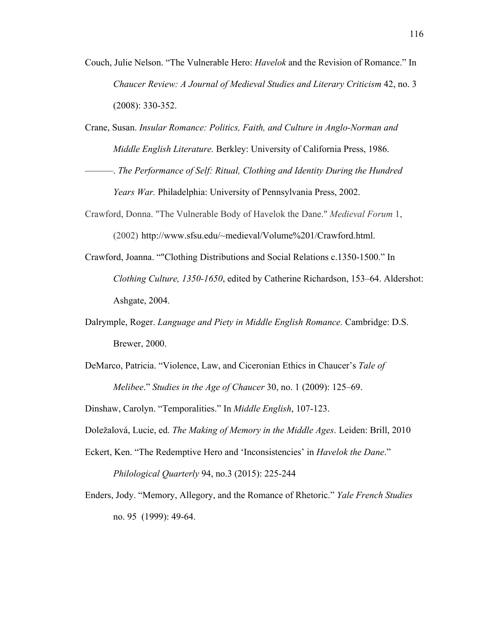- Couch, Julie Nelson. "The Vulnerable Hero: *Havelok* and the Revision of Romance." In *Chaucer Review: A Journal of Medieval Studies and Literary Criticism* 42, no. 3 (2008): 330-352.
- Crane, Susan. *Insular Romance: Politics, Faith, and Culture in Anglo-Norman and Middle English Literature.* Berkley: University of California Press, 1986.
- ———. *The Performance of Self: Ritual, Clothing and Identity During the Hundred Years War.* Philadelphia: University of Pennsylvania Press, 2002.
- Crawford, Donna. "The Vulnerable Body of Havelok the Dane." *Medieval Forum* 1, (2002) http://www.sfsu.edu/~medieval/Volume%201/Crawford.html.
- Crawford, Joanna. ""Clothing Distributions and Social Relations c.1350-1500." In *Clothing Culture, 1350-1650*, edited by Catherine Richardson, 153–64. Aldershot: Ashgate, 2004.
- Dalrymple, Roger. *Language and Piety in Middle English Romance.* Cambridge: D.S. Brewer, 2000.
- DeMarco, Patricia. "Violence, Law, and Ciceronian Ethics in Chaucer's *Tale of Melibee*." *Studies in the Age of Chaucer* 30, no. 1 (2009): 125–69.

Dinshaw, Carolyn. "Temporalities." In *Middle English*, 107-123.

- Doležalová, Lucie, ed. *The Making of Memory in the Middle Ages*. Leiden: Brill, 2010
- Eckert, Ken. "The Redemptive Hero and 'Inconsistencies' in *Havelok the Dane*." *Philological Quarterly* 94, no.3 (2015): 225-244
- Enders, Jody. "Memory, Allegory, and the Romance of Rhetoric." *Yale French Studies* no. 95 (1999): 49-64.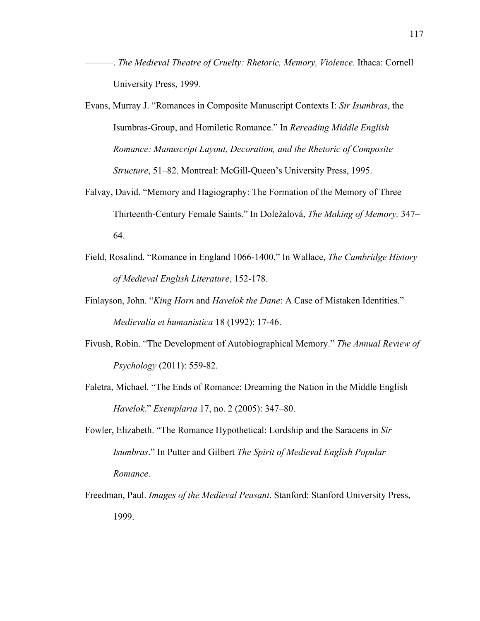- ———. *The Medieval Theatre of Cruelty: Rhetoric, Memory, Violence.* Ithaca: Cornell University Press, 1999.
- Evans, Murray J. "Romances in Composite Manuscript Contexts I: *Sir Isumbras*, the Isumbras-Group, and Homiletic Romance." In *Rereading Middle English Romance: Manuscript Layout, Decoration, and the Rhetoric of Composite Structure*, 51–82. Montreal: McGill-Queen's University Press, 1995.
- Falvay, David. "Memory and Hagiography: The Formation of the Memory of Three Thirteenth-Century Female Saints." In Doležalová, *The Making of Memory,* 347– 64.
- Field, Rosalind. "Romance in England 1066-1400," In Wallace, *The Cambridge History of Medieval English Literature*, 152-178.
- Finlayson, John. "*King Horn* and *Havelok the Dane*: A Case of Mistaken Identities." *Medievalia et humanistica* 18 (1992): 17-46.
- Fivush, Robin. "The Development of Autobiographical Memory." *The Annual Review of Psychology* (2011): 559-82.
- Faletra, Michael. "The Ends of Romance: Dreaming the Nation in the Middle English *Havelok*." *Exemplaria* 17, no. 2 (2005): 347–80.
- Fowler, Elizabeth. "The Romance Hypothetical: Lordship and the Saracens in *Sir Isumbras*." In Putter and Gilbert *The Spirit of Medieval English Popular Romance*.
- Freedman, Paul. *Images of the Medieval Peasant*. Stanford: Stanford University Press, 1999.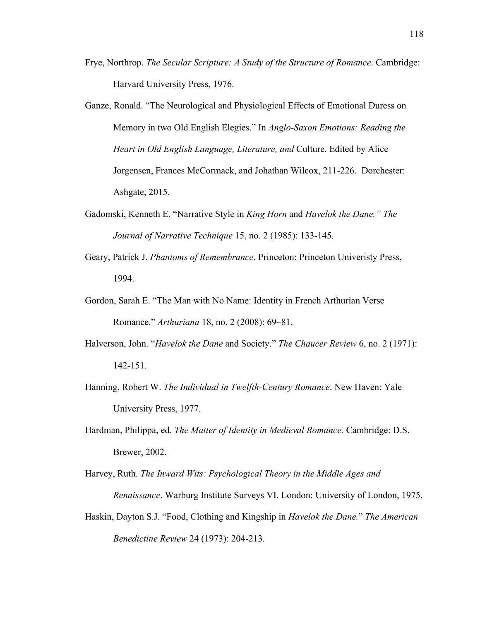- Frye, Northrop. *The Secular Scripture: A Study of the Structure of Romance*. Cambridge: Harvard University Press, 1976.
- Ganze, Ronald. "The Neurological and Physiological Effects of Emotional Duress on Memory in two Old English Elegies." In *Anglo-Saxon Emotions: Reading the Heart in Old English Language, Literature, and* Culture. Edited by Alice Jorgensen, Frances McCormack, and Johathan Wilcox, 211-226. Dorchester: Ashgate, 2015.
- Gadomski, Kenneth E. "Narrative Style in *King Horn* and *Havelok the Dane." The Journal of Narrative Technique* 15, no. 2 (1985): 133-145.
- Geary, Patrick J. *Phantoms of Remembrance*. Princeton: Princeton Univeristy Press, 1994.
- Gordon, Sarah E. "The Man with No Name: Identity in French Arthurian Verse Romance." *Arthuriana* 18, no. 2 (2008): 69–81.
- Halverson, John. "*Havelok the Dane* and Society." *The Chaucer Review* 6, no. 2 (1971): 142-151.
- Hanning, Robert W. *The Individual in Twelfth-Century Romance*. New Haven: Yale University Press, 1977.
- Hardman, Philippa, ed. *The Matter of Identity in Medieval Romance.* Cambridge: D.S. Brewer, 2002.
- Harvey, Ruth. *The Inward Wits: Psychological Theory in the Middle Ages and Renaissance*. Warburg Institute Surveys VI. London: University of London, 1975.
- Haskin, Dayton S.J. "Food, Clothing and Kingship in *Havelok the Dane.*" *The American Benedictine Review* 24 (1973): 204-213.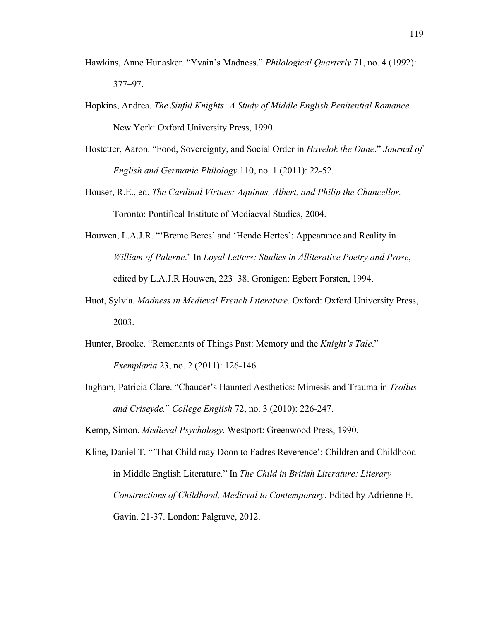- Hawkins, Anne Hunasker. "Yvain's Madness." *Philological Quarterly* 71, no. 4 (1992): 377–97.
- Hopkins, Andrea. *The Sinful Knights: A Study of Middle English Penitential Romance*. New York: Oxford University Press, 1990.
- Hostetter, Aaron. "Food, Sovereignty, and Social Order in *Havelok the Dane*." *Journal of English and Germanic Philology* 110, no. 1 (2011): 22-52.
- Houser, R.E., ed. *The Cardinal Virtues: Aquinas, Albert, and Philip the Chancellor.* Toronto: Pontifical Institute of Mediaeval Studies, 2004.
- Houwen, L.A.J.R. "'Breme Beres' and 'Hende Hertes': Appearance and Reality in *William of Palerne*." In *Loyal Letters: Studies in Alliterative Poetry and Prose*, edited by L.A.J.R Houwen, 223–38. Gronigen: Egbert Forsten, 1994.
- Huot, Sylvia. *Madness in Medieval French Literature*. Oxford: Oxford University Press, 2003.
- Hunter, Brooke. "Remenants of Things Past: Memory and the *Knight's Tale*." *Exemplaria* 23, no. 2 (2011): 126-146.
- Ingham, Patricia Clare. "Chaucer's Haunted Aesthetics: Mimesis and Trauma in *Troilus and Criseyde.*" *College English* 72, no. 3 (2010): 226-247.

Kemp, Simon. *Medieval Psychology*. Westport: Greenwood Press, 1990.

Kline, Daniel T. "'That Child may Doon to Fadres Reverence': Children and Childhood in Middle English Literature." In *The Child in British Literature: Literary Constructions of Childhood, Medieval to Contemporary*. Edited by Adrienne E. Gavin. 21-37. London: Palgrave, 2012.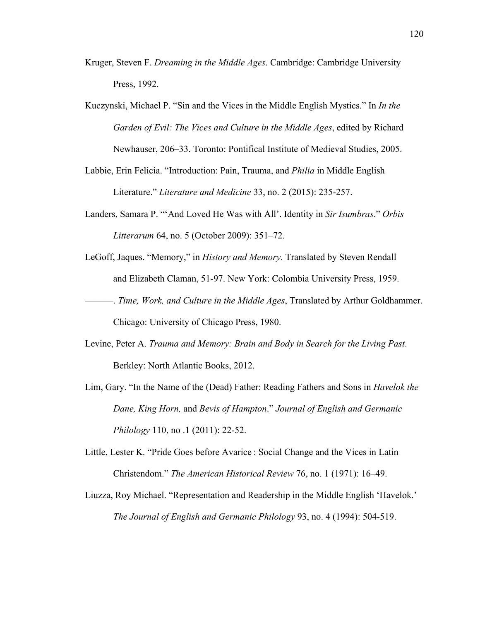- Kruger, Steven F. *Dreaming in the Middle Ages*. Cambridge: Cambridge University Press, 1992.
- Kuczynski, Michael P. "Sin and the Vices in the Middle English Mystics." In *In the Garden of Evil: The Vices and Culture in the Middle Ages*, edited by Richard Newhauser, 206–33. Toronto: Pontifical Institute of Medieval Studies, 2005.
- Labbie, Erin Felicia. "Introduction: Pain, Trauma, and *Philia* in Middle English Literature." *Literature and Medicine* 33, no. 2 (2015): 235-257.
- Landers, Samara P. "'And Loved He Was with All'. Identity in *Sir Isumbras*." *Orbis Litterarum* 64, no. 5 (October 2009): 351–72.
- LeGoff, Jaques. "Memory," in *History and Memory*. Translated by Steven Rendall and Elizabeth Claman, 51-97. New York: Colombia University Press, 1959.
- ———. *Time, Work, and Culture in the Middle Ages*, Translated by Arthur Goldhammer. Chicago: University of Chicago Press, 1980.
- Levine, Peter A. *Trauma and Memory: Brain and Body in Search for the Living Past*. Berkley: North Atlantic Books, 2012.
- Lim, Gary. "In the Name of the (Dead) Father: Reading Fathers and Sons in *Havelok the Dane, King Horn,* and *Bevis of Hampton*." *Journal of English and Germanic Philology* 110, no .1 (2011): 22-52.
- Little, Lester K. "Pride Goes before Avarice : Social Change and the Vices in Latin Christendom." *The American Historical Review* 76, no. 1 (1971): 16–49.
- Liuzza, Roy Michael. "Representation and Readership in the Middle English 'Havelok.' *The Journal of English and Germanic Philology* 93, no. 4 (1994): 504-519.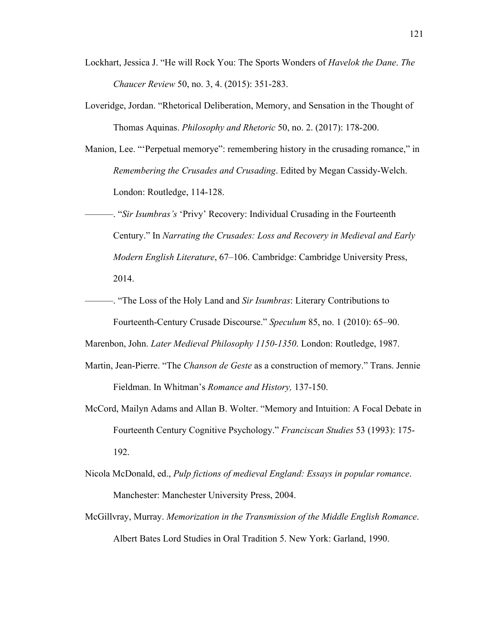- Lockhart, Jessica J. "He will Rock You: The Sports Wonders of *Havelok the Dane*. *The Chaucer Review* 50, no. 3, 4. (2015): 351-283.
- Loveridge, Jordan. "Rhetorical Deliberation, Memory, and Sensation in the Thought of Thomas Aquinas. *Philosophy and Rhetoric* 50, no. 2. (2017): 178-200.
- Manion, Lee. "'Perpetual memorye": remembering history in the crusading romance," in *Remembering the Crusades and Crusading*. Edited by Megan Cassidy-Welch. London: Routledge, 114-128.
- ———. "*Sir Isumbras's* 'Privy' Recovery: Individual Crusading in the Fourteenth Century." In *Narrating the Crusades: Loss and Recovery in Medieval and Early Modern English Literature*, 67–106. Cambridge: Cambridge University Press, 2014.
- ———. "The Loss of the Holy Land and *Sir Isumbras*: Literary Contributions to Fourteenth-Century Crusade Discourse." *Speculum* 85, no. 1 (2010): 65–90.

Marenbon, John. *Later Medieval Philosophy 1150-1350*. London: Routledge, 1987.

- Martin, Jean-Pierre. "The *Chanson de Geste* as a construction of memory." Trans. Jennie Fieldman. In Whitman's *Romance and History,* 137-150.
- McCord, Mailyn Adams and Allan B. Wolter. "Memory and Intuition: A Focal Debate in Fourteenth Century Cognitive Psychology." *Franciscan Studies* 53 (1993): 175- 192.
- Nicola McDonald, ed., *Pulp fictions of medieval England: Essays in popular romance*. Manchester: Manchester University Press, 2004.
- McGillvray, Murray. *Memorization in the Transmission of the Middle English Romance*. Albert Bates Lord Studies in Oral Tradition 5. New York: Garland, 1990.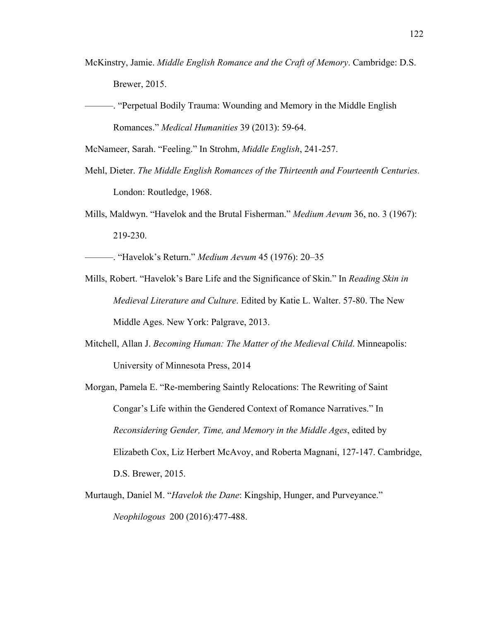- McKinstry, Jamie. *Middle English Romance and the Craft of Memory*. Cambridge: D.S. Brewer, 2015.
- ———. "Perpetual Bodily Trauma: Wounding and Memory in the Middle English Romances." *Medical Humanities* 39 (2013): 59-64.

McNameer, Sarah. "Feeling." In Strohm, *Middle English*, 241-257.

- Mehl, Dieter. *The Middle English Romances of the Thirteenth and Fourteenth Centuries.* London: Routledge, 1968.
- Mills, Maldwyn. "Havelok and the Brutal Fisherman." *Medium Aevum* 36, no. 3 (1967): 219-230.

———. "Havelok's Return." *Medium Aevum* 45 (1976): 20–35

- Mills, Robert. "Havelok's Bare Life and the Significance of Skin." In *Reading Skin in Medieval Literature and Culture*. Edited by Katie L. Walter. 57-80. The New Middle Ages. New York: Palgrave, 2013.
- Mitchell, Allan J. *Becoming Human: The Matter of the Medieval Child*. Minneapolis: University of Minnesota Press, 2014
- Morgan, Pamela E. "Re-membering Saintly Relocations: The Rewriting of Saint Congar's Life within the Gendered Context of Romance Narratives." In *Reconsidering Gender, Time, and Memory in the Middle Ages*, edited by Elizabeth Cox, Liz Herbert McAvoy, and Roberta Magnani, 127-147. Cambridge, D.S. Brewer, 2015.
- Murtaugh, Daniel M. "*Havelok the Dane*: Kingship, Hunger, and Purveyance." *Neophilogous* 200 (2016):477-488.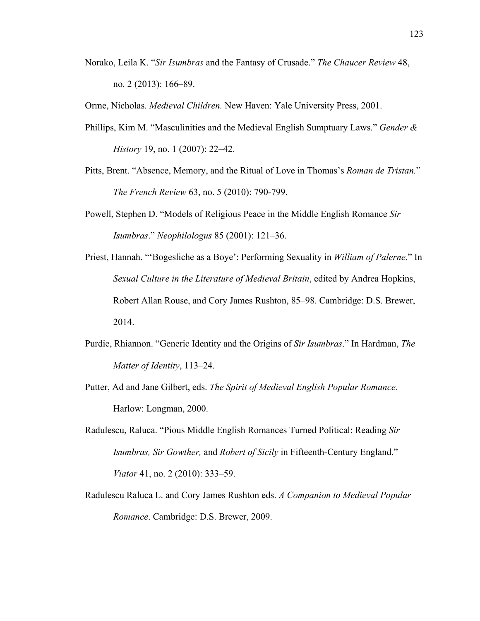Norako, Leila K. "*Sir Isumbras* and the Fantasy of Crusade." *The Chaucer Review* 48, no. 2 (2013): 166–89.

Orme, Nicholas. *Medieval Children.* New Haven: Yale University Press, 2001.

- Phillips, Kim M. "Masculinities and the Medieval English Sumptuary Laws." *Gender & History* 19, no. 1 (2007): 22–42.
- Pitts, Brent. "Absence, Memory, and the Ritual of Love in Thomas's *Roman de Tristan.*" *The French Review* 63, no. 5 (2010): 790-799.
- Powell, Stephen D. "Models of Religious Peace in the Middle English Romance *Sir Isumbras*." *Neophilologus* 85 (2001): 121–36.
- Priest, Hannah. "'Bogesliche as a Boye': Performing Sexuality in *William of Palerne*." In *Sexual Culture in the Literature of Medieval Britain*, edited by Andrea Hopkins, Robert Allan Rouse, and Cory James Rushton, 85–98. Cambridge: D.S. Brewer, 2014.
- Purdie, Rhiannon. "Generic Identity and the Origins of *Sir Isumbras*." In Hardman, *The Matter of Identity*, 113–24.
- Putter, Ad and Jane Gilbert, eds. *The Spirit of Medieval English Popular Romance*. Harlow: Longman, 2000.
- Radulescu, Raluca. "Pious Middle English Romances Turned Political: Reading *Sir Isumbras, Sir Gowther,* and *Robert of Sicily* in Fifteenth-Century England." *Viator* 41, no. 2 (2010): 333–59.
- Radulescu Raluca L. and Cory James Rushton eds. *A Companion to Medieval Popular Romance*. Cambridge: D.S. Brewer, 2009.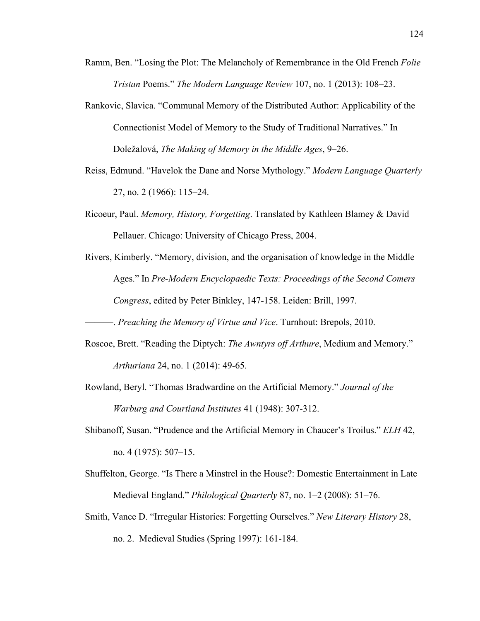- Ramm, Ben. "Losing the Plot: The Melancholy of Remembrance in the Old French *Folie Tristan* Poems." *The Modern Language Review* 107, no. 1 (2013): 108–23.
- Rankovic, Slavica. "Communal Memory of the Distributed Author: Applicability of the Connectionist Model of Memory to the Study of Traditional Narratives." In Doležalová, *The Making of Memory in the Middle Ages*, 9–26.
- Reiss, Edmund. "Havelok the Dane and Norse Mythology." *Modern Language Quarterly* 27, no. 2 (1966): 115–24.
- Ricoeur, Paul. *Memory, History, Forgetting*. Translated by Kathleen Blamey & David Pellauer. Chicago: University of Chicago Press, 2004.
- Rivers, Kimberly. "Memory, division, and the organisation of knowledge in the Middle Ages." In *Pre-Modern Encyclopaedic Texts: Proceedings of the Second Comers Congress*, edited by Peter Binkley, 147-158. Leiden: Brill, 1997.
	- ———. *Preaching the Memory of Virtue and Vice*. Turnhout: Brepols, 2010.
- Roscoe, Brett. "Reading the Diptych: *The Awntyrs off Arthure*, Medium and Memory." *Arthuriana* 24, no. 1 (2014): 49-65.
- Rowland, Beryl. "Thomas Bradwardine on the Artificial Memory." *Journal of the Warburg and Courtland Institutes* 41 (1948): 307-312.
- Shibanoff, Susan. "Prudence and the Artificial Memory in Chaucer's Troilus." *ELH* 42, no. 4 (1975): 507–15.
- Shuffelton, George. "Is There a Minstrel in the House?: Domestic Entertainment in Late Medieval England." *Philological Quarterly* 87, no. 1–2 (2008): 51–76.
- Smith, Vance D. "Irregular Histories: Forgetting Ourselves." *New Literary History* 28, no. 2. Medieval Studies (Spring 1997): 161-184.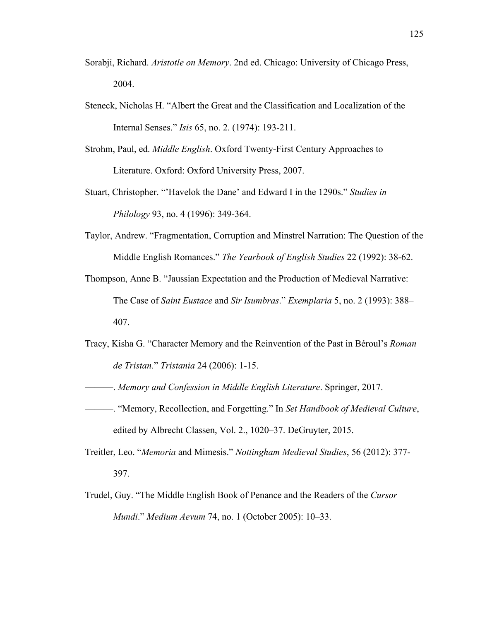- Sorabji, Richard. *Aristotle on Memory*. 2nd ed. Chicago: University of Chicago Press, 2004.
- Steneck, Nicholas H. "Albert the Great and the Classification and Localization of the Internal Senses." *Isis* 65, no. 2. (1974): 193-211.
- Strohm, Paul, ed. *Middle English*. Oxford Twenty-First Century Approaches to Literature. Oxford: Oxford University Press, 2007.
- Stuart, Christopher. "'Havelok the Dane' and Edward I in the 1290s." *Studies in Philology* 93, no. 4 (1996): 349-364.
- Taylor, Andrew. "Fragmentation, Corruption and Minstrel Narration: The Question of the Middle English Romances." *The Yearbook of English Studies* 22 (1992): 38-62.
- Thompson, Anne B. "Jaussian Expectation and the Production of Medieval Narrative: The Case of *Saint Eustace* and *Sir Isumbras*." *Exemplaria* 5, no. 2 (1993): 388– 407.
- Tracy, Kisha G. "Character Memory and the Reinvention of the Past in Béroul's *Roman de Tristan.*" *Tristania* 24 (2006): 1-15.
	- ———. *Memory and Confession in Middle English Literature*. Springer, 2017.
- ———. "Memory, Recollection, and Forgetting." In *Set Handbook of Medieval Culture*, edited by Albrecht Classen, Vol. 2., 1020–37. DeGruyter, 2015.
- Treitler, Leo. "*Memoria* and Mimesis." *Nottingham Medieval Studies*, 56 (2012): 377- 397.
- Trudel, Guy. "The Middle English Book of Penance and the Readers of the *Cursor Mundi*." *Medium Aevum* 74, no. 1 (October 2005): 10–33.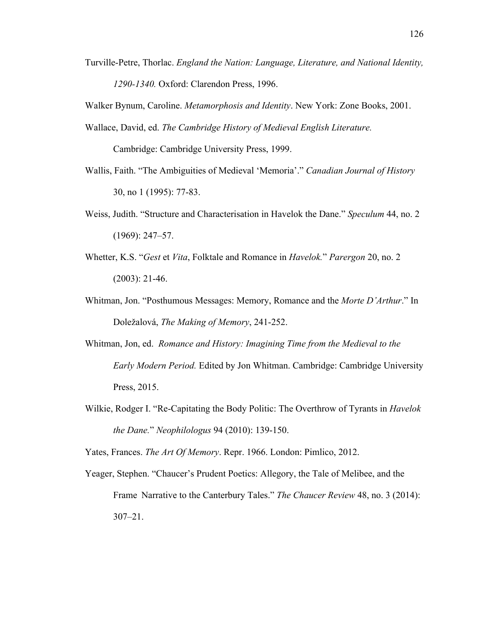Turville-Petre, Thorlac. *England the Nation: Language, Literature, and National Identity, 1290-1340.* Oxford: Clarendon Press, 1996.

Walker Bynum, Caroline. *Metamorphosis and Identity*. New York: Zone Books, 2001.

Wallace, David, ed. *The Cambridge History of Medieval English Literature.*

Cambridge: Cambridge University Press, 1999.

- Wallis, Faith. "The Ambiguities of Medieval 'Memoria'." *Canadian Journal of History* 30, no 1 (1995): 77-83.
- Weiss, Judith. "Structure and Characterisation in Havelok the Dane." *Speculum* 44, no. 2 (1969): 247–57.
- Whetter, K.S. "*Gest* et *Vita*, Folktale and Romance in *Havelok.*" *Parergon* 20, no. 2 (2003): 21-46.
- Whitman, Jon. "Posthumous Messages: Memory, Romance and the *Morte D'Arthur*." In Doležalová, *The Making of Memory*, 241-252.
- Whitman, Jon, ed. *Romance and History: Imagining Time from the Medieval to the Early Modern Period.* Edited by Jon Whitman. Cambridge: Cambridge University Press, 2015.
- Wilkie, Rodger I. "Re-Capitating the Body Politic: The Overthrow of Tyrants in *Havelok the Dane.*" *Neophilologus* 94 (2010): 139-150.

Yates, Frances. *The Art Of Memory*. Repr. 1966. London: Pimlico, 2012.

Yeager, Stephen. "Chaucer's Prudent Poetics: Allegory, the Tale of Melibee, and the Frame Narrative to the Canterbury Tales." *The Chaucer Review* 48, no. 3 (2014): 307–21.